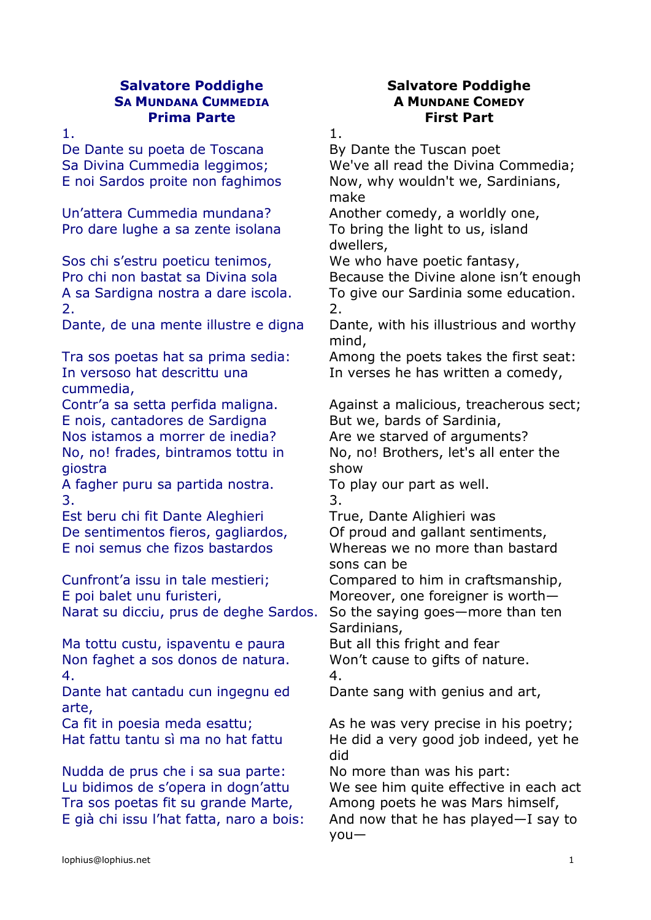### **Salvatore Poddighe Salvatore Poddighe SA MUNDANA CUMMEDIA A MUNDANE COMEDY Prima Parte First Part**

De Dante su poeta de Toscana By Dante the Tuscan poet

Un'attera Cummedia mundana? Another comedy, a worldly one, Pro dare lughe a sa zente isolana To bring the light to us, island

Sos chi s'estru poeticu tenimos, We who have poetic fantasy, 2. 2.

In versoso hat descrittu una cummedia,

E nois, cantadores de Sardigna<br>
But we, bards of Sardinia, Nos istamos a morrer de inedia? Are we starved of arguments? No, no! frades, bintramos tottu in giostra

A fagher puru sa partida nostra. To play our part as well.  $3.$ 

Est beru chi fit Dante Aleghieri True, Dante Alighieri was De sentimentos fieros, gagliardos, Of proud and gallant sentiments, E noi semus che fizos bastardos Whereas we no more than bastard

Cunfront'a issu in tale mestieri; Compared to him in craftsmanship, E poi balet unu furisteri, Moreover, one foreigner is worth-Narat su dicciu, prus de deghe Sardos. So the saying goes—more than ten

Ma tottu custu, ispaventu e paura But all this fright and fear Non faghet a sos donos de natura. Won't cause to gifts of nature. 4. 4.

Dante hat cantadu cun ingegnu ed arte,

Nudda de prus che i sa sua parte: No more than was his part: Tra sos poetas fit su grande Marte, Among poets he was Mars himself,

1. In the case of  $\overline{1}$ .

Sa Divina Cummedia leggimos; We've all read the Divina Commedia; E noi Sardos proite non faghimos Now, why wouldn't we, Sardinians, make

dwellers,

Pro chi non bastat sa Divina sola Because the Divine alone isn't enough A sa Sardigna nostra a dare iscola. To give our Sardinia some education.

Dante, de una mente illustre e digna Dante, with his illustrious and worthy mind,

Tra sos poetas hat sa prima sedia: Among the poets takes the first seat: In verses he has written a comedy,

Contr'a sa setta perfida maligna. Against a malicious, treacherous sect;

No, no! Brothers, let's all enter the show

sons can be

Sardinians,

Dante sang with genius and art,

Ca fit in poesia meda esattu; As he was very precise in his poetry; Hat fattu tantu sì ma no hat fattu He did a very good job indeed, yet he did

Lu bidimos de s'opera in dogn'attu We see him quite effective in each act E già chi issu l'hat fatta, naro a bois: And now that he has played—I say to you—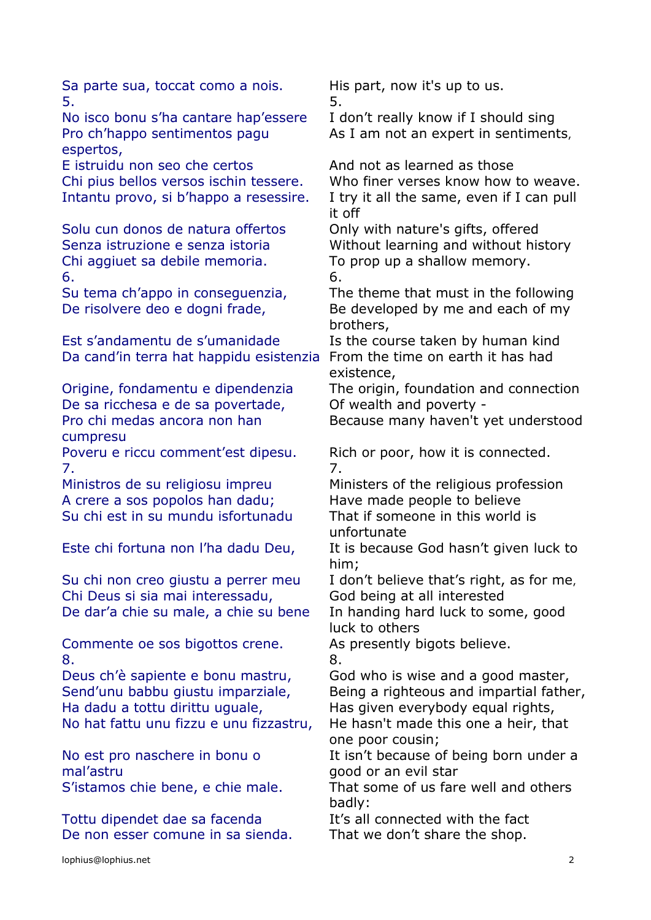Sa parte sua, toccat como a nois. His part, now it's up to us.  $5.$ No isco bonu s'ha cantare hap'essere I don't really know if I should sing Pro ch'happo sentimentos pagu espertos, As I am not an expert in sentiments, E istruidu non seo che certos And not as learned as those Chi pius bellos versos ischin tessere. Who finer verses know how to weave. Intantu provo, si b'happo a resessire. I try it all the same, even if I can pull it off Solu cun donos de natura offertos Only with nature's gifts, offered Senza istruzione e senza istoria Without learning and without history Chi aggiuet sa debile memoria. To prop up a shallow memory.  $\overline{6}$ .  $\overline{6}$ . Su tema ch'appo in conseguenzia, The theme that must in the following De risolvere deo e dogni frade, Be developed by me and each of my brothers, Est s'andamentu de s'umanidade Is the course taken by human kind Da cand'in terra hat happidu esistenzia From the time on earth it has had existence, Origine, fondamentu e dipendenzia The origin, foundation and connection De sa ricchesa e de sa povertade, Of wealth and poverty -Pro chi medas ancora non han cumpresu Because many haven't yet understood Poveru e riccu comment'est dipesu. Rich or poor, how it is connected. 7. 7. Ministros de su religiosu impreu Ministers of the religious profession A crere a sos popolos han dadu; Have made people to believe Su chi est in su mundu isfortunadu That if someone in this world is unfortunate Este chi fortuna non l'ha dadu Deu, It is because God hasn't given luck to him; Su chi non creo giustu a perrer meu I don't believe that's right, as for me, Chi Deus si sia mai interessadu, God being at all interested De dar'a chie su male, a chie su bene In handing hard luck to some, good luck to others Commente oe sos bigottos crene. As presently bigots believe. 8. 8. Deus ch'è sapiente e bonu mastru, God who is wise and a good master, Send'unu babbu giustu imparziale, Being a righteous and impartial father, Ha dadu a tottu dirittu uguale, Has given everybody equal rights, No hat fattu unu fizzu e unu fizzastru, He hasn't made this one a heir, that one poor cousin; No est pro naschere in bonu o mal'astru It isn't because of being born under a good or an evil star S'istamos chie bene, e chie male. That some of us fare well and others badly: Tottu dipendet dae sa facenda<br>It's all connected with the fact De non esser comune in sa sienda. That we don't share the shop.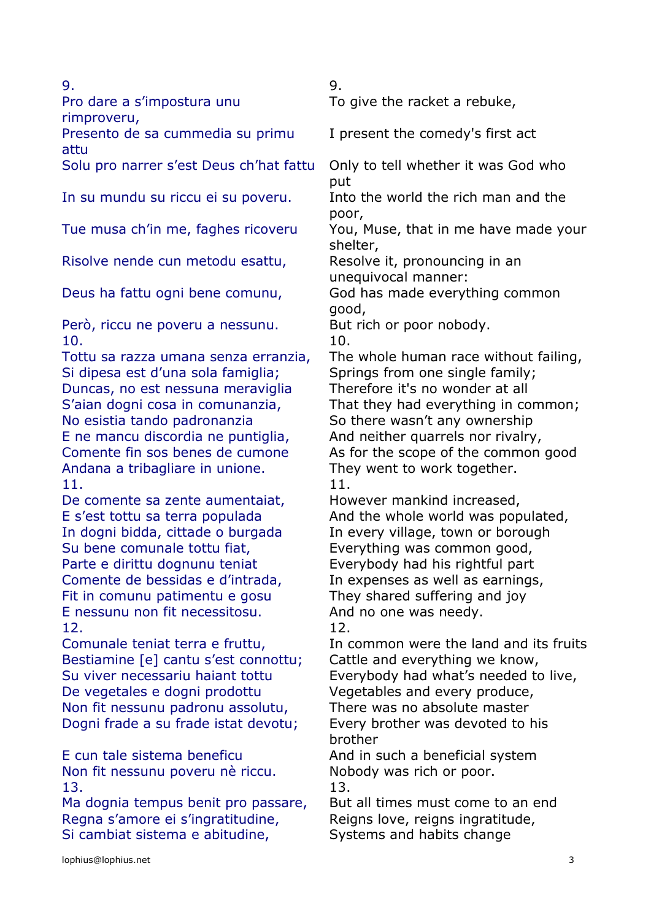| 9.                                                                                                                                                                                                                                                                                                                                                                                                                                                                                                                                                                                          | 9.                                                                                                                                                                                                                                                                                                                                                                                                                                                                                                                                                                             |
|---------------------------------------------------------------------------------------------------------------------------------------------------------------------------------------------------------------------------------------------------------------------------------------------------------------------------------------------------------------------------------------------------------------------------------------------------------------------------------------------------------------------------------------------------------------------------------------------|--------------------------------------------------------------------------------------------------------------------------------------------------------------------------------------------------------------------------------------------------------------------------------------------------------------------------------------------------------------------------------------------------------------------------------------------------------------------------------------------------------------------------------------------------------------------------------|
| Pro dare a s'impostura unu<br>rimproveru,                                                                                                                                                                                                                                                                                                                                                                                                                                                                                                                                                   | To give the racket a rebuke,                                                                                                                                                                                                                                                                                                                                                                                                                                                                                                                                                   |
| Presento de sa cummedia su primu<br>attu                                                                                                                                                                                                                                                                                                                                                                                                                                                                                                                                                    | I present the comedy's first act                                                                                                                                                                                                                                                                                                                                                                                                                                                                                                                                               |
| Solu pro narrer s'est Deus ch'hat fattu                                                                                                                                                                                                                                                                                                                                                                                                                                                                                                                                                     | Only to tell whether it was God who<br>put                                                                                                                                                                                                                                                                                                                                                                                                                                                                                                                                     |
| In su mundu su riccu ei su poveru.                                                                                                                                                                                                                                                                                                                                                                                                                                                                                                                                                          | Into the world the rich man and the<br>poor,                                                                                                                                                                                                                                                                                                                                                                                                                                                                                                                                   |
| Tue musa ch'in me, faghes ricoveru                                                                                                                                                                                                                                                                                                                                                                                                                                                                                                                                                          | You, Muse, that in me have made your<br>shelter,                                                                                                                                                                                                                                                                                                                                                                                                                                                                                                                               |
| Risolve nende cun metodu esattu,                                                                                                                                                                                                                                                                                                                                                                                                                                                                                                                                                            | Resolve it, pronouncing in an<br>unequivocal manner:                                                                                                                                                                                                                                                                                                                                                                                                                                                                                                                           |
| Deus ha fattu ogni bene comunu,                                                                                                                                                                                                                                                                                                                                                                                                                                                                                                                                                             | God has made everything common<br>good,                                                                                                                                                                                                                                                                                                                                                                                                                                                                                                                                        |
| Però, riccu ne poveru a nessunu.<br>10.                                                                                                                                                                                                                                                                                                                                                                                                                                                                                                                                                     | But rich or poor nobody.<br>10.                                                                                                                                                                                                                                                                                                                                                                                                                                                                                                                                                |
| Tottu sa razza umana senza erranzia,<br>Si dipesa est d'una sola famiglia;<br>Duncas, no est nessuna meraviglia<br>S'aian dogni cosa in comunanzia,<br>No esistia tando padronanzia<br>E ne mancu discordia ne puntiglia,<br>Comente fin sos benes de cumone<br>Andana a tribagliare in unione.<br>11.<br>De comente sa zente aumentaiat,<br>E s'est tottu sa terra populada<br>In dogni bidda, cittade o burgada<br>Su bene comunale tottu fiat,<br>Parte e dirittu dognunu teniat<br>Comente de bessidas e d'intrada,<br>Fit in comunu patimentu e gosu<br>E nessunu non fit necessitosu. | The whole human race without failing,<br>Springs from one single family;<br>Therefore it's no wonder at all<br>That they had everything in common;<br>So there wasn't any ownership<br>And neither quarrels nor rivalry,<br>As for the scope of the common good<br>They went to work together.<br>11.<br>However mankind increased,<br>And the whole world was populated,<br>In every village, town or borough<br>Everything was common good,<br>Everybody had his rightful part<br>In expenses as well as earnings,<br>They shared suffering and joy<br>And no one was needy. |
| 12.<br>Comunale teniat terra e fruttu,<br>Bestiamine [e] cantu s'est connottu;<br>Su viver necessariu haiant tottu<br>De vegetales e dogni prodottu<br>Non fit nessunu padronu assolutu,<br>Dogni frade a su frade istat devotu;<br>E cun tale sistema beneficu<br>Non fit nessunu poveru nè riccu.<br>13.<br>Ma dognia tempus benit pro passare,                                                                                                                                                                                                                                           | 12.<br>In common were the land and its fruits<br>Cattle and everything we know,<br>Everybody had what's needed to live,<br>Vegetables and every produce,<br>There was no absolute master<br>Every brother was devoted to his<br>brother<br>And in such a beneficial system<br>Nobody was rich or poor.<br>13.<br>But all times must come to an end                                                                                                                                                                                                                             |
| Regna s'amore ei s'ingratitudine,<br>Si cambiat sistema e abitudine,                                                                                                                                                                                                                                                                                                                                                                                                                                                                                                                        | Reigns love, reigns ingratitude,<br>Systems and habits change                                                                                                                                                                                                                                                                                                                                                                                                                                                                                                                  |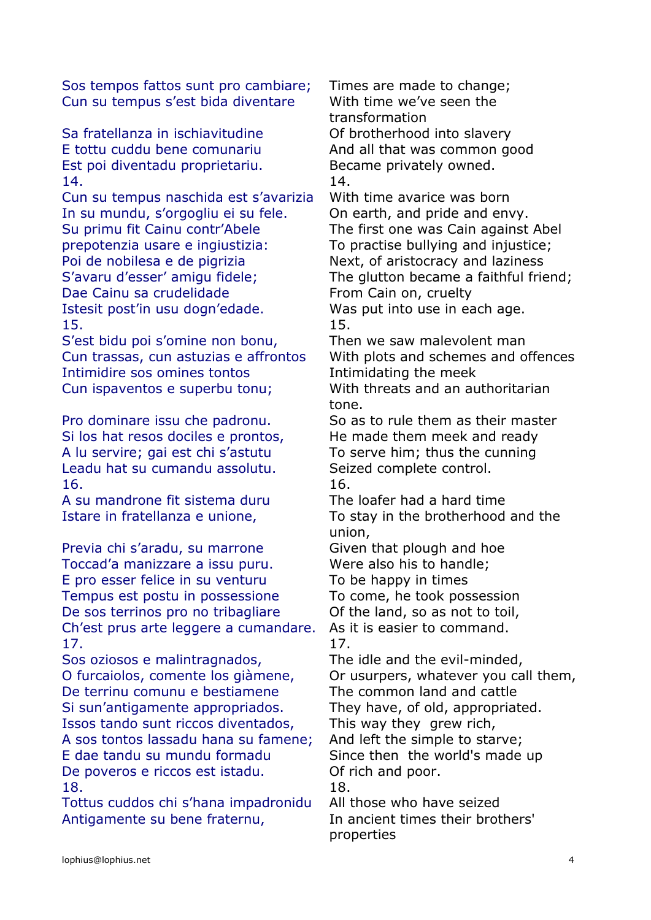Sos tempos fattos sunt pro cambiare; Times are made to change; Cun su tempus s'est bida diventare With time we've seen the

Sa fratellanza in ischiavitudine **Of brotherhood into slavery** Est poi diventadu proprietariu. Became privately owned. 14. 14.

Cun su tempus naschida est s'avarizia With time avarice was born In su mundu, s'orgogliu ei su fele. On earth, and pride and envy. Su primu fit Cainu contr'Abele The first one was Cain against Abel prepotenzia usare e ingiustizia: To practise bullying and injustice; Poi de nobilesa e de pigrizia Next, of aristocracy and laziness S'avaru d'esser' amigu fidele; The glutton became a faithful friend; Dae Cainu sa crudelidade From Cain on, cruelty Istesit post'in usu dogn'edade. Was put into use in each age. 15. 15.

S'est bidu poi s'omine non bonu, Then we saw malevolent man Intimidire sos omines tontos Intimidating the meek Cun ispaventos e superbu tonu; With threats and an authoritarian

Si los hat resos dociles e prontos, He made them meek and ready A lu servire; gai est chi s'astutu To serve him; thus the cunning Leadu hat su cumandu assolutu. Seized complete control. 16. 16.

A su mandrone fit sistema duru The loafer had a hard time

Previa chi s'aradu, su marrone Given that plough and hoe Toccad'a manizzare a issu puru. Were also his to handle; E pro esser felice in su venturu To be happy in times Tempus est postu in possessione To come, he took possession De sos terrinos pro no tribagliare Of the land, so as not to toil, Ch'est prus arte leggere a cumandare. As it is easier to command. 17. 17.

Sos oziosos e malintragnados, The idle and the evil-minded, O furcaiolos, comente los giàmene, Or usurpers, whatever you call them, De terrinu comunu e bestiamene The common land and cattle Si sun'antigamente appropriados. They have, of old, appropriated. Issos tando sunt riccos diventados, This way they grew rich, A sos tontos lassadu hana su famene; And left the simple to starve; E dae tandu su mundu formadu Since then the world's made up De poveros e riccos est istadu. Of rich and poor. 18. 18.

Tottus cuddos chi s'hana impadronidu All those who have seized Antigamente su bene fraternu, In ancient times their brothers'

transformation E tottu cuddu bene comunariu And all that was common good

Cun trassas, cun astuzias e affrontos With plots and schemes and offences

tone.

Pro dominare issu che padronu. So as to rule them as their master

Istare in fratellanza e unione, To stay in the brotherhood and the union,

properties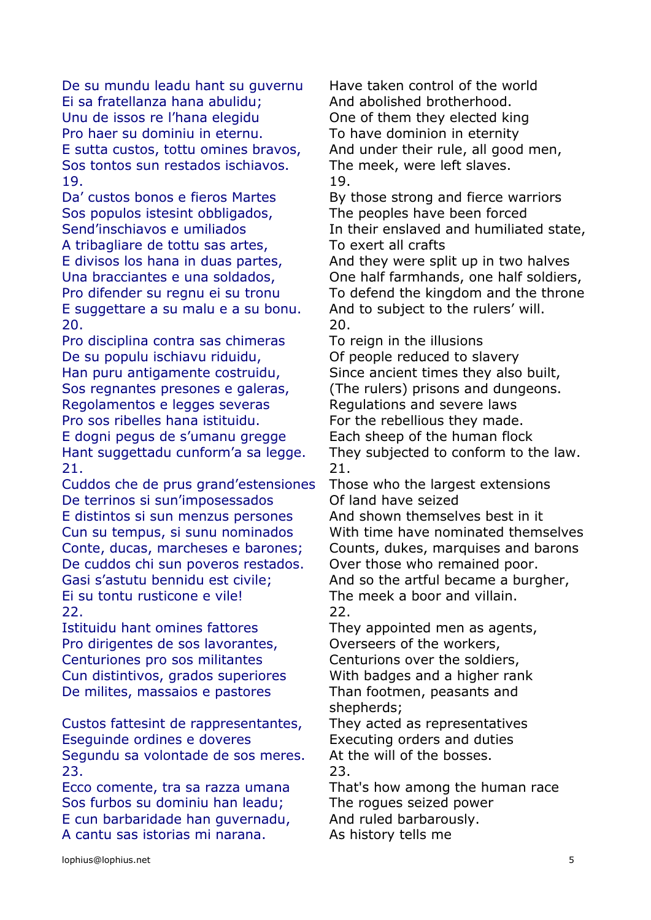De su mundu leadu hant su guvernu Have taken control of the world Ei sa fratellanza hana abulidu; And abolished brotherhood. Unu de issos re l'hana elegidu **One of them they elected king** Pro haer su dominiu in eternu. To have dominion in eternity E sutta custos, tottu omines bravos, And under their rule, all good men, Sos tontos sun restados ischiavos. The meek, were left slaves. 19. 19.

Sos populos istesint obbligados, The peoples have been forced A tribagliare de tottu sas artes, To exert all crafts E suggettare a su malu e a su bonu. And to subject to the rulers' will. 20. 20.

Pro disciplina contra sas chimeras To reign in the illusions De su populu ischiavu riduidu, Of people reduced to slavery Han puru antigamente costruidu, Since ancient times they also built, Sos regnantes presones e galeras, (The rulers) prisons and dungeons. Regolamentos e legges severas The Regulations and severe laws Pro sos ribelles hana istituidu. For the rebellious they made. E dogni pegus de s'umanu gregge Each sheep of the human flock 21. 21.

Cuddos che de prus grand'estensiones Those who the largest extensions De terrinos si sun'imposessados Of land have seized E distintos si sun menzus persones And shown themselves best in it Conte, ducas, marcheses e barones; Counts, dukes, marquises and barons De cuddos chi sun poveros restados. Over those who remained poor. Gasi s'astutu bennidu est civile; And so the artful became a burgher, Ei su tontu rusticone e vile! The meek a boor and villain. 22. 22.

Pro dirigentes de sos lavorantes, Coverseers of the workers, Centuriones pro sos militantes Centurions over the soldiers, Cun distintivos, grados superiores With badges and a higher rank De milites, massaios e pastores Than footmen, peasants and

Custos fattesint de rappresentantes, They acted as representatives Eseguinde ordines e doveres Executing orders and duties Segundu sa volontade de sos meres. At the will of the bosses. 23. 23.

Sos furbos su dominiu han leadu; The rogues seized power E cun barbaridade han guvernadu, And ruled barbarously. A cantu sas istorias mi narana. As history tells me

Da' custos bonos e fieros Martes By those strong and fierce warriors Send'inschiavos e umiliados In their enslaved and humiliated state,

E divisos los hana in duas partes, And they were split up in two halves Una bracciantes e una soldados, One half farmhands, one half soldiers, Pro difender su regnu ei su tronu To defend the kingdom and the throne

Hant suggettadu cunform'a sa legge. They subjected to conform to the law.

Cun su tempus, si sunu nominados With time have nominated themselves

Istituidu hant omines fattores They appointed men as agents,

shepherds;

Ecco comente, tra sa razza umana That's how among the human race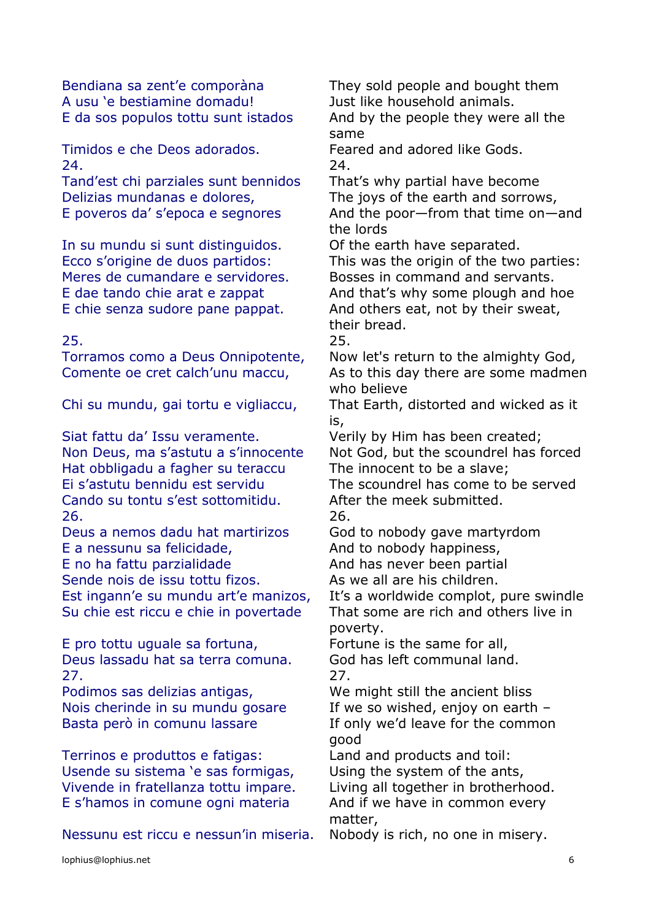Bendiana sa zent'e comporàna They sold people and bought them A usu 'e bestiamine domadu! Just like household animals.

Timidos e che Deos adorados. Feared and adored like Gods. 24. 24.

Tand'est chi parziales sunt bennidos That's why partial have become Delizias mundanas e dolores, The joys of the earth and sorrows,

In su mundu si sunt distinguidos. Of the earth have separated. Meres de cumandare e servidores. Bosses in command and servants.

25. 25.

Siat fattu da' Issu veramente. Verily by Him has been created; Hat obbligadu a fagher su teraccu The innocent to be a slave; Cando su tontu s'est sottomitidu. After the meek submitted. 26. 26.

E a nessunu sa felicidade, and to nobody happiness, E no ha fattu parzialidade And has never been partial Sende nois de issu tottu fizos. As we all are his children. Est ingann'e su mundu art'e manizos, It's a worldwide complot, pure swindle

E pro tottu uguale sa fortuna, Fortune is the same for all, Deus lassadu hat sa terra comuna. God has left communal land. 27. 27.

Podimos sas delizias antigas, We might still the ancient bliss Nois cherinde in su mundu gosare If we so wished, enjoy on earth –

Terrinos e produttos e fatigas: Land and products and toil: Usende su sistema 'e sas formigas, Using the system of the ants, Vivende in fratellanza tottu impare. Living all together in brotherhood. E s'hamos in comune ogni materia And if we have in common every

Nessunu est riccu e nessun'in miseria. Nobody is rich, no one in misery.

E da sos populos tottu sunt istados And by the people they were all the same

E poveros da' s'epoca e segnores And the poor-from that time on-and the lords

Ecco s'origine de duos partidos: This was the origin of the two parties: E dae tando chie arat e zappat And that's why some plough and hoe E chie senza sudore pane pappat. And others eat, not by their sweat, their bread.

Torramos como a Deus Onnipotente, Now let's return to the almighty God, Comente oe cret calch'unu maccu, As to this day there are some madmen who believe

Chi su mundu, gai tortu e vigliaccu, That Earth, distorted and wicked as it is,

Non Deus, ma s'astutu a s'innocente Not God, but the scoundrel has forced

Ei s'astutu bennidu est servidu The scoundrel has come to be served

Deus a nemos dadu hat martirizos God to nobody gave martyrdom

Su chie est riccu e chie in povertade That some are rich and others live in poverty.

Basta però in comunu lassare If only we'd leave for the common good

matter,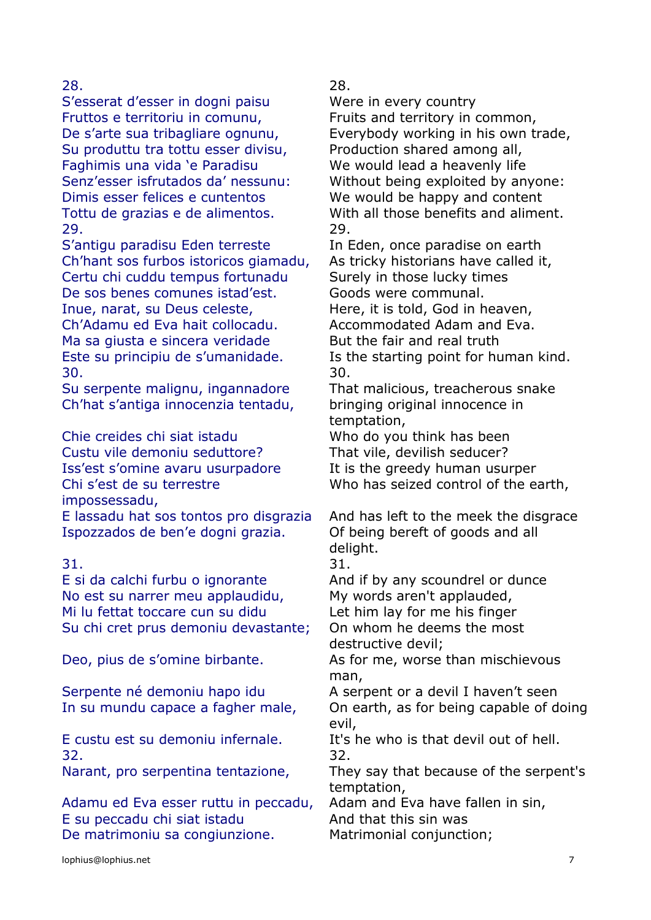S'esserat d'esser in dogni paisu Were in every country Fruttos e territoriu in comunu, Fruits and territory in common, Su produttu tra tottu esser divisu, Production shared among all, Faghimis una vida 'e Paradisu We would lead a heavenly life Dimis esser felices e cuntentos We would be happy and content 29. 29.

S'antigu paradisu Eden terreste In Eden, once paradise on earth Ch'hant sos furbos istoricos giamadu, As tricky historians have called it, Certu chi cuddu tempus fortunadu Surely in those lucky times De sos benes comunes istad'est. Goods were communal.

Ch'Adamu ed Eva hait collocadu. Accommodated Adam and Eva. Ma sa giusta e sincera veridade But the fair and real truth 30. 30.

Su serpente malignu, ingannadore That malicious, treacherous snake Ch'hat s'antiga innocenzia tentadu, bringing original innocence in

Chie creides chi siat istadu Who do you think has been Custu vile demoniu seduttore? That vile, devilish seducer? Iss'est s'omine avaru usurpadore It is the greedy human usurper Chi s'est de su terrestre impossessadu,

E lassadu hat sos tontos pro disgrazia And has left to the meek the disgrace Ispozzados de ben'e dogni grazia. Of being bereft of goods and all

E si da calchi furbu o ignorante And if by any scoundrel or dunce No est su narrer meu applaudidu, My words aren't applauded, Mi lu fettat toccare cun su didu Let him lay for me his finger Su chi cret prus demoniu devastante; On whom he deems the most

Serpente né demoniu hapo idu A serpent or a devil I haven't seen

32. 32.

Adamu ed Eva esser ruttu in peccadu, Adam and Eva have fallen in sin, E su peccadu chi siat istadu And that this sin was De matrimoniu sa congiunzione. Matrimonial conjunction;

28. 28.

De s'arte sua tribagliare ognunu, Everybody working in his own trade, Senz'esser isfrutados da' nessunu: Without being exploited by anyone: Tottu de grazias e de alimentos. With all those benefits and aliment.

Inue, narat, su Deus celeste, Here, it is told, God in heaven, Este su principiu de s'umanidade. Is the starting point for human kind.

temptation,

Who has seized control of the earth,

delight.

31. 31.

destructive devil;

Deo, pius de s'omine birbante. As for me, worse than mischievous man,

In su mundu capace a fagher male, On earth, as for being capable of doing evil,

E custu est su demoniu infernale. It's he who is that devil out of hell.

Narant, pro serpentina tentazione, They say that because of the serpent's temptation,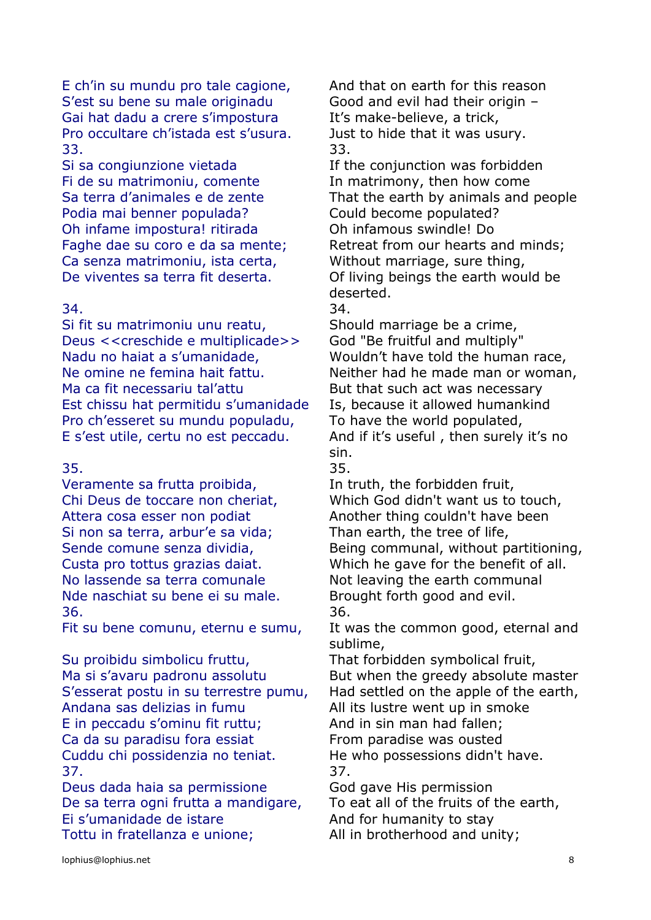E ch'in su mundu pro tale cagione, And that on earth for this reason S'est su bene su male originadu Good and evil had their origin – Gai hat dadu a crere s'impostura It's make-believe, a trick, Pro occultare ch'istada est s'usura. Just to hide that it was usury. 33. 33.

Si sa congiunzione vietada If the conjunction was forbidden Fi de su matrimoniu, comente In matrimony, then how come Podia mai benner populada? Could become populated? Oh infame impostura! ritirada Oh infamous swindle! Do Ca senza matrimoniu, ista certa, Without marriage, sure thing,

### 34. 34.

Si fit su matrimoniu unu reatu, Should marriage be a crime, Deus <<creschide e multiplicade>> God "Be fruitful and multiply" Nadu no haiat a s'umanidade, Wouldn't have told the human race, Ma ca fit necessariu tal'attu But that such act was necessary Est chissu hat permitidu s'umanidade Is, because it allowed humankind Pro ch'esseret su mundu populadu, To have the world populated, E s'est utile, certu no est peccadu. And if it's useful , then surely it's no

### 35. 35.

Veramente sa frutta proibida, The truth, the forbidden fruit, Attera cosa esser non podiat Another thing couldn't have been Si non sa terra, arbur'e sa vida;<br>Than earth, the tree of life, No lassende sa terra comunale **Not leaving the earth communal** Nde naschiat su bene ei su male. Brought forth good and evil. 36. 36.

Su proibidu simbolicu fruttu, That forbidden symbolical fruit, Andana sas delizias in fumu and All its lustre went up in smoke E in peccadu s'ominu fit ruttu: And in sin man had fallen: Ca da su paradisu fora essiat From paradise was ousted Cuddu chi possidenzia no teniat. He who possessions didn't have. 37. 37.

Deus dada haia sa permissione God gave His permission De sa terra ogni frutta a mandigare, To eat all of the fruits of the earth, Ei s'umanidade de istare And for humanity to stay Tottu in fratellanza e unione; All in brotherhood and unity;

Sa terra d'animales e de zente That the earth by animals and people Faghe dae su coro e da sa mente; Retreat from our hearts and minds; De viventes sa terra fit deserta. Of living beings the earth would be deserted.

Ne omine ne femina hait fattu. Neither had he made man or woman, sin.

Chi Deus de toccare non cheriat, Which God didn't want us to touch, Sende comune senza dividia, Being communal, without partitioning, Custa pro tottus grazias daiat. Which he gave for the benefit of all.

Fit su bene comunu, eternu e sumu, It was the common good, eternal and sublime,

Ma si s'avaru padronu assolutu But when the greedy absolute master S'esserat postu in su terrestre pumu, Had settled on the apple of the earth,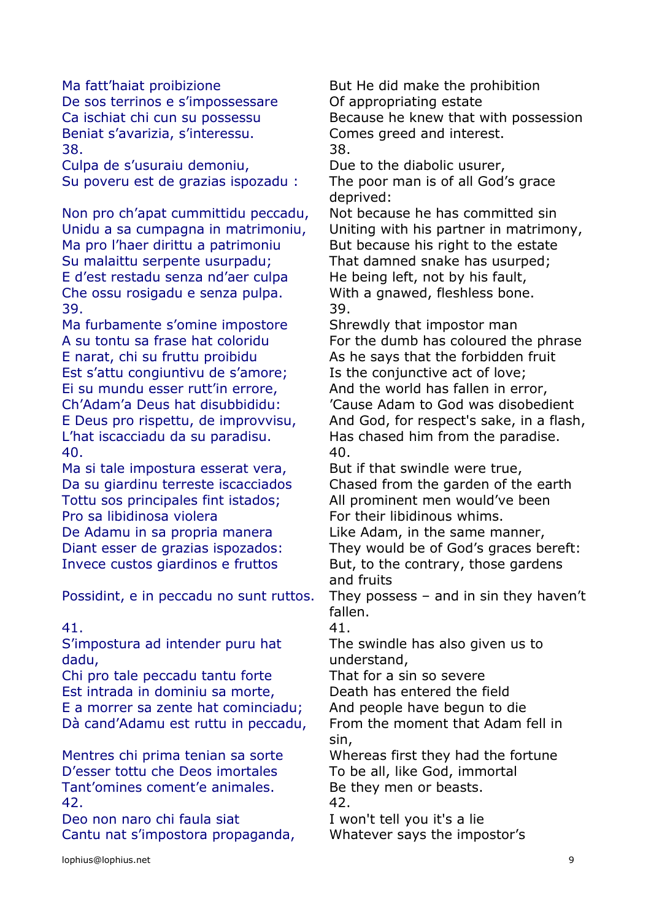De sos terrinos e s'impossessare Of appropriating estate Beniat s'avarizia, s'interessu. Comes greed and interest. 38. 38.

Culpa de s'usuraiu demoniu, Due to the diabolic usurer, Su poveru est de grazias ispozadu : The poor man is of all God's grace

Non pro ch'apat cummittidu peccadu, Not because he has committed sin Ma pro l'haer dirittu a patrimoniu But because his right to the estate Su malaittu serpente usurpadu; That damned snake has usurped; E d'est restadu senza nd'aer culpa He being left, not by his fault, Che ossu rosigadu e senza pulpa. With a gnawed, fleshless bone. 39. 39.

Ma furbamente s'omine impostore Shrewdly that impostor man E narat, chi su fruttu proibidu As he says that the forbidden fruit Est s'attu congiuntivu de s'amore; Is the conjunctive act of love; Ei su mundu esser rutt'in errore, And the world has fallen in error, L'hat iscacciadu da su paradisu. Has chased him from the paradise. 40. 40.

Ma si tale impostura esserat vera, But if that swindle were true, Tottu sos principales fint istados; All prominent men would've been Pro sa libidinosa violera For their libidinous whims. De Adamu in sa propria manera Like Adam, in the same manner,

S'impostura ad intender puru hat dadu,

Chi pro tale peccadu tantu forte That for a sin so severe Est intrada in dominiu sa morte, Death has entered the field E a morrer sa zente hat cominciadu; And people have begun to die Dà cand'Adamu est ruttu in peccadu, From the moment that Adam fell in

D'esser tottu che Deos imortales To be all, like God, immortal Tant'omines coment'e animales. Be they men or beasts. 42. 42.

Deo non naro chi faula siat I won't tell you it's a lie Cantu nat s'impostora propaganda, Whatever says the impostor's

Ma fatt'haiat proibizione **But He did make the prohibition** Ca ischiat chi cun su possessu Because he knew that with possession

deprived:

Unidu a sa cumpagna in matrimoniu, Uniting with his partner in matrimony,

A su tontu sa frase hat coloridu For the dumb has coloured the phrase Ch'Adam'a Deus hat disubbididu: 'Cause Adam to God was disobedient E Deus pro rispettu, de improvvisu, And God, for respect's sake, in a flash,

Da su giardinu terreste iscacciados Chased from the garden of the earth

Diant esser de grazias ispozados: They would be of God's graces bereft: Invece custos giardinos e fruttos But, to the contrary, those gardens and fruits

Possidint, e in peccadu no sunt ruttos. They possess – and in sin they haven't fallen.

41. 41.

The swindle has also given us to understand,

sin,

Mentres chi prima tenian sa sorte Whereas first they had the fortune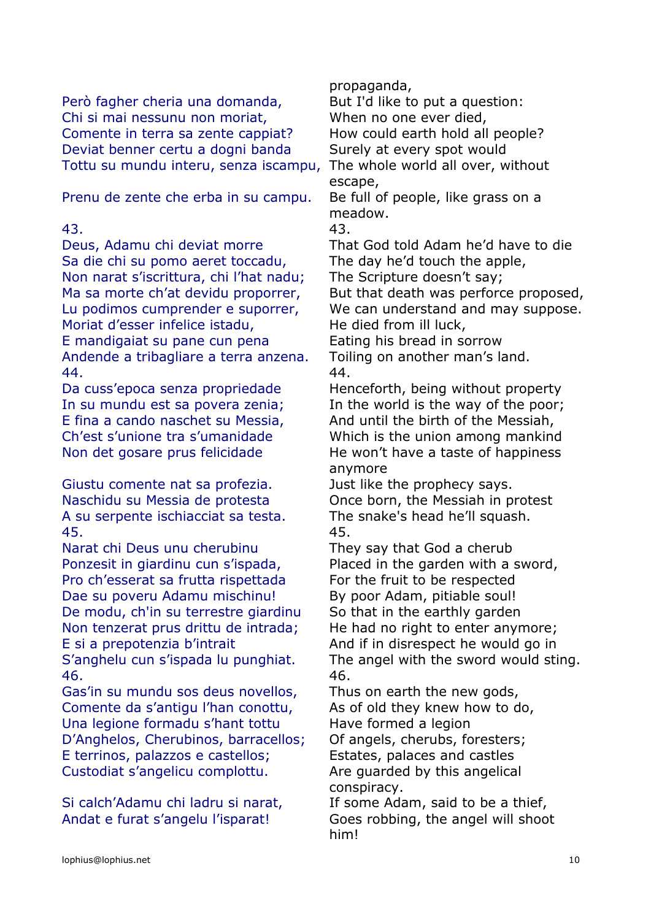Però fagher cheria una domanda, But I'd like to put a question: Chi si mai nessunu non moriat, When no one ever died, Comente in terra sa zente cappiat? How could earth hold all people? Deviat benner certu a dogni banda Surely at every spot would Tottu su mundu interu, senza iscampu, The whole world all over, without

Prenu de zente che erba in su campu. Be full of people, like grass on a

Sa die chi su pomo aeret toccadu, The day he'd touch the apple, Non narat s'iscrittura, chi l'hat nadu; The Scripture doesn't say; Ma sa morte ch'at devidu proporrer, But that death was perforce proposed, Moriat d'esser infelice istadu, He died from ill luck, E mandigaiat su pane cun pena Eating his bread in sorrow Andende a tribagliare a terra anzena. Toiling on another man's land. 44. 44.

Giustu comente nat sa profezia. Just like the prophecy says. Naschidu su Messia de protesta Once born, the Messiah in protest A su serpente ischiacciat sa testa. The snake's head he'll squash. 45. 45.

Narat chi Deus unu cherubinu They say that God a cherub Ponzesit in giardinu cun s'ispada, Placed in the garden with a sword, Pro ch'esserat sa frutta rispettada For the fruit to be respected Dae su poveru Adamu mischinu! By poor Adam, pitiable soul! De modu, ch'in su terrestre giardinu So that in the earthly garden Non tenzerat prus drittu de intrada; He had no right to enter anymore; E si a prepotenzia b'intrait And if in disrespect he would go in

46. 46.

Gas'in su mundu sos deus novellos, Thus on earth the new gods, Comente da s'antigu l'han conottu, As of old they knew how to do, Una legione formadu s'hant tottu Have formed a legion D'Anghelos, Cherubinos, barracellos; Of angels, cherubs, foresters; E terrinos, palazzos e castellos; Estates, palaces and castles Custodiat s'angelicu complottu. Are guarded by this angelical

Si calch'Adamu chi ladru si narat, If some Adam, said to be a thief,

propaganda,

escape,

meadow.

43. 43.

Deus, Adamu chi deviat morre That God told Adam he'd have to die

Lu podimos cumprender e suporrer, We can understand and may suppose.

Da cuss'epoca senza propriedade Henceforth, being without property In su mundu est sa povera zenia; In the world is the way of the poor; E fina a cando naschet su Messia, And until the birth of the Messiah, Ch'est s'unione tra s'umanidade Which is the union among mankind Non det gosare prus felicidade He won't have a taste of happiness anymore

S'anghelu cun s'ispada lu punghiat. The angel with the sword would sting.

conspiracy.

Andat e furat s'angelu l'isparat! Goes robbing, the angel will shoot him!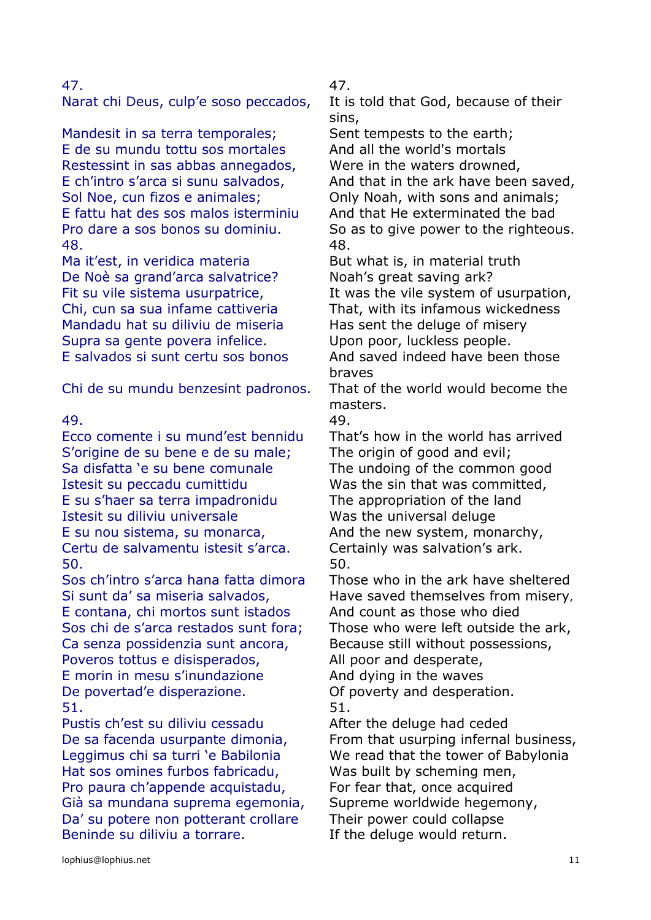Narat chi Deus, culp'e soso peccados, It is told that God, because of their

Mandesit in sa terra temporales; Sent tempests to the earth; E de su mundu tottu sos mortales And all the world's mortals Restessint in sas abbas annegados, Were in the waters drowned, Sol Noe, cun fizos e animales; Conly Noah, with sons and animals; E fattu hat des sos malos isterminiu And that He exterminated the bad 48. 48.

Ma it'est, in veridica materia But what is, in material truth De Noè sa grand'arca salvatrice? Noah's great saving ark? Mandadu hat su diliviu de miseria Has sent the deluge of misery Supra sa gente povera infelice. Upon poor, luckless people.

Chi de su mundu benzesint padronos. That of the world would become the

Ecco comente i su mund'est bennidu That's how in the world has arrived S'origine de su bene e de su male; The origin of good and evil; Sa disfatta 'e su bene comunale The undoing of the common good Istesit su peccadu cumittidu Was the sin that was committed, E su s'haer sa terra impadronidu The appropriation of the land Istesit su diliviu universale Was the universal deluge E su nou sistema, su monarca, And the new system, monarchy, Certu de salvamentu istesit s'arca. Certainly was salvation's ark. 50. 50.

E contana, chi mortos sunt istados And count as those who died Sos chi de s'arca restados sunt fora; Those who were left outside the ark, Ca senza possidenzia sunt ancora, Because still without possessions, Poveros tottus e disisperados, and poor and desperate, E morin in mesu s'inundazione And dying in the waves De povertad'e disperazione. Of poverty and desperation. 51. 51.

Pustis ch'est su diliviu cessadu After the deluge had ceded Leggimus chi sa turri 'e Babilonia We read that the tower of Babylonia Hat sos omines furbos fabricadu, Was built by scheming men, Pro paura ch'appende acquistadu, For fear that, once acquired Già sa mundana suprema egemonia, Supreme worldwide hegemony, Da' su potere non potterant crollare Their power could collapse Beninde su diliviu a torrare. The deluge would return.

47. 47.

sins,

E ch'intro s'arca si sunu salvados, And that in the ark have been saved, Pro dare a sos bonos su dominiu. So as to give power to the righteous.

Fit su vile sistema usurpatrice, The Mas the vile system of usurpation, Chi, cun sa sua infame cattiveria That, with its infamous wickedness E salvados si sunt certu sos bonos And saved indeed have been those braves

masters.

49. 49.

Sos ch'intro s'arca hana fatta dimora Those who in the ark have sheltered Si sunt da' sa miseria salvados, Have saved themselves from misery,

De sa facenda usurpante dimonia, From that usurping infernal business,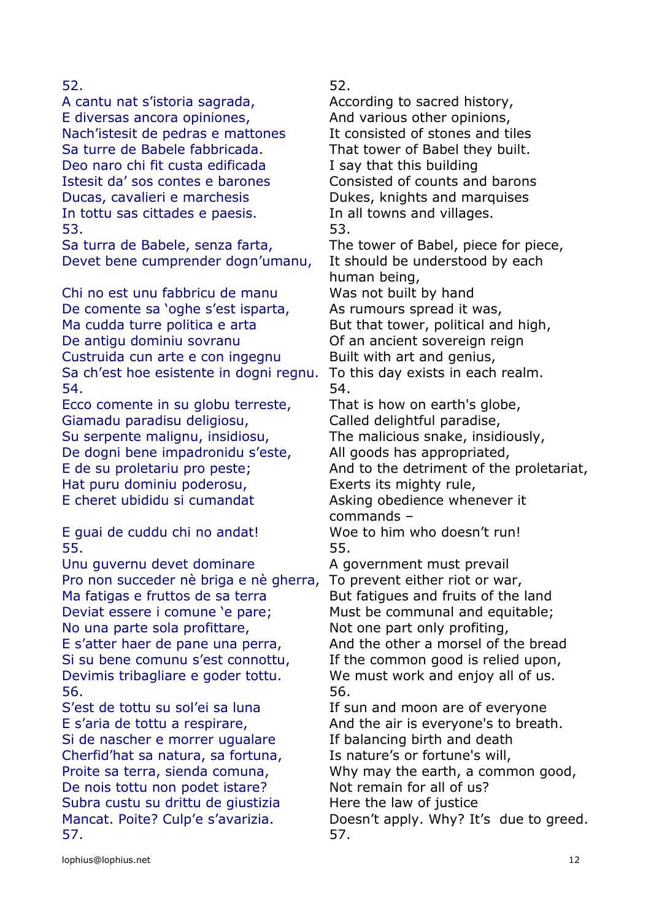A cantu nat s'istoria sagrada, According to sacred history, E diversas ancora opiniones, And various other opinions, Nach'istesit de pedras e mattones It consisted of stones and tiles Sa turre de Babele fabbricada. That tower of Babel they built. Deo naro chi fit custa edificada I say that this building Istesit da' sos contes e barones Consisted of counts and barons Ducas, cavalieri e marchesis **Dukes**, knights and marquises In tottu sas cittades e paesis. In all towns and villages. 53. 53.

Devet bene cumprender dogn'umanu, It should be understood by each

Chi no est unu fabbricu de manu Was not built by hand De comente sa 'oghe s'est isparta, As rumours spread it was, Ma cudda turre politica e arta But that tower, political and high, De antigu dominiu sovranu **Of an ancient sovereign reign** Custruida cun arte e con ingegnu Built with art and genius, Sa ch'est hoe esistente in dogni regnu. To this day exists in each realm. 54. 54.

Ecco comente in su globu terreste, That is how on earth's globe, Giamadu paradisu deligiosu, Called delightful paradise, Su serpente malignu, insidiosu, The malicious snake, insidiously, De dogni bene impadronidu s'este, All goods has appropriated, Hat puru dominiu poderosu, Exerts its mighty rule, E cheret ubididu si cumandat Asking obedience whenever it

55. 55.

Unu guvernu devet dominare A government must prevail Pro non succeder nè briga e nè gherra, To prevent either riot or war, Ma fatigas e fruttos de sa terra But fatigues and fruits of the land Deviat essere i comune 'e pare; Must be communal and equitable; No una parte sola profittare, Not one part only profiting, E s'atter haer de pane una perra, And the other a morsel of the bread Si su bene comunu s'est connottu, If the common good is relied upon, Devimis tribagliare e goder tottu. We must work and enjoy all of us. 56. 56.

Si de nascher e morrer ugualare If balancing birth and death Cherfid'hat sa natura, sa fortuna, Is nature's or fortune's will, Proite sa terra, sienda comuna, Why may the earth, a common good, De nois tottu non podet istare? Not remain for all of us? Subra custu su drittu de giustizia Here the law of justice 57. 57.

52. 52.

Sa turra de Babele, senza farta, The tower of Babel, piece for piece, human being, E de su proletariu pro peste;<br>
And to the detriment of the proletariat, commands – E guai de cuddu chi no andat! Woe to him who doesn't run! S'est de tottu su sol'ei sa luna If sun and moon are of everyone E s'aria de tottu a respirare, And the air is everyone's to breath.

Mancat. Poite? Culp'e s'avarizia. Doesn't apply. Why? It's due to greed.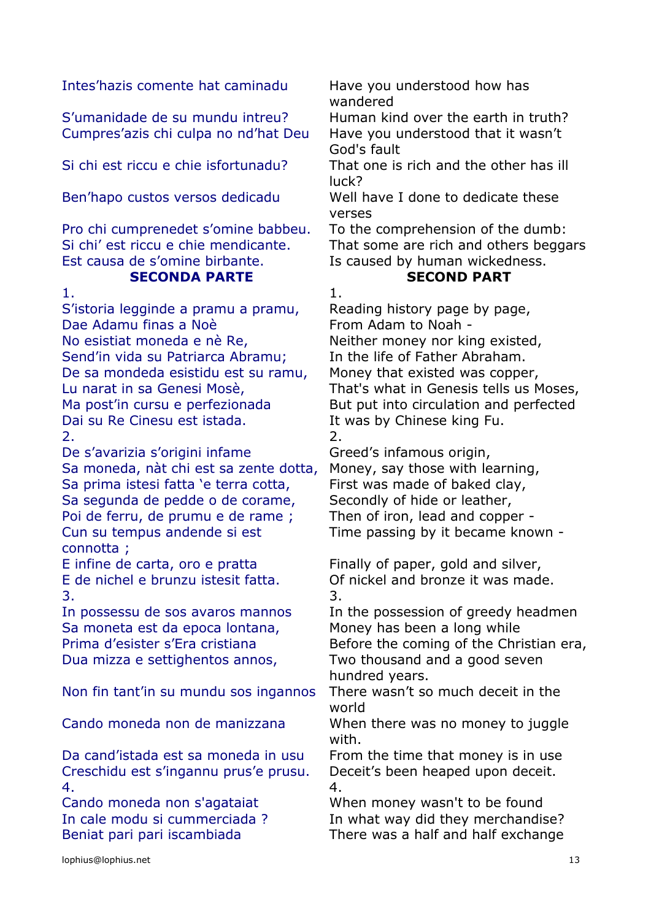Intes'hazis comente hat caminadu Have you understood how has

S'umanidade de su mundu intreu? Human kind over the earth in truth? Cumpres'azis chi culpa no nd'hat Deu Have you understood that it wasn't

Pro chi cumprenedet s'omine babbeu. To the comprehension of the dumb: Est causa de s'omine birbante. Is caused by human wickedness.

# **SECONDA PARTE SECOND PART**

1. In the case of  $\overline{1}$ . S'istoria legginde a pramu a pramu, Reading history page by page, Dae Adamu finas a Noè **From Adam to Noah -**No esistiat moneda e nè Re, Neither money nor king existed, Send'in vida su Patriarca Abramu; In the life of Father Abraham. De sa mondeda esistidu est su ramu, Money that existed was copper, Dai su Re Cinesu est istada. It was by Chinese king Fu.  $2.$ 

De s'avarizia s'origini infame Greed's infamous origin, Sa moneda, nàt chi est sa zente dotta, Money, say those with learning, Sa prima istesi fatta 'e terra cotta, First was made of baked clay, Sa segunda de pedde o de corame, Secondly of hide or leather, Poi de ferru, de prumu e de rame ; Then of iron, lead and copper -Cun su tempus andende si est connotta ;

E infine de carta, oro e pratta Finally of paper, gold and silver,  $3.$ 

Sa moneta est da epoca lontana, Money has been a long while Dua mizza e settighentos annos, Two thousand and a good seven

Non fin tant'in su mundu sos ingannos There wasn't so much deceit in the

Da cand'istada est sa moneda in usu From the time that money is in use Creschidu est s'ingannu prus'e prusu. Deceit's been heaped upon deceit. 4. 4.

wandered

God's fault

Si chi est riccu e chie isfortunadu? That one is rich and the other has ill luck?

Ben'hapo custos versos dedicadu Well have I done to dedicate these verses

Si chi' est riccu e chie mendicante. That some are rich and others beggars

Lu narat in sa Genesi Mosè, That's what in Genesis tells us Moses, Ma post'in cursu e perfezionada But put into circulation and perfected

Time passing by it became known -

E de nichel e brunzu istesit fatta. Of nickel and bronze it was made.

In possessu de sos avaros mannos In the possession of greedy headmen Prima d'esister s'Era cristiana Before the coming of the Christian era, hundred years.

world

Cando moneda non de manizzana When there was no money to juggle with.

Cando moneda non s'agataiat When money wasn't to be found In cale modu si cummerciada ? In what way did they merchandise? Beniat pari pari iscambiada There was a half and half exchange

lophius@lophius.net 13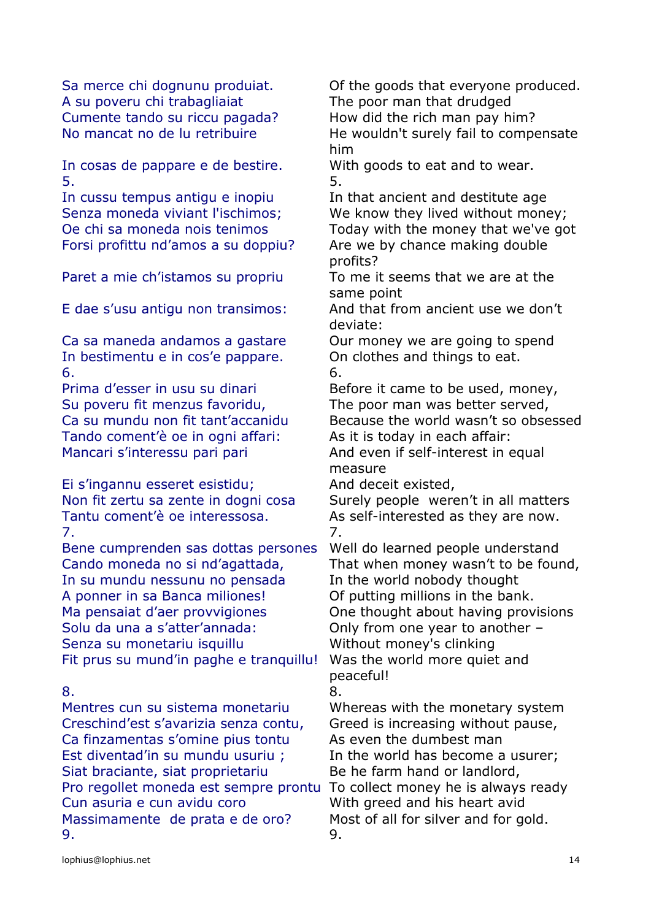A su poveru chi trabagliaiat The poor man that drudged Cumente tando su riccu pagada? How did the rich man pay him?

In cosas de pappare e de bestire. With goods to eat and to wear.  $5.$ 

In cussu tempus antigu e inopiu In that ancient and destitute age Forsi profittu nd'amos a su doppiu? Are we by chance making double

Ca sa maneda andamos a gastare Our money we are going to spend In bestimentu e in cos'e pappare. On clothes and things to eat.  $\sim$  6.

Su poveru fit menzus favoridu, The poor man was better served, Tando coment'è oe in ogni affari: As it is today in each affair: Mancari s'interessu pari pari and And even if self-interest in equal

Ei s'ingannu esseret esistidu; And deceit existed, Tantu coment'è oe interessosa. As self-interested as they are now. 7. 7.

Bene cumprenden sas dottas persones Well do learned people understand Cando moneda no si nd'agattada, That when money wasn't to be found, In su mundu nessunu no pensada In the world nobody thought A ponner in sa Banca miliones! Of putting millions in the bank. Ma pensaiat d'aer provvigiones **One thought about having provisions** Solu da una a s'atter'annada: Only from one year to another – Senza su monetariu isquillu Without money's clinking Fit prus su mund'in paghe e tranquillu! Was the world more quiet and

Mentres cun su sistema monetariu Whereas with the monetary system Creschind'est s'avarizia senza contu, Greed is increasing without pause, Ca finzamentas s'omine pius tontu As even the dumbest man Est diventad'in su mundu usuriu ; In the world has become a usurer; Siat braciante, siat proprietariu Be he farm hand or landlord, Pro regollet moneda est sempre prontu To collect money he is always ready Cun asuria e cun avidu coro With greed and his heart avid Massimamente de prata e de oro? Most of all for silver and for gold. 9. 9.

Sa merce chi dognunu produiat. Of the goods that everyone produced. No mancat no de lu retribuire He wouldn't surely fail to compensate him

Senza moneda viviant l'ischimos; We know they lived without money; Oe chi sa moneda nois tenimos Today with the money that we've got profits?

Paret a mie ch'istamos su propriu To me it seems that we are at the same point

E dae s'usu antigu non transimos: And that from ancient use we don't deviate:

Prima d'esser in usu su dinari Before it came to be used, money, Ca su mundu non fit tant'accanidu Because the world wasn't so obsessed

measure

Non fit zertu sa zente in dogni cosa Surely people weren't in all matters

peaceful!

# 8. 8.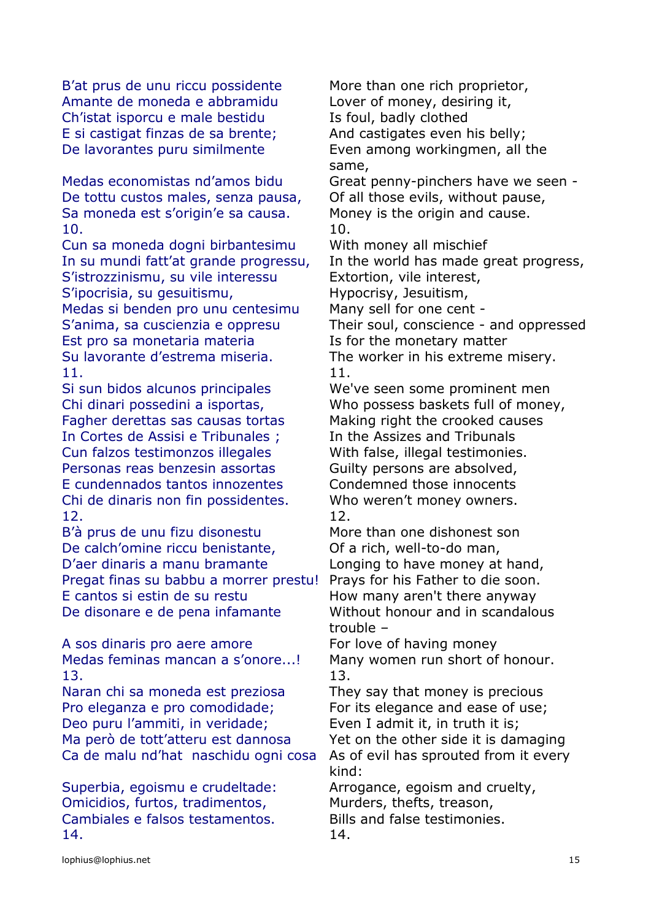B'at prus de unu riccu possidente More than one rich proprietor, Amante de moneda e abbramidu Lover of money, desiring it, Ch'istat isporcu e male bestidu Is foul, badly clothed E si castigat finzas de sa brente; And castigates even his belly; De lavorantes puru similmente Even among workingmen, all the

Medas economistas nd'amos bidu Great penny-pinchers have we seen - De tottu custos males, senza pausa, Of all those evils, without pause, Sa moneda est s'origin'e sa causa. Money is the origin and cause. 10. 10.

Cun sa moneda dogni birbantesimu With money all mischief S'istrozzinismu, su vile interessu Extortion, vile interest, S'ipocrisia, su gesuitismu, http://www.witism.com/hypocrisy, Jesuitism,

Medas si benden pro unu centesimu Many sell for one cent -Est pro sa monetaria materia Is for the monetary matter Su lavorante d'estrema miseria. The worker in his extreme misery. 11. 11.

Si sun bidos alcunos principales We've seen some prominent men Fagher derettas sas causas tortas Making right the crooked causes In Cortes de Assisi e Tribunales: In the Assizes and Tribunals Cun falzos testimonzos illegales With false, illegal testimonies. Personas reas benzesin assortas Guilty persons are absolved, E cundennados tantos innozentes Condemned those innocents Chi de dinaris non fin possidentes. Who weren't money owners. 12. 12.

B'à prus de unu fizu disonestu More than one dishonest son De calch'omine riccu benistante, Coldination Controller of a rich, well-to-do man, D'aer dinaris a manu bramante Longing to have money at hand, Pregat finas su babbu a morrer prestu! Prays for his Father to die soon. E cantos si estin de su restu How many aren't there anyway De disonare e de pena infamante Without honour and in scandalous

A sos dinaris pro aere amore For love of having money Medas feminas mancan a s'onore...! Many women run short of honour. 13. 13.

Naran chi sa moneda est preziosa They say that money is precious Pro eleganza e pro comodidade: For its elegance and ease of use: Deo puru l'ammiti, in veridade; Even I admit it, in truth it is; Ma però de tott'atteru est dannosa Yet on the other side it is damaging Ca de malu nd'hat naschidu ogni cosa As of evil has sprouted from it every

Superbia, egoismu e crudeltade: Arrogance, egoism and cruelty, Omicidios, furtos, tradimentos, Murders, thefts, treason, Cambiales e falsos testamentos. Bills and false testimonies. 14. 14.

same,

In su mundi fatt'at grande progressu, In the world has made great progress,

S'anima, sa cuscienzia e oppresu Their soul, conscience - and oppressed

Chi dinari possedini a isportas, Who possess baskets full of money,

trouble –

kind: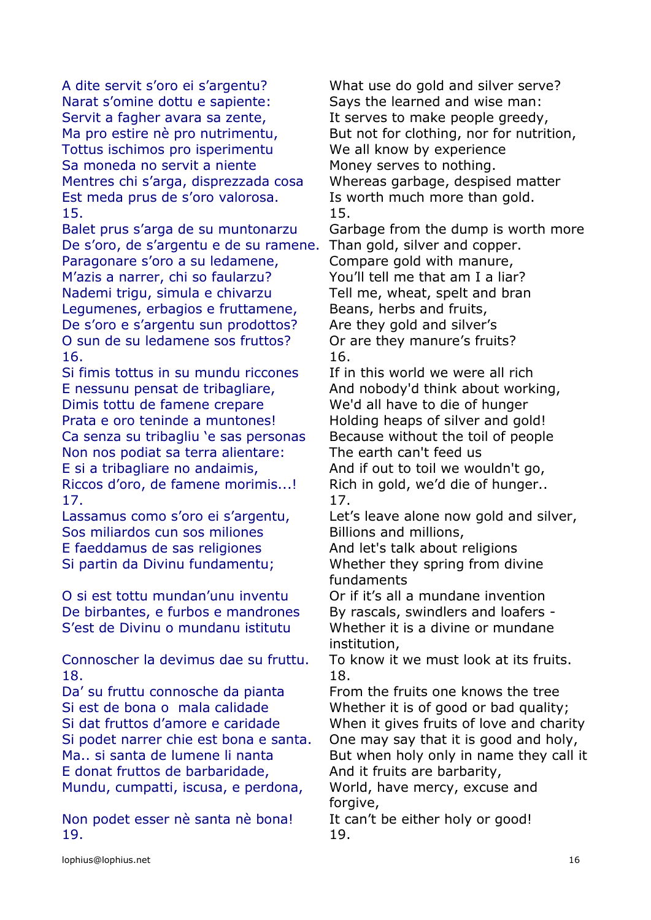A dite servit s'oro ei s'argentu? What use do gold and silver serve? Narat s'omine dottu e sapiente: Says the learned and wise man: Servit a fagher avara sa zente, It serves to make people greedy, Tottus ischimos pro isperimentu We all know by experience Sa moneda no servit a niente Money serves to nothing. Mentres chi s'arga, disprezzada cosa Whereas garbage, despised matter Est meda prus de s'oro valorosa. Is worth much more than gold. 15. 15.

De s'oro, de s'argentu e de su ramene. Than gold, silver and copper. Paragonare s'oro a su ledamene, Compare gold with manure, M'azis a narrer, chi so faularzu? You'll tell me that am I a liar? Nademi trigu, simula e chivarzu Tell me, wheat, spelt and bran Legumenes, erbagios e fruttamene, Beans, herbs and fruits, De s'oro e s'argentu sun prodottos? Are they gold and silver's O sun de su ledamene sos fruttos? Or are they manure's fruits? 16. 16.

Si fimis tottus in su mundu riccones If in this world we were all rich E nessunu pensat de tribagliare, And nobody'd think about working, Dimis tottu de famene crepare We'd all have to die of hunger Prata e oro teninde a muntones! Holding heaps of silver and gold! Ca senza su tribagliu 'e sas personas Because without the toil of people Non nos podiat sa terra alientare: The earth can't feed us E si a tribagliare no andaimis, and if out to toil we wouldn't go, Riccos d'oro, de famene morimis...! Rich in gold, we'd die of hunger.. 17. 17.

Sos miliardos cun sos miliones Billions and millions, E faeddamus de sas religiones And let's talk about religions Si partin da Divinu fundamentu; Whether they spring from divine

O si est tottu mundan'unu inventu Or if it's all a mundane invention De birbantes, e furbos e mandrones By rascals, swindlers and loafers -S'est de Divinu o mundanu istitutu Whether it is a divine or mundane

Connoscher la devimus dae su fruttu. To know it we must look at its fruits. 18. 18.

Da' su fruttu connosche da pianta From the fruits one knows the tree Si est de bona o mala calidade Whether it is of good or bad quality; E donat fruttos de barbaridade, And it fruits are barbarity, Mundu, cumpatti, iscusa, e perdona, World, have mercy, excuse and

Non podet esser nè santa nè bona! It can't be either holy or good! 19. 19.

Ma pro estire nè pro nutrimentu, But not for clothing, nor for nutrition,

Balet prus s'arga de su muntonarzu Garbage from the dump is worth more

Lassamus como s'oro ei s'argentu, Let's leave alone now gold and silver,

fundaments

institution,

Si dat fruttos d'amore e caridade When it gives fruits of love and charity Si podet narrer chie est bona e santa. One may say that it is good and holy, Ma.. si santa de lumene li nanta But when holy only in name they call it

forgive,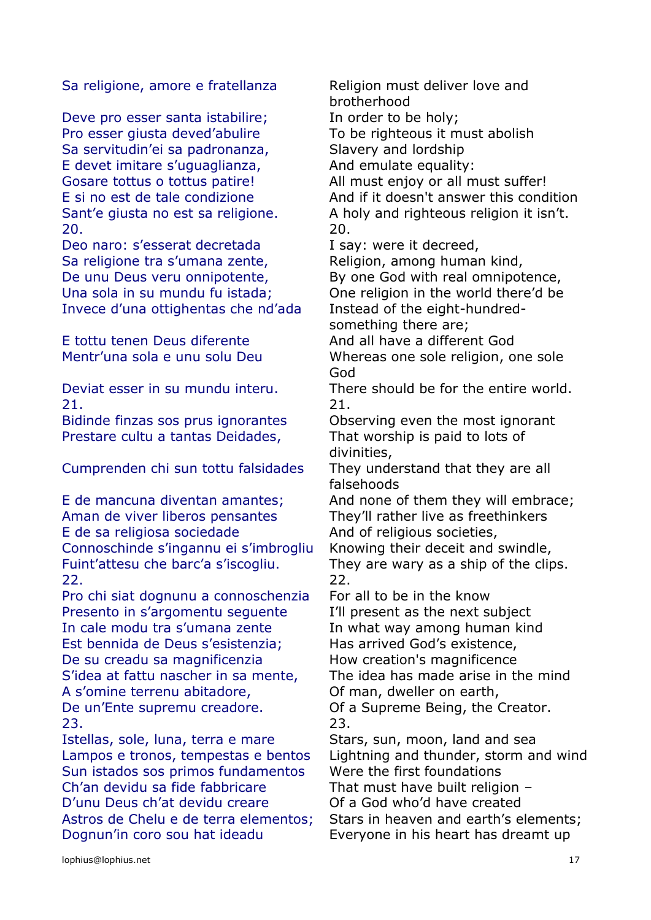Sa religione, amore e fratellanza Religion must deliver love and

Deve pro esser santa istabilire; In order to be holy; Pro esser giusta deved'abulire To be righteous it must abolish Sa servitudin'ei sa padronanza, Slavery and lordship E devet imitare s'uguaglianza, And emulate equality: Gosare tottus o tottus patire! All must enjoy or all must suffer! 20. 20.

Deo naro: s'esserat decretada I say: were it decreed, Sa religione tra s'umana zente, Religion, among human kind, De unu Deus veru onnipotente, By one God with real omnipotence, Una sola in su mundu fu istada; One religion in the world there'd be Invece d'una ottighentas che nd'ada Instead of the eight-hundred-

E tottu tenen Deus diferente And all have a different God

21. 21.

Prestare cultu a tantas Deidades, That worship is paid to lots of

Cumprenden chi sun tottu falsidades They understand that they are all

E de mancuna diventan amantes; And none of them they will embrace; Aman de viver liberos pensantes They'll rather live as freethinkers E de sa religiosa sociedade And of religious societies, Connoschinde s'ingannu ei s'imbrogliu Knowing their deceit and swindle, Fuint'attesu che barc'a s'iscogliu. They are wary as a ship of the clips. 22. 22.

Pro chi siat dognunu a connoschenzia For all to be in the know Presento in s'argomentu sequente I'll present as the next subject In cale modu tra s'umana zente In what way among human kind Est bennida de Deus s'esistenzia; Has arrived God's existence, De su creadu sa magnificenzia How creation's magnificence S'idea at fattu nascher in sa mente, The idea has made arise in the mind A s'omine terrenu abitadore, Of man, dweller on earth, De un'Ente supremu creadore. Of a Supreme Being, the Creator. 23. 23.

Istellas, sole, luna, terra e mare Stars, sun, moon, land and sea Sun istados sos primos fundamentos Were the first foundations Ch'an devidu sa fide fabbricare That must have built religion – D'unu Deus ch'at devidu creare **Of a God who'd have created** Astros de Chelu e de terra elementos; Stars in heaven and earth's elements; Dognun'in coro sou hat ideadu Everyone in his heart has dreamt up

brotherhood

E si no est de tale condizione And if it doesn't answer this condition Sant'e giusta no est sa religione. A holy and righteous religion it isn't.

something there are;

Mentr'una sola e unu solu Deu Whereas one sole religion, one sole God

Deviat esser in su mundu interu. There should be for the entire world.

Bidinde finzas sos prus ignorantes Observing even the most ignorant divinities,

falsehoods

Lampos e tronos, tempestas e bentos Lightning and thunder, storm and wind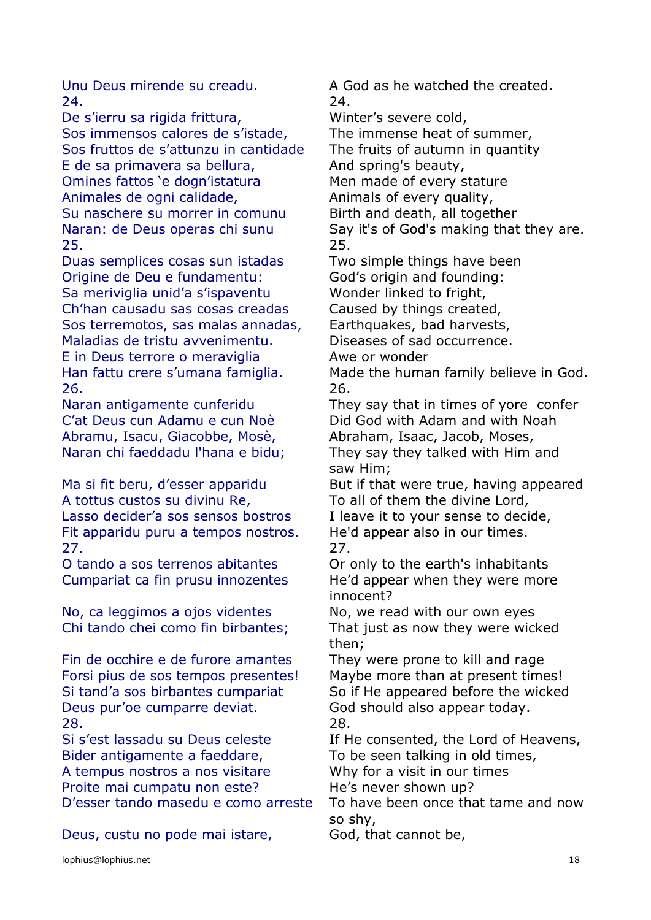24. 24.

De s'ierru sa rigida frittura, Winter's severe cold, Sos immensos calores de s'istade, The immense heat of summer, Sos fruttos de s'attunzu in cantidade The fruits of autumn in quantity E de sa primavera sa bellura, and spring's beauty, Omines fattos 'e dogn'istatura Men made of every stature Animales de ogni calidade, Animals of every quality, Su naschere su morrer in comunu Birth and death, all together 25. 25.

Duas semplices cosas sun istadas Two simple things have been Origine de Deu e fundamentu: God's origin and founding: Sa meriviglia unid'a s'ispaventu Wonder linked to fright, Ch'han causadu sas cosas creadas Caused by things created, Sos terremotos, sas malas annadas, Earthquakes, bad harvests, Maladias de tristu avvenimentu. Diseases of sad occurrence. E in Deus terrore o meraviglia Awe or wonder 26. 26.

Abramu, Isacu, Giacobbe, Mosè, Abraham, Isaac, Jacob, Moses,

A tottus custos su divinu Re, To all of them the divine Lord, Lasso decider'a sos sensos bostros I leave it to your sense to decide, Fit apparidu puru a tempos nostros. He'd appear also in our times. 27. 27.

O tando a sos terrenos abitantes Or only to the earth's inhabitants

No, ca leggimos a ojos videntes No, we read with our own eyes

Fin de occhire e de furore amantes They were prone to kill and rage Forsi pius de sos tempos presentes! Maybe more than at present times! Deus pur'oe cumparre deviat. God should also appear today. 28. 28.

Bider antigamente a faeddare, To be seen talking in old times, A tempus nostros a nos visitare Why for a visit in our times Proite mai cumpatu non este? He's never shown up?

Deus, custu no pode mai istare, God, that cannot be,

Unu Deus mirende su creadu. A God as he watched the created.

Naran: de Deus operas chi sunu Say it's of God's making that they are.

Han fattu crere s'umana famiglia. Made the human family believe in God.

Naran antigamente cunferidu They say that in times of yore confer C'at Deus cun Adamu e cun Noè Did God with Adam and with Noah Naran chi faeddadu l'hana e bidu; They say they talked with Him and saw Him;

Ma si fit beru, d'esser apparidu But if that were true, having appeared

Cumpariat ca fin prusu innozentes He'd appear when they were more innocent?

Chi tando chei como fin birbantes; That just as now they were wicked then;

Si tand'a sos birbantes cumpariat So if He appeared before the wicked

Si s'est lassadu su Deus celeste If He consented, the Lord of Heavens,

D'esser tando masedu e como arreste To have been once that tame and now so shy,

lophius@lophius.net 18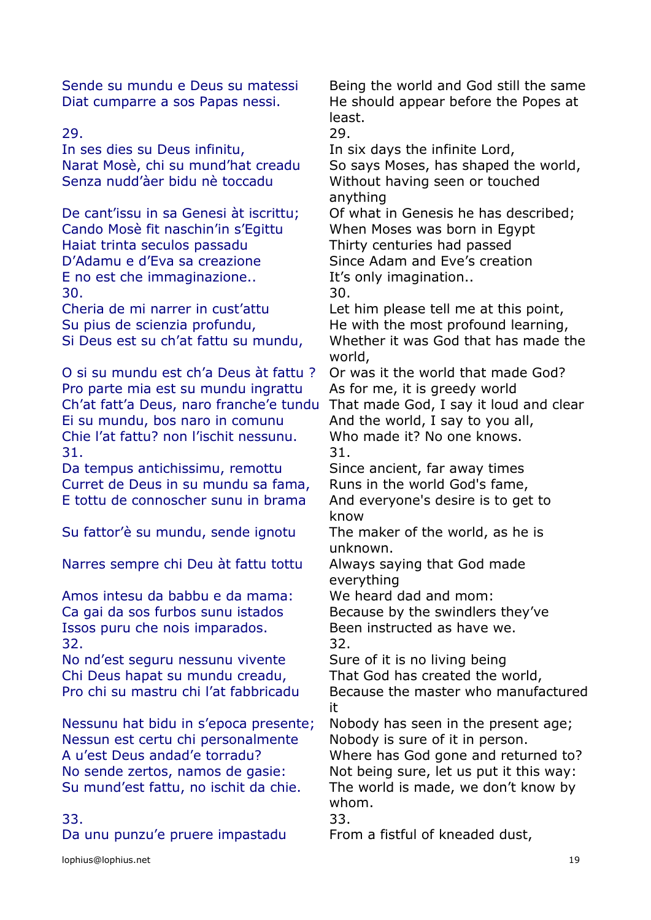In ses dies su Deus infinitu, The six days the infinite Lord, Senza nudd'àer bidu nè toccadu Without having seen or touched

Cando Mosè fit naschin'in s'Egittu When Moses was born in Egypt Haiat trinta seculos passadu Thirty centuries had passed D'Adamu e d'Eva sa creazione Since Adam and Eve's creation E no est che immaginazione.. It's only imagination.. 30. 30.

Cheria de mi narrer in cust'attu Let him please tell me at this point, Su pius de scienzia profundu, He with the most profound learning,

O si su mundu est ch'a Deus àt fattu ? Or was it the world that made God? Pro parte mia est su mundu ingrattu As for me, it is greedy world Ch'at fatt'a Deus, naro franche'e tundu That made God, I say it loud and clear Ei su mundu, bos naro in comunu And the world, I say to you all, Chie l'at fattu? non l'ischit nessunu. Who made it? No one knows. 31. 31.

Da tempus antichissimu, remottu Since ancient, far away times Curret de Deus in su mundu sa fama, Runs in the world God's fame, E tottu de connoscher sunu in brama And everyone's desire is to get to

Su fattor'è su mundu, sende ignotu The maker of the world, as he is

Narres sempre chi Deu àt fattu tottu Always saying that God made

Amos intesu da babbu e da mama: We heard dad and mom: Ca gai da sos furbos sunu istados Because by the swindlers they've Issos puru che nois imparados. Been instructed as have we. 32. 32.

No nd'est seguru nessunu vivente Sure of it is no living being Chi Deus hapat su mundu creadu, That God has created the world,

Nessunu hat bidu in s'epoca presente; Nobody has seen in the present age; Nessun est certu chi personalmente Nobody is sure of it in person. No sende zertos, namos de gasie: Not being sure, let us put it this way: Su mund'est fattu, no ischit da chie. The world is made, we don't know by

Da unu punzu'e pruere impastadu From a fistful of kneaded dust,

Sende su mundu e Deus su matessi Being the world and God still the same Diat cumparre a sos Papas nessi. He should appear before the Popes at least.

### 29. 29.

Narat Mosè, chi su mund'hat creadu So says Moses, has shaped the world, anything

De cant'issu in sa Genesi àt iscrittu; Of what in Genesis he has described;

Si Deus est su ch'at fattu su mundu, Whether it was God that has made the world,

know

unknown.

everything

Pro chi su mastru chi l'at fabbricadu Because the master who manufactured it

A u'est Deus andad'e torradu? Where has God gone and returned to? whom.

33. 33.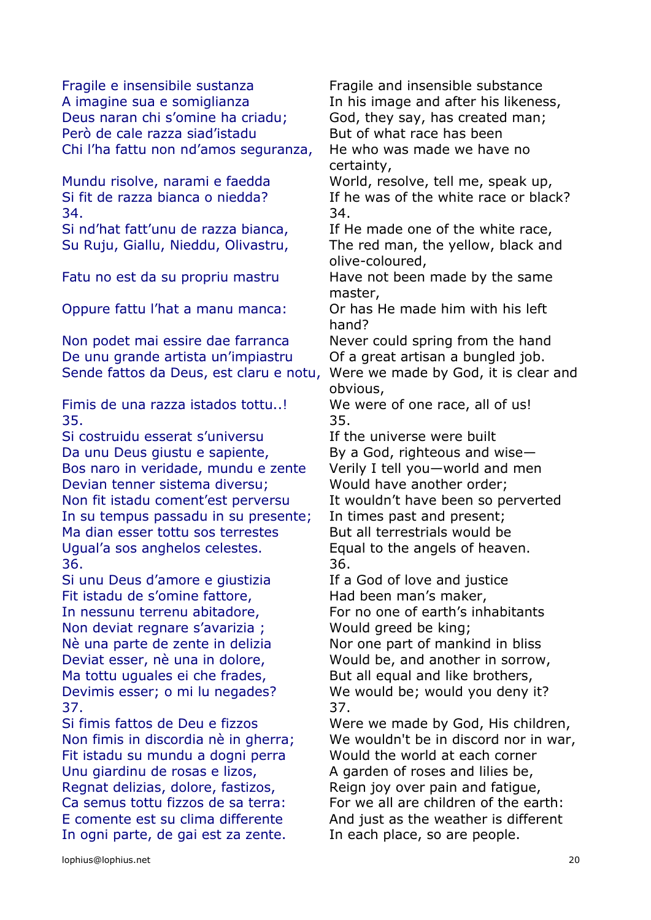Fragile e insensibile sustanza Fragile and insensible substance A imagine sua e somiglianza In his image and after his likeness, Deus naran chi s'omine ha criadu; God, they say, has created man; Però de cale razza siad'istadu But of what race has been Chi l'ha fattu non nd'amos seguranza, He who was made we have no

34. 34.

Oppure fattu l'hat a manu manca: Or has He made him with his left

Non podet mai essire dae farranca Never could spring from the hand De unu grande artista un'impiastru Of a great artisan a bungled job. Sende fattos da Deus, est claru e notu, Were we made by God, it is clear and

Fimis de una razza istados tottu..! We were of one race, all of us! 35. 35.

Si costruidu esserat s'universu Tf the universe were built Da unu Deus giustu e sapiente, By a God, righteous and wise-Bos naro in veridade, mundu e zente Verily I tell you—world and men Devian tenner sistema diversu; Would have another order; Non fit istadu coment'est perversu It wouldn't have been so perverted In su tempus passadu in su presente; In times past and present; Ma dian esser tottu sos terrestes But all terrestrials would be Ugual'a sos anghelos celestes. Equal to the angels of heaven. 36. 36.

Si unu Deus d'amore e giustizia If a God of love and justice Fit istadu de s'omine fattore, Had been man's maker, Non deviat regnare s'avarizia ; Would greed be king; Nè una parte de zente in delizia Nor one part of mankind in bliss Ma tottu uguales ei che frades, But all equal and like brothers, 37. 37.

Fit istadu su mundu a dogni perra Would the world at each corner Unu giardinu de rosas e lizos, A garden of roses and lilies be, Regnat delizias, dolore, fastizos, Reign joy over pain and fatigue, In ogni parte, de gai est za zente. In each place, so are people.

certainty, Mundu risolve, narami e faedda World, resolve, tell me, speak up, Si fit de razza bianca o niedda? If he was of the white race or black? Si nd'hat fatt'unu de razza bianca, If He made one of the white race, Su Ruju, Giallu, Nieddu, Olivastru, The red man, the yellow, black and olive-coloured, Fatu no est da su propriu mastru Have not been made by the same master, hand? obvious, In nessunu terrenu abitadore, For no one of earth's inhabitants

Deviat esser, nè una in dolore, Would be, and another in sorrow, Devimis esser; o mi lu negades? We would be; would you deny it?

Si fimis fattos de Deu e fizzos Were we made by God, His children, Non fimis in discordia nè in gherra; We wouldn't be in discord nor in war, Ca semus tottu fizzos de sa terra: For we all are children of the earth: E comente est su clima differente And just as the weather is different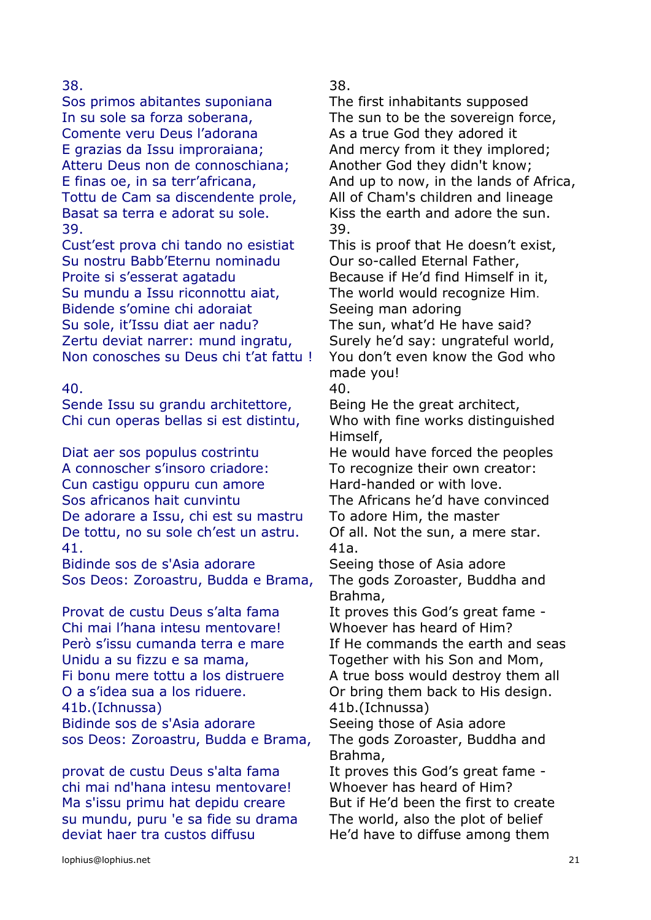Sos primos abitantes suponiana The first inhabitants supposed In su sole sa forza soberana, The sun to be the sovereign force, Comente veru Deus l'adorana As a true God they adored it E grazias da Issu improraiana; And mercy from it they implored; Atteru Deus non de connoschiana; Another God they didn't know; Tottu de Cam sa discendente prole, All of Cham's children and lineage Basat sa terra e adorat su sole. Kiss the earth and adore the sun. 39. 39.

Cust'est prova chi tando no esistiat This is proof that He doesn't exist, Su nostru Babb'Eternu nominadu Our so-called Eternal Father, Proite si s'esserat agatadu Because if He'd find Himself in it, Su mundu a Issu riconnottu aiat, The world would recognize Him. Bidende s'omine chi adoraiat Seeing man adoring Su sole, it'Issu diat aer nadu? The sun, what'd He have said? Zertu deviat narrer: mund ingratu, Surely he'd say: ungrateful world, Non conosches su Deus chi t'at fattu ! You don't even know the God who

Sende Issu su grandu architettore, Being He the great architect, Chi cun operas bellas si est distintu, Who with fine works distinguished

Diat aer sos populus costrintu He would have forced the peoples A connoscher s'insoro criadore: To recognize their own creator: Cun castigu oppuru cun amore Hard-handed or with love. Sos africanos hait cunvintu The Africans he'd have convinced De adorare a Issu, chi est su mastru To adore Him, the master De tottu, no su sole ch'est un astru. Of all. Not the sun, a mere star. 41. 41a.

Bidinde sos de s'Asia adorare Seeing those of Asia adore Sos Deos: Zoroastru, Budda e Brama, The gods Zoroaster, Buddha and

Provat de custu Deus s'alta fama It proves this God's great fame -Chi mai l'hana intesu mentovare! Whoever has heard of Him? Però s'issu cumanda terra e mare If He commands the earth and seas Unidu a su fizzu e sa mama, Together with his Son and Mom, Fi bonu mere tottu a los distruere A true boss would destroy them all O a s'idea sua a los riduere. Or bring them back to His design. 41b.(Ichnussa) 41b.(Ichnussa) Bidinde sos de s'Asia adorare Seeing those of Asia adore sos Deos: Zoroastru, Budda e Brama, The gods Zoroaster, Buddha and

provat de custu Deus s'alta fama It proves this God's great fame chi mai nd'hana intesu mentovare! Whoever has heard of Him? Ma s'issu primu hat depidu creare But if He'd been the first to create su mundu, puru 'e sa fide su drama The world, also the plot of belief deviat haer tra custos diffusu He'd have to diffuse among them

38. 38.

E finas oe, in sa terr'africana, And up to now, in the lands of Africa,

made you!

40. 40.

Himself,

Brahma,

Brahma,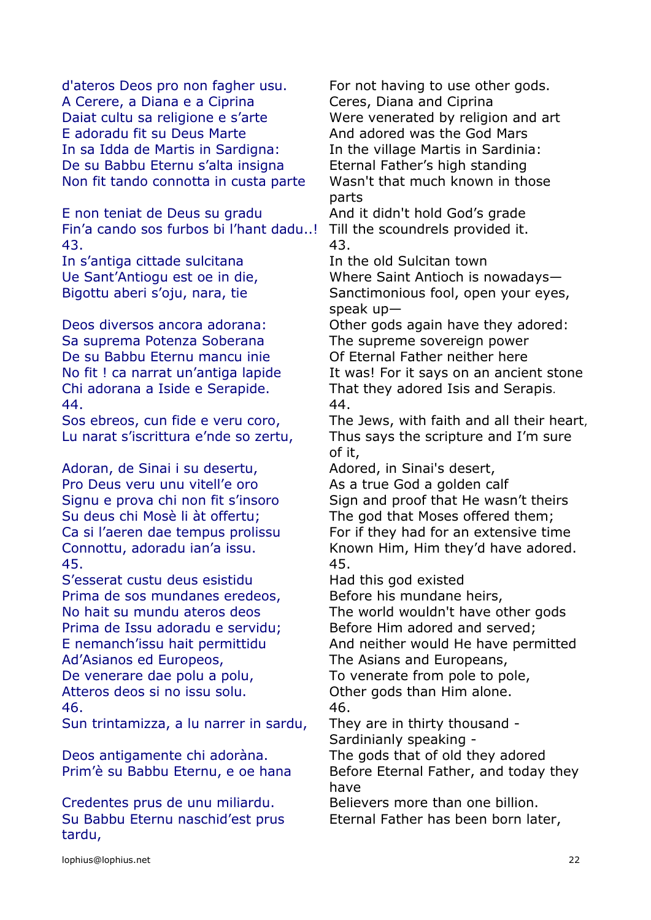d'ateros Deos pro non fagher usu. For not having to use other gods. A Cerere, a Diana e a Ciprina Ceres, Diana and Ciprina Daiat cultu sa religione e s'arte Were venerated by religion and art E adoradu fit su Deus Marte **And adored was the God Mars** In sa Idda de Martis in Sardigna: In the village Martis in Sardinia: De su Babbu Eternu s'alta insigna Eternal Father's high standing Non fit tando connotta in custa parte Wasn't that much known in those

E non teniat de Deus su gradu And it didn't hold God's grade Fin'a cando sos furbos bi l'hant dadu..! Till the scoundrels provided it. 43. 43.

In s'antiga cittade sulcitana In the old Sulcitan town

Sa suprema Potenza Soberana The supreme sovereign power De su Babbu Eternu mancu inie **Of Eternal Father neither here** 44. 44.

Adoran, de Sinai i su desertu, Adored, in Sinai's desert, Pro Deus veru unu vitell'e oro As a true God a golden calf 45. 45.

S'esserat custu deus esistidu Had this god existed Prima de sos mundanes eredeos, Before his mundane heirs, Prima de Issu adoradu e servidu; Before Him adored and served; Ad'Asianos ed Europeos, The Asians and Europeans, De venerare dae polu a polu, To venerate from pole to pole, Atteros deos si no issu solu. Other gods than Him alone. 46. 46.

Sun trintamizza, a lu narrer in sardu, They are in thirty thousand -

Deos antigamente chi adoràna. The gods that of old they adored

Credentes prus de unu miliardu. Believers more than one billion. Su Babbu Eternu naschid'est prus tardu,

parts

Ue Sant'Antiogu est oe in die, Where Saint Antioch is nowadays— Bigottu aberi s'oju, nara, tie Sanctimonious fool, open your eyes, speak up—

Deos diversos ancora adorana: Other gods again have they adored: No fit! ca narrat un'antiga lapide It was! For it says on an ancient stone Chi adorana a Iside e Serapide. That they adored Isis and Serapis.

Sos ebreos, cun fide e veru coro, The Jews, with faith and all their heart, Lu narat s'iscrittura e'nde so zertu, Thus says the scripture and I'm sure of it,

Signu e prova chi non fit s'insoro Sign and proof that He wasn't theirs Su deus chi Mosè li àt offertu; The god that Moses offered them; Ca si l'aeren dae tempus prolissu For if they had for an extensive time Connottu, adoradu ian'a issu. Known Him, Him they'd have adored.

No hait su mundu ateros deos The world wouldn't have other gods

E nemanch'issu hait permittidu And neither would He have permitted

Sardinianly speaking -

Prim'è su Babbu Eternu, e oe hana Before Eternal Father, and today they have

Eternal Father has been born later,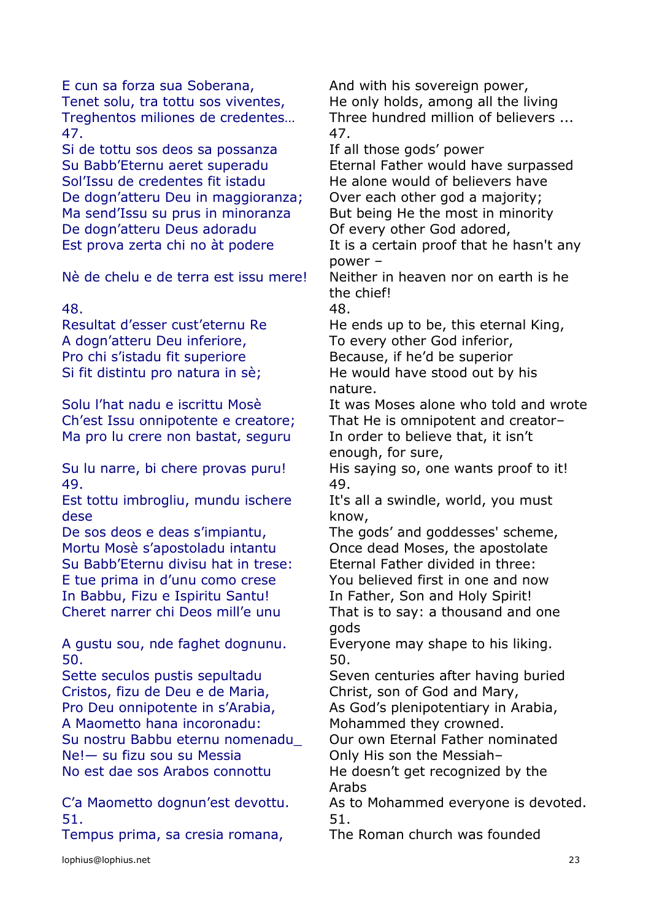E cun sa forza sua Soberana, And with his sovereign power, Tenet solu, tra tottu sos viventes, He only holds, among all the living 47. 47.

Si de tottu sos deos sa possanza If all those gods' power Sol'Issu de credentes fit istadu He alone would of believers have De dogn'atteru Deu in maggioranza; Over each other god a majority; Ma send'Issu su prus in minoranza But being He the most in minority De dogn'atteru Deus adoradu Of every other God adored,

Nè de chelu e de terra est issu mere! Neither in heaven nor on earth is he

A dogn'atteru Deu inferiore, To every other God inferior, Pro chi s'istadu fit superiore Because, if he'd be superior

Ma pro lu crere non bastat, seguru In order to believe that, it isn't

49. 49.

Est tottu imbrogliu, mundu ischere dese

De sos deos e deas s'impiantu, The gods' and goddesses' scheme, Mortu Mosè s'apostoladu intantu Once dead Moses, the apostolate Su Babb'Eternu divisu hat in trese: Eternal Father divided in three: E tue prima in d'unu como crese You believed first in one and now In Babbu, Fizu e Ispiritu Santu! In Father, Son and Holy Spirit!

A gustu sou, nde faghet dognunu. Everyone may shape to his liking. 50. 50.

Sette seculos pustis sepultadu Seven centuries after having buried Cristos, fizu de Deu e de Maria, Christ, son of God and Mary, Pro Deu onnipotente in s'Arabia, As God's plenipotentiary in Arabia, A Maometto hana incoronadu: Mohammed they crowned. Su nostru Babbu eternu nomenadu\_ Our own Eternal Father nominated Ne!— su fizu sou su Messia **Only His son the Messiah** No est dae sos Arabos connottu He doesn't get recognized by the

51. 51.

Tempus prima, sa cresia romana, The Roman church was founded

Treghentos miliones de credentes… Three hundred million of believers ...

Su Babb'Eternu aeret superadu Eternal Father would have surpassed

Est prova zerta chi no àt podere It is a certain proof that he hasn't any power –

the chief!

48. 48.

Resultat d'esser cust'eternu Re He ends up to be, this eternal King, Si fit distintu pro natura in sè; He would have stood out by his nature.

Solu l'hat nadu e iscrittu Mosè It was Moses alone who told and wrote Ch'est Issu onnipotente e creatore; That He is omnipotent and creator– enough, for sure,

Su lu narre, bi chere provas puru! His saying so, one wants proof to it!

It's all a swindle, world, you must know,

Cheret narrer chi Deos mill'e unu That is to say: a thousand and one gods

Arabs

C'a Maometto dognun'est devottu. As to Mohammed everyone is devoted.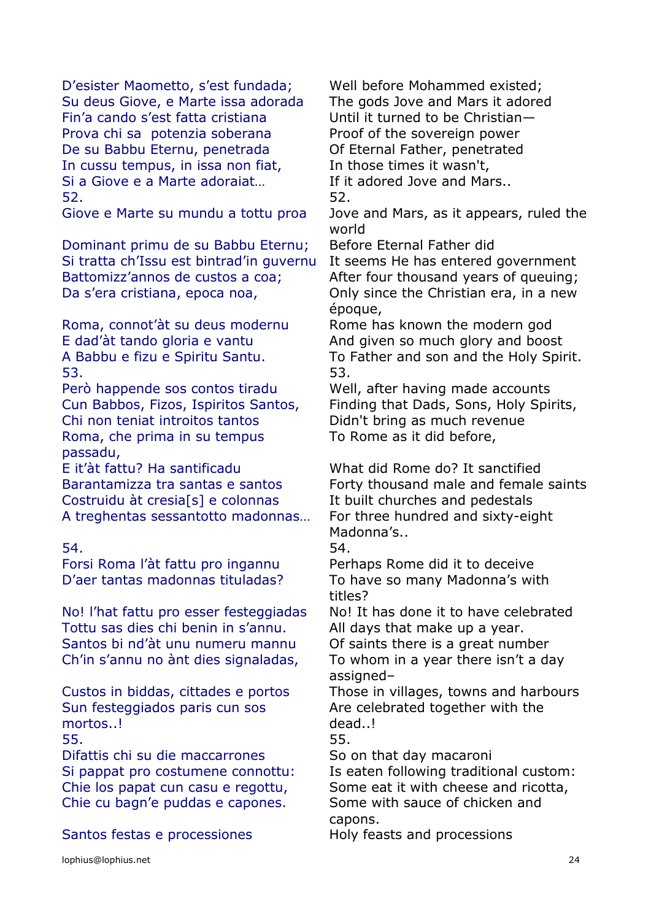D'esister Maometto, s'est fundada; Well before Mohammed existed; Su deus Giove, e Marte issa adorada The gods Jove and Mars it adored Fin'a cando s'est fatta cristiana Until it turned to be Christian— Prova chi sa potenzia soberana Proof of the sovereign power De su Babbu Eternu, penetrada Of Eternal Father, penetrated In cussu tempus, in issa non fiat, In those times it wasn't, Si a Giove e a Marte adoraiat… If it adored Jove and Mars.. 52. 52.

Dominant primu de su Babbu Eternu; Before Eternal Father did Si tratta ch'Issu est bintrad'in guvernu It seems He has entered government Battomizz'annos de custos a coa; After four thousand years of queuing; Da s'era cristiana, epoca noa, Conly since the Christian era, in a new

Roma, connot'àt su deus modernu Rome has known the modern god 53. 53.

Però happende sos contos tiradu Well, after having made accounts Chi non teniat introitos tantos Didn't bring as much revenue Roma, che prima in su tempus passadu,

E it'àt fattu? Ha santificadu What did Rome do? It sanctified Costruidu àt cresia<sup>[s]</sup> e colonnas It built churches and pedestals A treghentas sessantotto madonnas… For three hundred and sixty-eight

54. 54.

Forsi Roma l'àt fattu pro ingannu Perhaps Rome did it to deceive D'aer tantas madonnas tituladas? To have so many Madonna's with

Tottu sas dies chi benin in s'annu. All days that make up a year. Santos bi nd'àt unu numeru mannu Of saints there is a great number Ch'in s'annu no ànt dies signaladas, To whom in a year there isn't a day

Sun festeggiados paris cun sos mortos..! 55. 55.

Difattis chi su die maccarrones So on that day macaroni Chie cu bagn'e puddas e capones. Some with sauce of chicken and

Santos festas e processiones Holy feasts and processions

Giove e Marte su mundu a tottu proa Jove and Mars, as it appears, ruled the world

époque,

E dad'àt tando gloria e vantu And given so much glory and boost A Babbu e fizu e Spiritu Santu. To Father and son and the Holy Spirit.

Cun Babbos, Fizos, Ispiritos Santos, Finding that Dads, Sons, Holy Spirits, To Rome as it did before,

Barantamizza tra santas e santos Forty thousand male and female saints Madonna's..

titles?

No! I'hat fattu pro esser festeggiadas No! It has done it to have celebrated

assigned–

Custos in biddas, cittades e portos Those in villages, towns and harbours Are celebrated together with the dead..!

Si pappat pro costumene connottu: Is eaten following traditional custom: Chie los papat cun casu e regottu, Some eat it with cheese and ricotta, capons.

lophius@lophius.net 24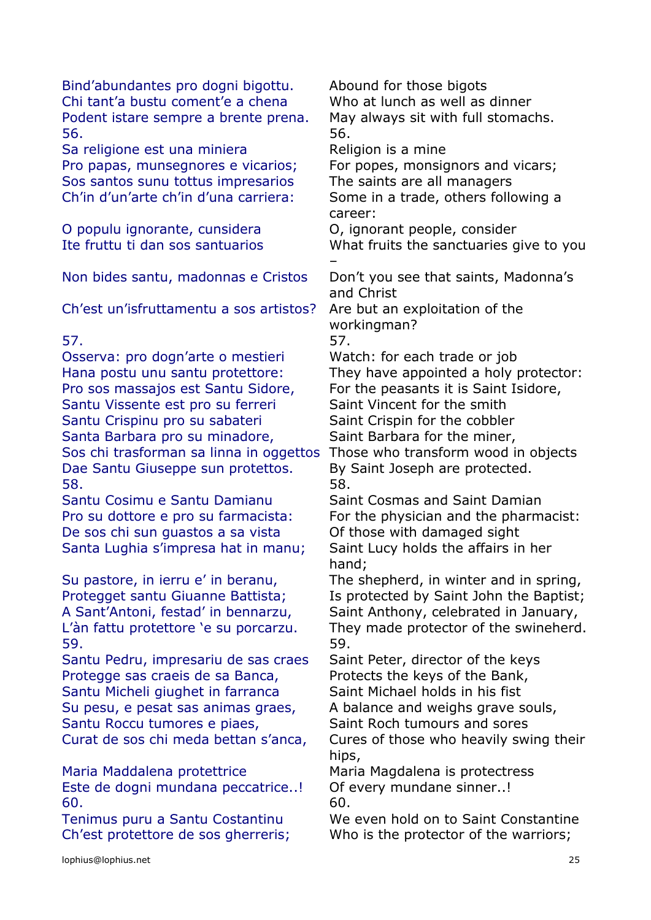| Bind'abundantes pro dogni bigottu.                                           | Abound for those bigots                                               |
|------------------------------------------------------------------------------|-----------------------------------------------------------------------|
| Chi tant'a bustu coment'e a chena                                            | Who at lunch as well as dinner                                        |
| Podent istare sempre a brente prena.<br>56.                                  | May always sit with full stomachs.<br>56.                             |
| Sa religione est una miniera                                                 | Religion is a mine                                                    |
| Pro papas, munsegnores e vicarios;                                           | For popes, monsignors and vicars;                                     |
| Sos santos sunu tottus impresarios                                           | The saints are all managers                                           |
| Ch'in d'un'arte ch'in d'una carriera:                                        | Some in a trade, others following a<br>career:                        |
| O populu ignorante, cunsidera                                                | O, ignorant people, consider                                          |
| Ite fruttu ti dan sos santuarios                                             | What fruits the sanctuaries give to you                               |
| Non bides santu, madonnas e Cristos                                          | Don't you see that saints, Madonna's<br>and Christ                    |
| Ch'est un'isfruttamentu a sos artistos?                                      | Are but an exploitation of the                                        |
| 57.                                                                          | workingman?<br>57.                                                    |
| Osserva: pro dogn'arte o mestieri                                            | Watch: for each trade or job                                          |
| Hana postu unu santu protettore:                                             | They have appointed a holy protector:                                 |
| Pro sos massajos est Santu Sidore,                                           | For the peasants it is Saint Isidore,                                 |
| Santu Vissente est pro su ferreri                                            | Saint Vincent for the smith                                           |
| Santu Crispinu pro su sabateri                                               | Saint Crispin for the cobbler                                         |
| Santa Barbara pro su minadore,                                               | Saint Barbara for the miner,                                          |
| Sos chi trasforman sa linna in oggettos<br>Dae Santu Giuseppe sun protettos. | Those who transform wood in objects<br>By Saint Joseph are protected. |
| 58.                                                                          | 58.                                                                   |
| Santu Cosimu e Santu Damianu                                                 | Saint Cosmas and Saint Damian                                         |
| Pro su dottore e pro su farmacista:                                          | For the physician and the pharmacist:                                 |
| De sos chi sun guastos a sa vista                                            | Of those with damaged sight                                           |
| Santa Lughia s'impresa hat in manu;                                          | Saint Lucy holds the affairs in her<br>hand;                          |
| Su pastore, in ierru e' in beranu,                                           | The shepherd, in winter and in spring,                                |
| Protegget santu Giuanne Battista;                                            | Is protected by Saint John the Baptist;                               |
| A Sant'Antoni, festad' in bennarzu,                                          | Saint Anthony, celebrated in January,                                 |
| L'àn fattu protettore 'e su porcarzu.<br>59.                                 | They made protector of the swineherd.<br>59.                          |
| Santu Pedru, impresariu de sas craes                                         | Saint Peter, director of the keys                                     |
| Protegge sas craeis de sa Banca,                                             | Protects the keys of the Bank,                                        |
| Santu Micheli giughet in farranca<br>Su pesu, e pesat sas animas graes,      | Saint Michael holds in his fist<br>A balance and weighs grave souls,  |
| Santu Roccu tumores e piaes,                                                 | Saint Roch tumours and sores                                          |
| Curat de sos chi meda bettan s'anca,                                         | Cures of those who heavily swing their                                |
|                                                                              | hips,                                                                 |
| Maria Maddalena protettrice                                                  | Maria Magdalena is protectress                                        |
| Este de dogni mundana peccatrice!                                            | Of every mundane sinner!                                              |
| 60.                                                                          | 60.                                                                   |
| Tenimus puru a Santu Costantinu                                              | We even hold on to Saint Constantine                                  |
| Ch'est protettore de sos gherreris;                                          | Who is the protector of the warriors;                                 |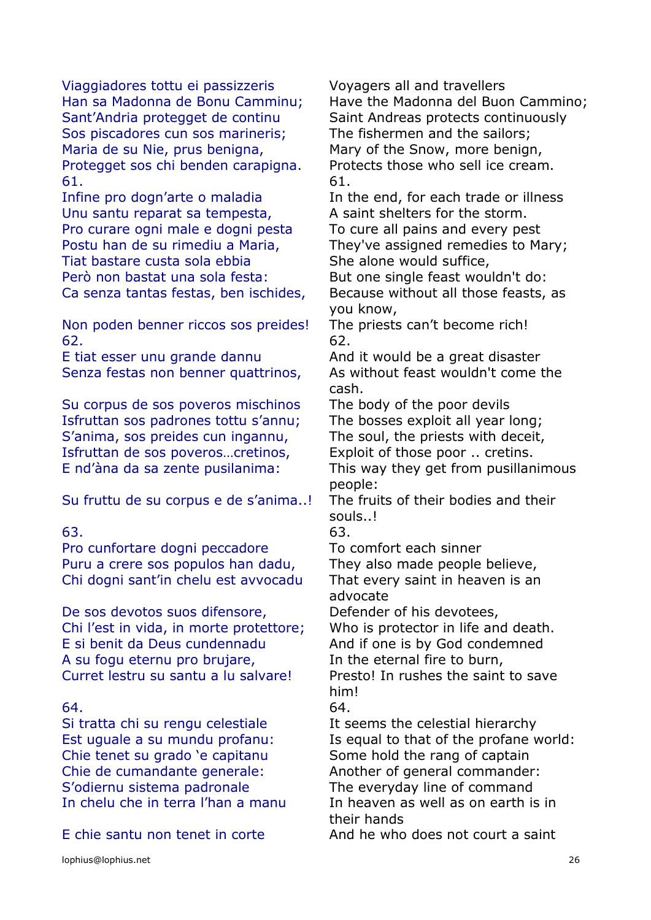Viaggiadores tottu ei passizzeris Voyagers all and travellers Sant'Andria protegget de continu Saint Andreas protects continuously Sos piscadores cun sos marineris; The fishermen and the sailors; Maria de su Nie, prus benigna, Mary of the Snow, more benign, Protegget sos chi benden carapigna. Protects those who sell ice cream. 61. 61.

Unu santu reparat sa tempesta, A saint shelters for the storm. Pro curare ogni male e dogni pesta To cure all pains and every pest Postu han de su rimediu a Maria, They've assigned remedies to Mary; Tiat bastare custa sola ebbia She alone would suffice, Però non bastat una sola festa:<br>But one single feast wouldn't do: Ca senza tantas festas, ben ischides, Because without all those feasts, as

Non poden benner riccos sos preides! The priests can't become rich!  $62.$  62.

E tiat esser unu grande dannu And it would be a great disaster Senza festas non benner quattrinos, As without feast wouldn't come the

Su corpus de sos poveros mischinos The body of the poor devils Isfruttan sos padrones tottu s'annu; The bosses exploit all year long; S'anima, sos preides cun ingannu, The soul, the priests with deceit, Isfruttan de sos poveros…cretinos, Exploit of those poor .. cretins. E nd'àna da sa zente pusilanima: This way they get from pusillanimous

Su fruttu de su corpus e de s'anima..! The fruits of their bodies and their

Pro cunfortare dogni peccadore To comfort each sinner Puru a crere sos populos han dadu, They also made people believe, Chi dogni sant'in chelu est avvocadu That every saint in heaven is an

De sos devotos suos difensore, Defender of his devotees, Chi l'est in vida, in morte protettore; Who is protector in life and death. E si benit da Deus cundennadu And if one is by God condemned A su fogu eternu pro brujare, The the eternal fire to burn, Curret lestru su santu a lu salvare! Presto! In rushes the saint to save

Si tratta chi su rengu celestiale It seems the celestial hierarchy Chie tenet su grado 'e capitanu Some hold the rang of captain Chie de cumandante generale: Another of general commander: S'odiernu sistema padronale The everyday line of command

E chie santu non tenet in corte And he who does not court a saint

Han sa Madonna de Bonu Camminu; Have the Madonna del Buon Cammino;

Infine pro dogn'arte o maladia In the end, for each trade or illness

you know,

cash.

people:

souls..!

63. 63.

advocate

him!

64. 64.

Est uguale a su mundu profanu: Is equal to that of the profane world: In chelu che in terra l'han a manu In heaven as well as on earth is in their hands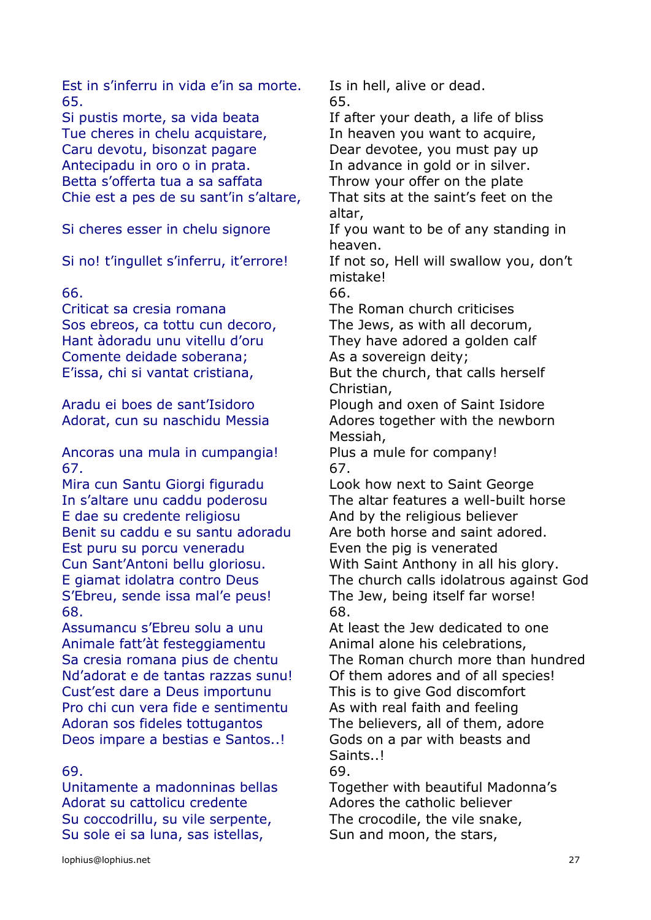Est in s'inferru in vida e'in sa morte. Is in hell, alive or dead. 65. 65.

Si pustis morte, sa vida beata If after your death, a life of bliss Tue cheres in chelu acquistare, Theaven you want to acquire, Caru devotu, bisonzat pagare **Dear devotee, you must pay up** Antecipadu in oro o in prata.<br>
In advance in gold or in silver. Betta s'offerta tua a sa saffata Throw your offer on the plate Chie est a pes de su sant'in s'altare, That sits at the saint's feet on the

# 66. 66.

Criticat sa cresia romana The Roman church criticises Sos ebreos, ca tottu cun decoro, The Jews, as with all decorum, Hant àdoradu unu vitellu d'oru They have adored a golden calf Comente deidade soberana; As a sovereign deity; E'issa, chi si vantat cristiana, But the church, that calls herself

Ancoras una mula in cumpangia! Plus a mule for company! 67. 67.

Mira cun Santu Giorgi figuradu Look how next to Saint George E dae su credente religiosu And by the religious believer Benit su caddu e su santu adoradu Are both horse and saint adored. Est puru su porcu veneradu Even the pig is venerated Cun Sant'Antoni bellu gloriosu. With Saint Anthony in all his glory. S'Ebreu, sende issa mal'e peus!<br>
The Jew, being itself far worse! 68. 68.

Animale fatt'àt festeggiamentu Animal alone his celebrations, Nd'adorat e de tantas razzas sunu! Of them adores and of all species! Cust'est dare a Deus importunu This is to give God discomfort Pro chi cun vera fide e sentimentu As with real faith and feeling Adoran sos fideles tottugantos The believers, all of them, adore Deos impare a bestias e Santos..! Gods on a par with beasts and

# 69. 69.

Adorat su cattolicu credente Adores the catholic believer Su coccodrillu, su vile serpente, The crocodile, the vile snake, Su sole ei sa luna, sas istellas, Sun and moon, the stars,

altar,

Si cheres esser in chelu signore If you want to be of any standing in heaven.

Si no! t'ingullet s'inferru, it'errore! If not so, Hell will swallow you, don't mistake!

Christian,

Aradu ei boes de sant'Isidoro Plough and oxen of Saint Isidore Adorat, cun su naschidu Messia Adores together with the newborn Messiah,

In s'altare unu caddu poderosu The altar features a well-built horse E giamat idolatra contro Deus The church calls idolatrous against God

Assumancu s'Ebreu solu a unu a At least the Jew dedicated to one Sa cresia romana pius de chentu The Roman church more than hundred Saints..!

Unitamente a madonninas bellas Together with beautiful Madonna's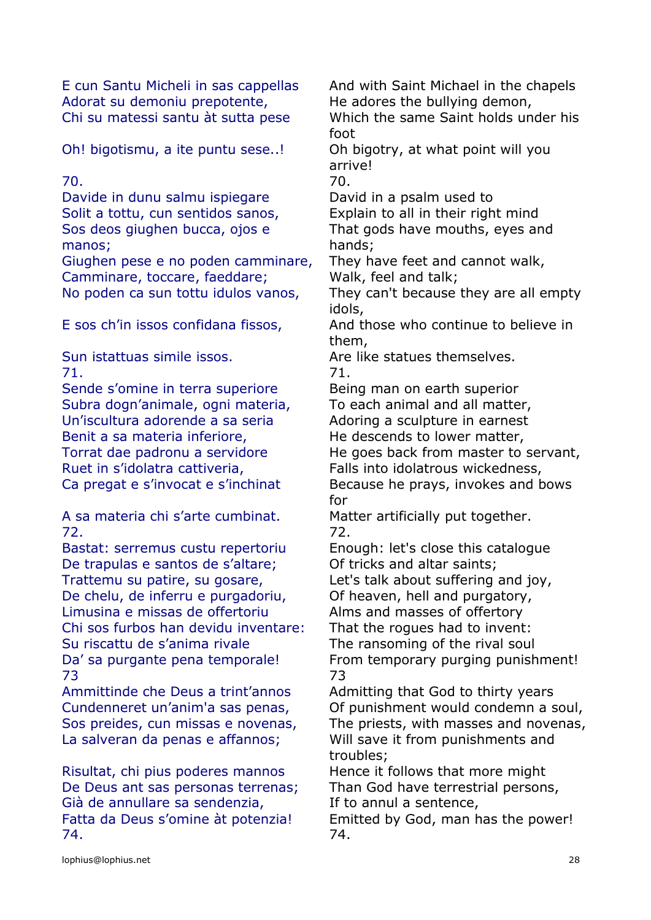E cun Santu Micheli in sas cappellas And with Saint Michael in the chapels Adorat su demoniu prepotente, He adores the bullying demon, Chi su matessi santu àt sutta pese Which the same Saint holds under his

foot

Davide in dunu salmu ispiegare David in a psalm used to Solit a tottu, cun sentidos sanos, Explain to all in their right mind Sos deos giughen bucca, ojos e manos;

Camminare, toccare, faeddare; Walk, feel and talk;

71. 71.

Sende s'omine in terra superiore Being man on earth superior Subra dogn'animale, ogni materia, To each animal and all matter, Un'iscultura adorende a sa seria Adoring a sculpture in earnest Benit a sa materia inferiore, He descends to lower matter, Ruet in s'idolatra cattiveria, Falls into idolatrous wickedness,

A sa materia chi s'arte cumbinat. Matter artificially put together. 72. 72.

Bastat: serremus custu repertoriu Enough: let's close this catalogue De trapulas e santos de s'altare; Of tricks and altar saints; Trattemu su patire, su gosare, Let's talk about suffering and joy, De chelu, de inferru e purgadoriu, Of heaven, hell and purgatory, Limusina e missas de offertoriu Alms and masses of offertory Chi sos furbos han devidu inventare: That the rogues had to invent: Su riscattu de s'anima rivale The ransoming of the rival soul 73 73

Risultat, chi pius poderes mannos Hence it follows that more might De Deus ant sas personas terrenas; Than God have terrestrial persons, Già de annullare sa sendenzia, If to annul a sentence, 74. 74.

Oh! bigotismu, a ite puntu sese..! Oh bigotry, at what point will you arrive! 70. 70. That gods have mouths, eyes and hands; Giughen pese e no poden camminare, They have feet and cannot walk, No poden ca sun tottu idulos vanos, They can't because they are all empty idols, E sos ch'in issos confidana fissos, And those who continue to believe in them, Sun istattuas simile issos. Are like statues themselves. Torrat dae padronu a servidore He goes back from master to servant, Ca pregat e s'invocat e s'inchinat Because he prays, invokes and bows for Da' sa purgante pena temporale! From temporary purging punishment! Ammittinde che Deus a trint'annos Admitting that God to thirty years Cundenneret un'anim'a sas penas, Of punishment would condemn a soul, Sos preides, cun missas e novenas, The priests, with masses and novenas, La salveran da penas e affannos; Will save it from punishments and troubles;

Fatta da Deus s'omine àt potenzia! Emitted by God, man has the power!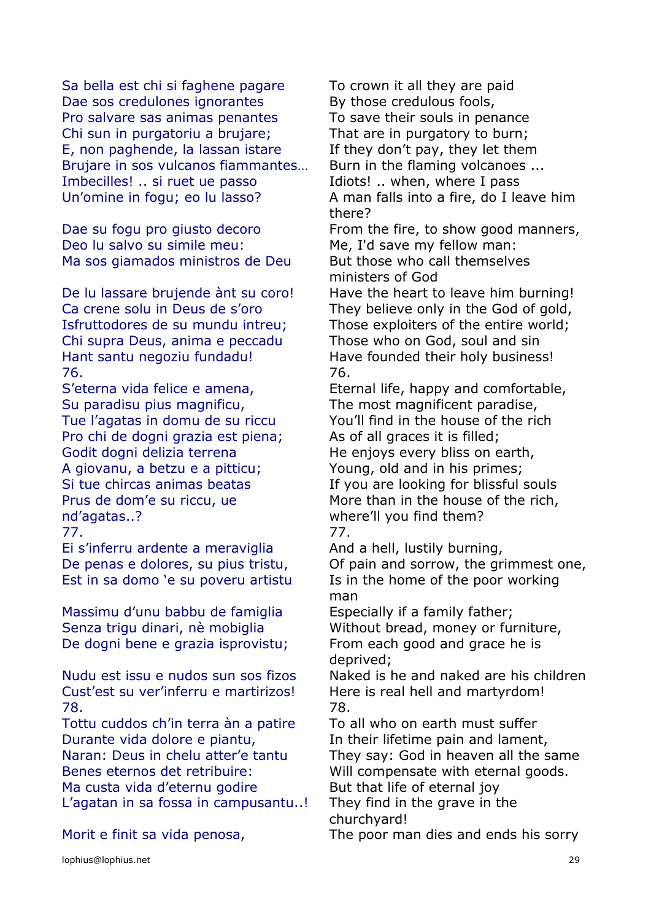Sa bella est chi si faghene pagare To crown it all they are paid Dae sos credulones ignorantes By those credulous fools, Pro salvare sas animas penantes To save their souls in penance Chi sun in purgatoriu a brujare; That are in purgatory to burn; E, non paghende, la lassan istare  $\blacksquare$  If they don't pay, they let them Brujare in sos vulcanos fiammantes… Burn in the flaming volcanoes ... Imbecilles! .. si ruet ue passo Thiots! .. when, where I pass Un'omine in fogu; eo lu lasso? A man falls into a fire, do I leave him

Deo lu salvo su simile meu: Me, I'd save my fellow man: Ma sos giamados ministros de Deu But those who call themselves

Chi supra Deus, anima e peccadu Those who on God, soul and sin Hant santu negoziu fundadu! Have founded their holy business! 76. 76.

Su paradisu pius magnificu, The most magnificent paradise, Pro chi de dogni grazia est piena; As of all graces it is filled; Godit dogni delizia terrena He enjoys every bliss on earth, A giovanu, a betzu e a pitticu; Young, old and in his primes; Prus de dom'e su riccu, ue nd'agatas..? 77. 77.

Ei s'inferru ardente a meraviglia And a hell, lustily burning, Est in sa domo 'e su poveru artistu Is in the home of the poor working

Massimu d'unu babbu de famiglia Especially if a family father; De dogni bene e grazia isprovistu; From each good and grace he is

Cust'est su ver'inferru e martirizos! Here is real hell and martyrdom! 78. 78.

Tottu cuddos ch'in terra àn a patire To all who on earth must suffer Durante vida dolore e piantu, In their lifetime pain and lament, Benes eternos det retribuire: Will compensate with eternal goods. Ma custa vida d'eternu godire **But that life of eternal joy** 

L'agatan in sa fossa in campusantu..! They find in the grave in the

Morit e finit sa vida penosa, The poor man dies and ends his sorry

there? Dae su fogu pro giusto decoro From the fire, to show good manners, ministers of God

De lu lassare bruiende ànt su coro! Have the heart to leave him burning! Ca crene solu in Deus de s'oro They believe only in the God of gold, Isfruttodores de su mundu intreu; Those exploiters of the entire world;

S'eterna vida felice e amena, Eternal life, happy and comfortable, Tue l'agatas in domu de su riccu You'll find in the house of the rich Si tue chircas animas beatas If you are looking for blissful souls More than in the house of the rich, where'll you find them?

De penas e dolores, su pius tristu, Of pain and sorrow, the grimmest one, man

Senza trigu dinari, nè mobiglia Without bread, money or furniture, deprived;

Nudu est issu e nudos sun sos fizos Naked is he and naked are his children

Naran: Deus in chelu atter'e tantu They say: God in heaven all the same churchyard!

lophius@lophius.net 29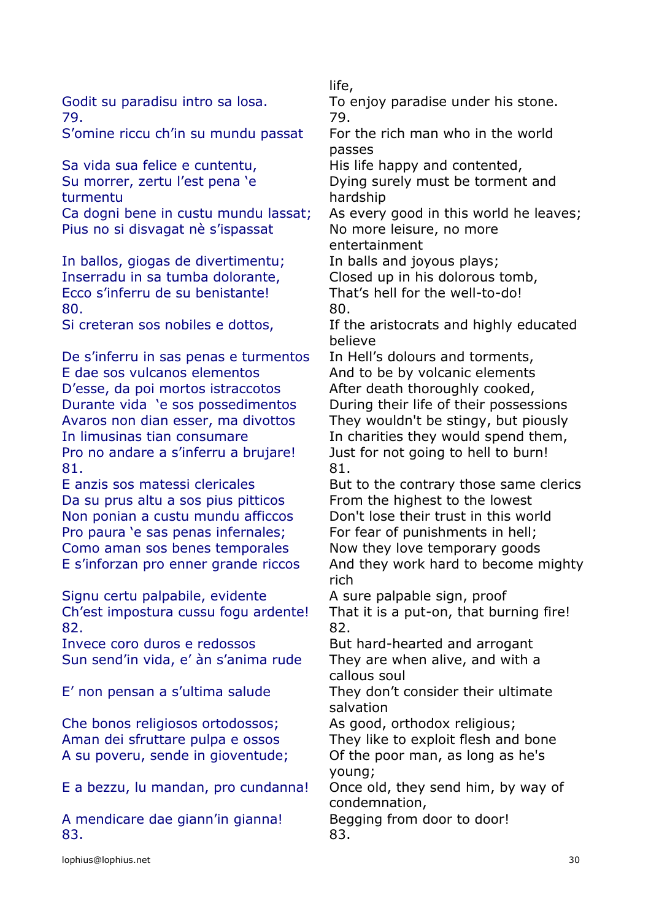79. 79.

S'omine riccu ch'in su mundu passat For the rich man who in the world

Sa vida sua felice e cuntentu, His life happy and contented, Su morrer, zertu l'est pena 'e turmentu

Pius no si disvagat nè s'ispassat No more leisure, no more

In ballos, giogas de divertimentu; In balls and joyous plays; Inserradu in sa tumba dolorante, Closed up in his dolorous tomb, Ecco s'inferru de su benistante! That's hell for the well-to-do! 80. 80.

De s'inferru in sas penas e turmentos In Hell's dolours and torments, E dae sos vulcanos elementos and to be by volcanic elements D'esse, da poi mortos istraccotos After death thoroughly cooked, Durante vida 'e sos possedimentos During their life of their possessions Avaros non dian esser, ma divottos They wouldn't be stingy, but piously In limusinas tian consumare In charities they would spend them, Pro no andare a s'inferru a brujare! Just for not going to hell to burn! 81. 81.

Da su prus altu a sos pius pitticos From the highest to the lowest Non ponian a custu mundu afficcos Don't lose their trust in this world Pro paura 'e sas penas infernales; For fear of punishments in hell; Como aman sos benes temporales Now they love temporary goods

Signu certu palpabile, evidente A sure palpable sign, proof Ch'est impostura cussu fogu ardente! That it is a put-on, that burning fire! 82. 82.

Invece coro duros e redossos But hard-hearted and arrogant Sun send'in vida, e' àn s'anima rude They are when alive, and with a

Che bonos religiosos ortodossos; As good, orthodox religious; A su poveru, sende in gioventude; Of the poor man, as long as he's

E a bezzu, lu mandan, pro cundanna! Once old, they send him, by way of

A mendicare dae giann'in gianna! Begging from door to door! 83. 83.

life,

Godit su paradisu intro sa losa. To enjoy paradise under his stone.

passes

Dying surely must be torment and hardship

Ca dogni bene in custu mundu lassat; As every good in this world he leaves;

entertainment

Si creteran sos nobiles e dottos, If the aristocrats and highly educated believe

E anzis sos matessi clericales But to the contrary those same clerics E s'inforzan pro enner grande riccos And they work hard to become mighty rich

callous soul

E' non pensan a s'ultima salude They don't consider their ultimate salvation

Aman dei sfruttare pulpa e ossos They like to exploit flesh and bone young;

condemnation,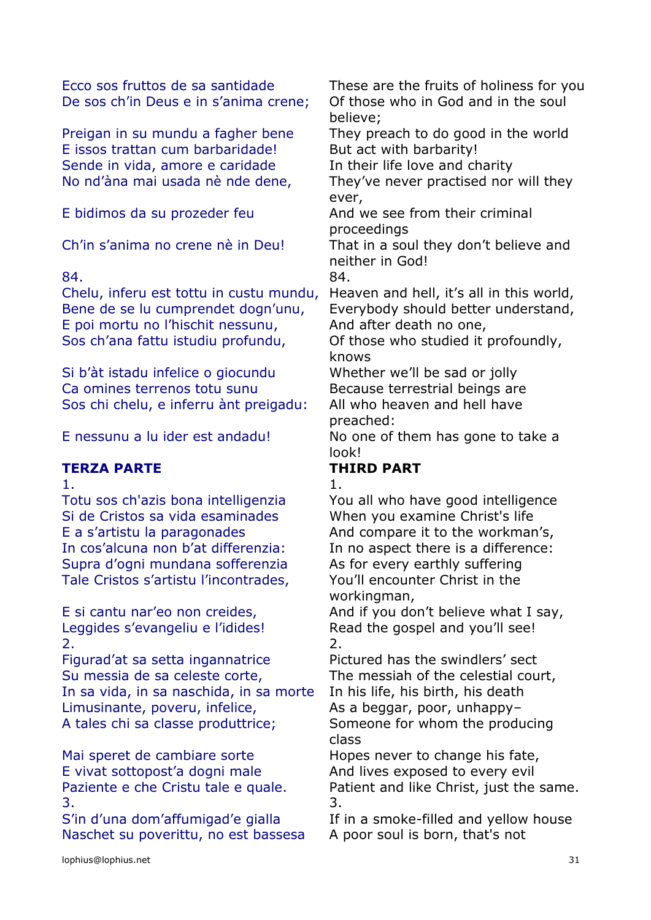De sos ch'in Deus e in s'anima crene; Of those who in God and in the soul

E issos trattan cum barbaridade! But act with barbarity! Sende in vida, amore e caridade In their life love and charity

# 84. 84.

Chelu, inferu est tottu in custu mundu, Heaven and hell, it's all in this world, Bene de se lu cumprendet dogn'unu, Everybody should better understand, E poi mortu no l'hischit nessunu, And after death no one, Sos ch'ana fattu istudiu profundu, Of those who studied it profoundly,

Si b'àt istadu infelice o giocundu Whether we'll be sad or jolly Ca omines terrenos totu sunu Because terrestrial beings are Sos chi chelu, e inferru ànt preigadu: All who heaven and hell have

# **TERZA PARTE THIRD PART**

Totu sos ch'azis bona intelligenzia You all who have good intelligence Si de Cristos sa vida esaminades When you examine Christ's life E a s'artistu la paragonades And compare it to the workman's, In cos'alcuna non b'at differenzia: In no aspect there is a difference: Supra d'ogni mundana sofferenzia As for every earthly suffering Tale Cristos s'artistu l'incontrades, You'll encounter Christ in the

 $2.$ 

Figurad'at sa setta ingannatrice Pictured has the swindlers' sect Su messia de sa celeste corte, The messiah of the celestial court, In sa vida, in sa naschida, in sa morte In his life, his birth, his death Limusinante, poveru, infelice, As a beggar, poor, unhappy-A tales chi sa classe produttrice; Someone for whom the producing

Mai speret de cambiare sorte Hopes never to change his fate, E vivat sottopost'a dogni male And lives exposed to every evil  $3.$ 

S'in d'una dom'affumigad'e gialla If in a smoke-filled and yellow house Naschet su poverittu, no est bassesa A poor soul is born, that's not

Ecco sos fruttos de sa santidade These are the fruits of holiness for you believe;

Preigan in su mundu a fagher bene They preach to do good in the world

No nd'àna mai usada nè nde dene, They've never practised nor will they ever,

E bidimos da su prozeder feu And we see from their criminal proceedings

Ch'in s'anima no crene nè in Deu! That in a soul they don't believe and neither in God!

knows

preached:

E nessunu a lu ider est andadu! No one of them has gone to take a look!

1. In the case of  $\overline{1}$ .

workingman,

E si cantu nar'eo non creides, And if you don't believe what I say, Leggides s'evangeliu e l'idides!<br>
Read the gospel and you'll see!

class

Paziente e che Cristu tale e quale. Patient and like Christ, just the same.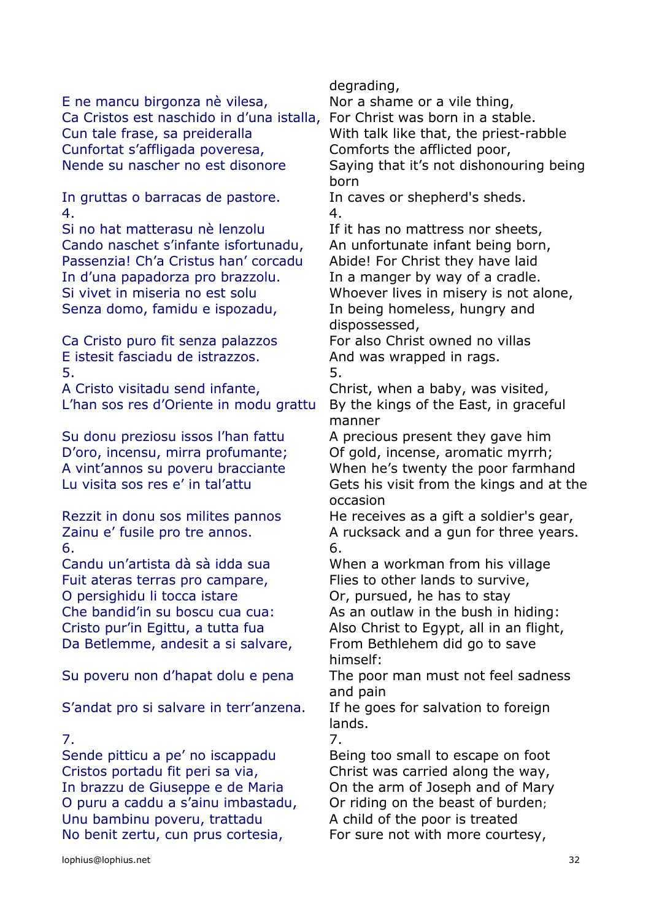E ne mancu birgonza nè vilesa, Nor a shame or a vile thing, Ca Cristos est naschido in d'una istalla, For Christ was born in a stable. Cun tale frase, sa preideralla With talk like that, the priest-rabble Cunfortat s'affligada poveresa, Comforts the afflicted poor, Nende su nascher no est disonore Saying that it's not dishonouring being

In gruttas o barracas de pastore. In caves or shepherd's sheds. 4. 4.

Si no hat matterasu nè lenzolu If it has no mattress nor sheets, Cando naschet s'infante isfortunadu, An unfortunate infant being born, Passenzia! Ch'a Cristus han' corcadu Abide! For Christ they have laid In d'una papadorza pro brazzolu. In a manger by way of a cradle. Si vivet in miseria no est solu Whoever lives in misery is not alone, Senza domo, famidu e ispozadu, In being homeless, hungry and

Ca Cristo puro fit senza palazzos For also Christ owned no villas E istesit fasciadu de istrazzos. And was wrapped in rags.  $5.$   $5.$ 

A Cristo visitadu send infante, Christ, when a baby, was visited, L'han sos res d'Oriente in modu grattu By the kings of the East, in graceful

Su donu preziosu issos l'han fattu A precious present they gave him D'oro, incensu, mirra profumante; Of gold, incense, aromatic myrrh;

 $\overline{6}$ .  $\overline{6}$ .

Candu un'artista dà sà idda sua When a workman from his village Fuit ateras terras pro campare, Flies to other lands to survive, O persighidu li tocca istare **Or**, pursued, he has to stay Che bandid'in su boscu cua cua: As an outlaw in the bush in hiding: Cristo pur'in Egittu, a tutta fua Also Christ to Egypt, all in an flight, Da Betlemme, andesit a si salvare, From Bethlehem did go to save

S'andat pro si salvare in terr'anzena. If he goes for salvation to foreign

Sende pitticu a pe' no iscappadu Being too small to escape on foot Cristos portadu fit peri sa via, Christ was carried along the way, In brazzu de Giuseppe e de Maria On the arm of Joseph and of Mary O puru a caddu a s'ainu imbastadu, Or riding on the beast of burden; Unu bambinu poveru, trattadu A child of the poor is treated No benit zertu, cun prus cortesia, For sure not with more courtesy,

degrading,

born

dispossessed,

manner

A vint'annos su poveru bracciante When he's twenty the poor farmhand Lu visita sos res e' in tal'attu Gets his visit from the kings and at the occasion

Rezzit in donu sos milites pannos He receives as a gift a soldier's gear, Zainu e' fusile pro tre annos. A rucksack and a gun for three years.

himself:

Su poveru non d'hapat dolu e pena The poor man must not feel sadness and pain

lands.

7. 7.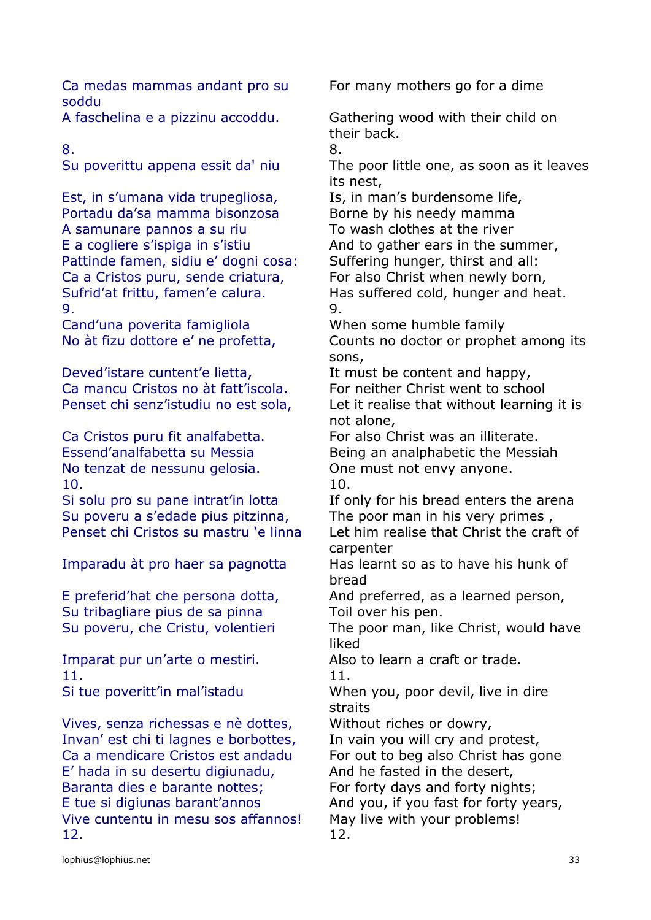Ca medas mammas andant pro su soddu

Est, in s'umana vida trupegliosa, Is, in man's burdensome life, Portadu da'sa mamma bisonzosa Borne by his needy mamma A samunare pannos a su riu To wash clothes at the river E a cogliere s'ispiga in s'istiu And to gather ears in the summer, Pattinde famen, sidiu e' dogni cosa: Suffering hunger, thirst and all: Ca a Cristos puru, sende criatura, For also Christ when newly born, 9. 9.

Cand'una poverita famigliola When some humble family

Deved'istare cuntent'e lietta, It must be content and happy, Ca mancu Cristos no àt fatt'iscola. For neither Christ went to school

No tenzat de nessunu gelosia. One must not envy anyone. 10. 10.

Su poveru a s'edade pius pitzinna, The poor man in his very primes ,

Su tribagliare pius de sa pinna Toil over his pen.

Imparat pur un'arte o mestiri. Also to learn a craft or trade. 11. 11.

Vives, senza richessas e nè dottes, Without riches or dowry, Invan' est chi ti lagnes e borbottes, In vain you will cry and protest, Ca a mendicare Cristos est andadu For out to beg also Christ has gone E' hada in su desertu digiunadu, And he fasted in the desert, Baranta dies e barante nottes; For forty days and forty nights; E tue si digiunas barant'annos And you, if you fast for forty years, Vive cuntentu in mesu sos affannos! May live with your problems! 12. 12.

For many mothers go for a dime

A faschelina e a pizzinu accoddu. Gathering wood with their child on their back.

8. 8.

Su poverittu appena essit da' niu The poor little one, as soon as it leaves its nest,

Sufrid'at frittu, famen'e calura. Has suffered cold, hunger and heat.

No àt fizu dottore e' ne profetta, Counts no doctor or prophet among its sons,

Penset chi senz'istudiu no est sola, Let it realise that without learning it is not alone,

Ca Cristos puru fit analfabetta. For also Christ was an illiterate. Essend'analfabetta su Messia Being an analphabetic the Messiah

Si solu pro su pane intrat'in lotta If only for his bread enters the arena Penset chi Cristos su mastru 'e linna Let him realise that Christ the craft of carpenter

Imparadu àt pro haer sa pagnotta Has learnt so as to have his hunk of bread

E preferid'hat che persona dotta, And preferred, as a learned person,

Su poveru, che Cristu, volentieri The poor man, like Christ, would have liked

Si tue poveritt'in mal'istadu When you, poor devil, live in dire straits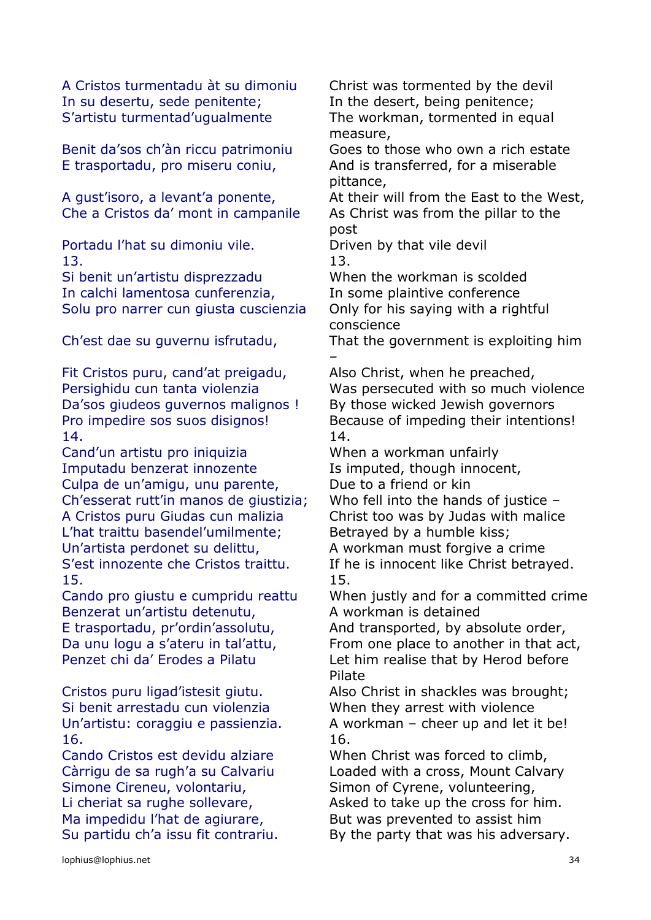A Cristos turmentadu àt su dimoniu Christ was tormented by the devil In su desertu, sede penitente; In the desert, being penitence; S'artistu turmentad'ugualmente The workman, tormented in equal

E trasportadu, pro miseru coniu, And is transferred, for a miserable

Che a Cristos da' mont in campanile As Christ was from the pillar to the

Portadu l'hat su dimoniu vile. Driven by that vile devil 13. 13.

Si benit un'artistu disprezzadu When the workman is scolded In calchi lamentosa cunferenzia, In some plaintive conference Solu pro narrer cun giusta cuscienzia Only for his saying with a rightful

Fit Cristos puru, cand'at preigadu, Also Christ, when he preached, Da'sos giudeos guvernos malignos ! By those wicked Jewish governors 14. 14.

Cand'un artistu pro iniquizia When a workman unfairly Imputadu benzerat innozente Is imputed, though innocent, Culpa de un'amigu, unu parente, Due to a friend or kin Ch'esserat rutt'in manos de giustizia; Who fell into the hands of justice – A Cristos puru Giudas cun malizia Christ too was by Judas with malice L'hat traittu basendel'umilmente; Betrayed by a humble kiss; Un'artista perdonet su delittu. A workman must forgive a crime 15. 15.

Benzerat un'artistu detenutu, A workman is detained

Si benit arrestadu cun violenzia When they arrest with violence 16. 16.

Cando Cristos est devidu alziare When Christ was forced to climb, Simone Cireneu, volontariu, Simon of Cyrene, volunteering, Ma impedidu l'hat de agiurare, But was prevented to assist him

measure,

Benit da'sos ch'àn riccu patrimoniu Goes to those who own a rich estate pittance,

A gust'isoro, a levant'a ponente, and their will from the East to the West, post

conscience

Ch'est dae su guvernu isfrutadu, That the government is exploiting him –

Persighidu cun tanta violenzia Was persecuted with so much violence Pro impedire sos suos disignos! Because of impeding their intentions!

S'est innozente che Cristos traittu. If he is innocent like Christ betrayed.

Cando pro giustu e cumpridu reattu When justly and for a committed crime

E trasportadu, pr'ordin'assolutu, And transported, by absolute order, Da unu logu a s'ateru in tal'attu, From one place to another in that act, Penzet chi da' Erodes a Pilatu Let him realise that by Herod before Pilate

Cristos puru ligad'istesit giutu. Also Christ in shackles was brought; Un'artistu: coraggiu e passienzia. A workman – cheer up and let it be!

Càrrigu de sa rugh'a su Calvariu Loaded with a cross, Mount Calvary Li cheriat sa rughe sollevare, Asked to take up the cross for him. Su partidu ch'a issu fit contrariu. By the party that was his adversary.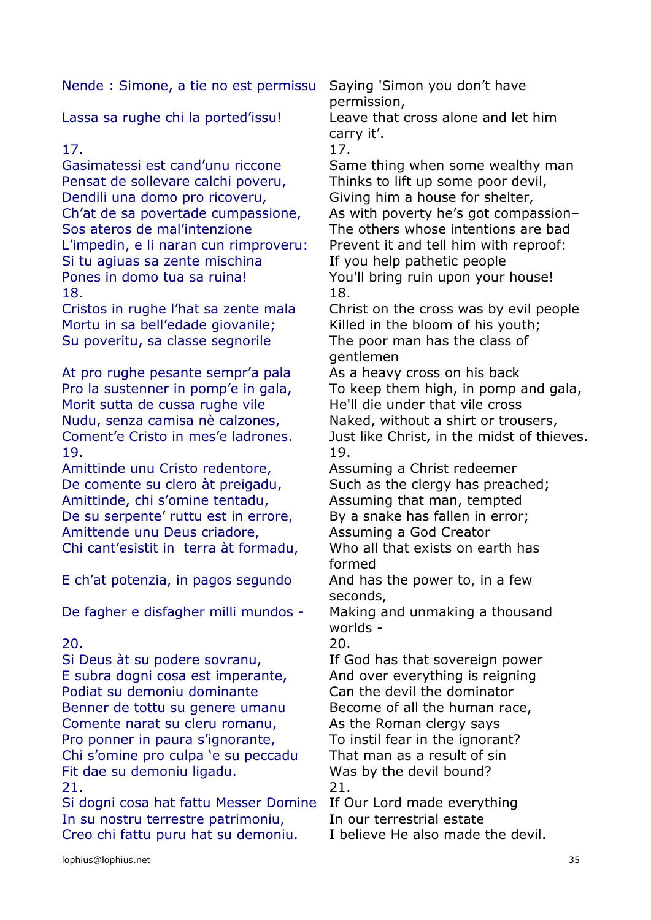Nende : Simone, a tie no est permissu Saying 'Simon you don't have

# 17. 17.

Gasimatessi est cand'unu riccone Same thing when some wealthy man Pensat de sollevare calchi poveru, Thinks to lift up some poor devil, Dendili una domo pro ricoveru, Giving him a house for shelter, Sos ateros de mal'intenzione The others whose intentions are bad L'impedin, e li naran cun rimproveru: Prevent it and tell him with reproof: Si tu agiuas sa zente mischina If you help pathetic people Pones in domo tua sa ruina! You'll bring ruin upon your house! 18. 18.

Mortu in sa bell'edade giovanile; Killed in the bloom of his youth; Su poveritu, sa classe segnorile The poor man has the class of

At pro rughe pesante sempr'a pala As a heavy cross on his back Morit sutta de cussa rughe vile He'll die under that vile cross Nudu, senza camisa nè calzones, Naked, without a shirt or trousers, 19. 19.

Amittinde unu Cristo redentore, Assuming a Christ redeemer De comente su clero àt preigadu, Such as the clergy has preached; Amittinde, chi s'omine tentadu, Assuming that man, tempted De su serpente' ruttu est in errore, By a snake has fallen in error; Amittende unu Deus criadore, Assuming a God Creator Chi cant'esistit in terra àt formadu, Who all that exists on earth has

E ch'at potenzia, in pagos segundo And has the power to, in a few

De fagher e disfagher milli mundos - Making and unmaking a thousand

# 20. 20.

Si Deus àt su podere sovranu, If God has that sovereign power E subra dogni cosa est imperante, And over everything is reigning Podiat su demoniu dominante Can the devil the dominator Benner de tottu su genere umanu Become of all the human race, Comente narat su cleru romanu, As the Roman clergy says Pro ponner in paura s'ignorante, To instil fear in the ignorant? Chi s'omine pro culpa 'e su peccadu That man as a result of sin Fit dae su demoniu ligadu. Was by the devil bound? 21. 21.

Si dogni cosa hat fattu Messer Domine If Our Lord made everything In su nostru terrestre patrimoniu, In our terrestrial estate Creo chi fattu puru hat su demoniu. I believe He also made the devil.

permission,

Lassa sa rughe chi la ported'issu! Leave that cross alone and let him carry it'.

Ch'at de sa povertade cumpassione, As with poverty he's got compassion–

Cristos in rughe l'hat sa zente mala Christ on the cross was by evil people gentlemen

Pro la sustenner in pomp'e in gala, To keep them high, in pomp and gala, Coment'e Cristo in mes'e ladrones. Just like Christ, in the midst of thieves.

formed

seconds,

worlds -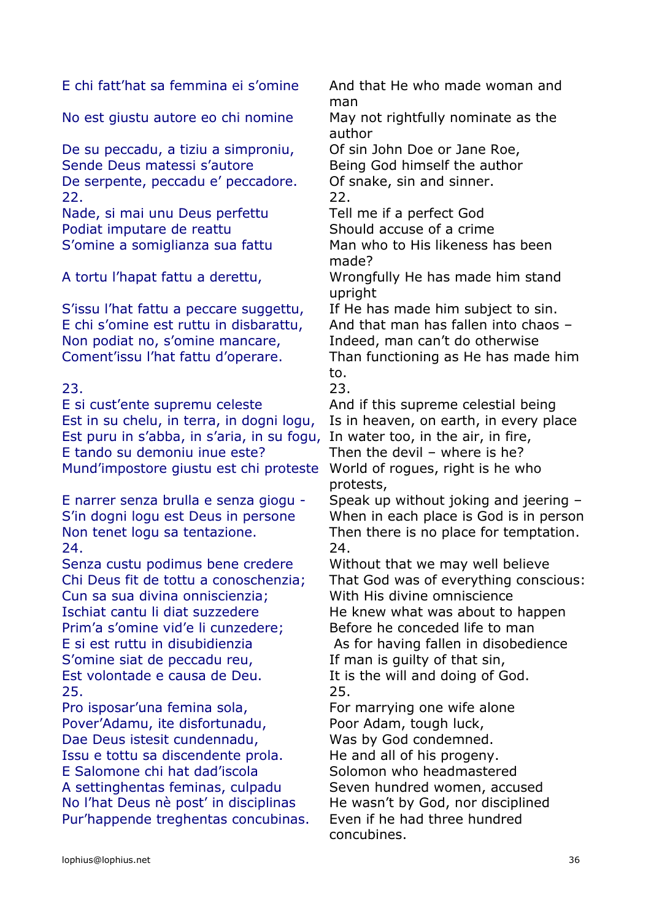E chi fatt'hat sa femmina ei s'omine And that He who made woman and

No est giustu autore eo chi nomine May not rightfully nominate as the

De su peccadu, a tiziu a simproniu, Of sin John Doe or Jane Roe, Sende Deus matessi s'autore **Being God himself the author** De serpente, peccadu e' peccadore. Of snake, sin and sinner. 22. 22.

Nade, si mai unu Deus perfettu Tell me if a perfect God Podiat imputare de reattu Should accuse of a crime

S'issu l'hat fattu a peccare suggettu, If He has made him subject to sin. Non podiat no, s'omine mancare, Indeed, man can't do otherwise

23. 23.

Est in su chelu, in terra, in dogni logu, Is in heaven, on earth, in every place Est puru in s'abba, in s'aria, in su fogu, In water too, in the air, in fire, E tando su demoniu inue este? Then the devil – where is he? Mund'impostore giustu est chi proteste World of rogues, right is he who

24. 24.

Senza custu podimus bene credere Without that we may well believe Cun sa sua divina onniscienzia; With His divine omniscience Ischiat cantu li diat suzzedere He knew what was about to happen Prim'a s'omine vid'e li cunzedere; Before he conceded life to man E si est ruttu in disubidienzia As for having fallen in disobedience S'omine siat de peccadu reu, If man is quilty of that sin, Est volontade e causa de Deu.<br>It is the will and doing of God. 25. 25.

Pro isposar'una femina sola, For marrying one wife alone Pover'Adamu, ite disfortunadu, Poor Adam, tough luck, Dae Deus istesit cundennadu, Was by God condemned. Issu e tottu sa discendente prola. He and all of his progeny. E Salomone chi hat dad'iscola Solomon who headmastered A settinghentas feminas, culpadu Seven hundred women, accused No I'hat Deus nè post' in disciplinas He wasn't by God, nor disciplined Pur'happende treghentas concubinas. Even if he had three hundred

man

author

S'omine a somiglianza sua fattu Man who to His likeness has been made?

A tortu l'hapat fattu a derettu, Wrongfully He has made him stand upright

E chi s'omine est ruttu in disbarattu, And that man has fallen into chaos – Coment'issu l'hat fattu d'operare. Than functioning as He has made him to.

E si cust'ente supremu celeste And if this supreme celestial being protests,

E narrer senza brulla e senza giogu - Speak up without joking and jeering – S'in dogni logu est Deus in persone When in each place is God is in person Non tenet logu sa tentazione. Then there is no place for temptation.

Chi Deus fit de tottu a conoschenzia; That God was of everything conscious:

concubines.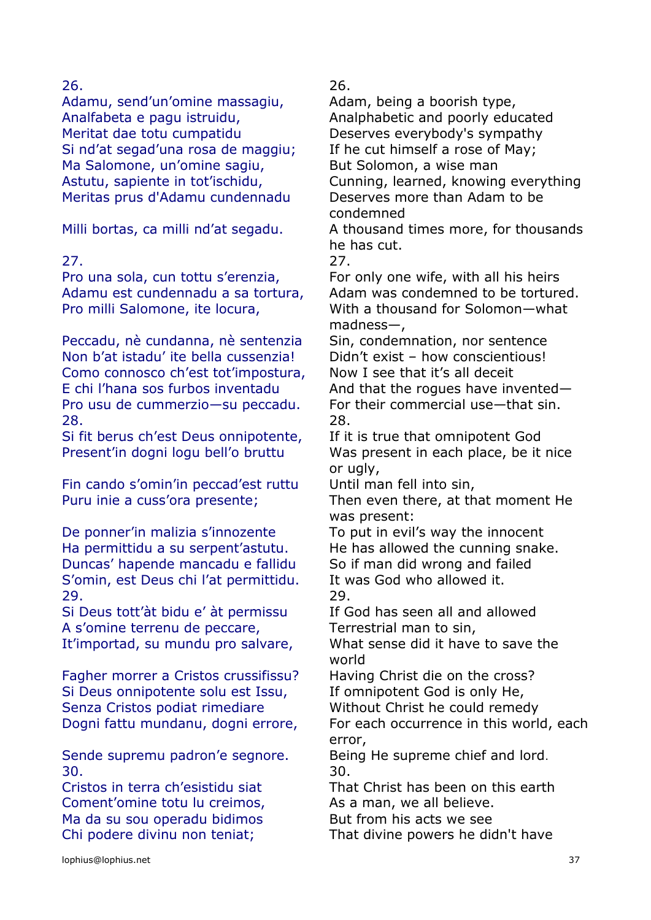Adamu, send'un'omine massagiu, Adam, being a boorish type, Analfabeta e pagu istruidu, Analphabetic and poorly educated Meritat dae totu cumpatidu Deserves everybody's sympathy Si nd'at segad'una rosa de maggiu; If he cut himself a rose of May; Ma Salomone, un'omine sagiu, But Solomon, a wise man Meritas prus d'Adamu cundennadu Deserves more than Adam to be

Pro una sola, cun tottu s'erenzia, For only one wife, with all his heirs Pro milli Salomone, ite locura, With a thousand for Solomon-what

Peccadu, nè cundanna, nè sentenzia Sin, condemnation, nor sentence Non b'at istadu' ite bella cussenzia! Didn't exist – how conscientious! Como connosco ch'est tot'impostura, Now I see that it's all deceit E chi l'hana sos furbos inventadu  $\overline{A}$  And that the roques have invented— Pro usu de cummerzio—su peccadu. For their commercial use—that sin. 28. 28.

Si fit berus ch'est Deus onnipotente, If it is true that omnipotent God

Fin cando s'omin'in peccad'est ruttu Until man fell into sin,

De ponner'in malizia s'innozente To put in evil's way the innocent Ha permittidu a su serpent'astutu. He has allowed the cunning snake. Duncas' hapende mancadu e fallidu So if man did wrong and failed S'omin, est Deus chi l'at permittidu. It was God who allowed it. 29. 29.

Si Deus tott'àt bidu e' àt permissu If God has seen all and allowed A s'omine terrenu de peccare, Terrestrial man to sin, It'importad, su mundu pro salvare, What sense did it have to save the

Fagher morrer a Cristos crussifissu? Having Christ die on the cross? Si Deus onnipotente solu est Issu, If omnipotent God is only He, Senza Cristos podiat rimediare Without Christ he could remedy

Sende supremu padron'e segnore. Being He supreme chief and lord. 30. 30.

Coment'omine totu lu creimos, As a man, we all believe. Ma da su sou operadu bidimos But from his acts we see

26. 26.

Astutu, sapiente in tot'ischidu, Cunning, learned, knowing everything condemned Milli bortas, ca milli nd'at segadu. A thousand times more, for thousands

he has cut.

27. 27.

Adamu est cundennadu a sa tortura, Adam was condemned to be tortured. madness—,

Present'in dogni logu bell'o bruttu Was present in each place, be it nice or ugly,

Puru inie a cuss'ora presente; Then even there, at that moment He was present:

world

Dogni fattu mundanu, dogni errore, For each occurrence in this world, each error,

Cristos in terra ch'esistidu siat That Christ has been on this earth

Chi podere divinu non teniat; That divine powers he didn't have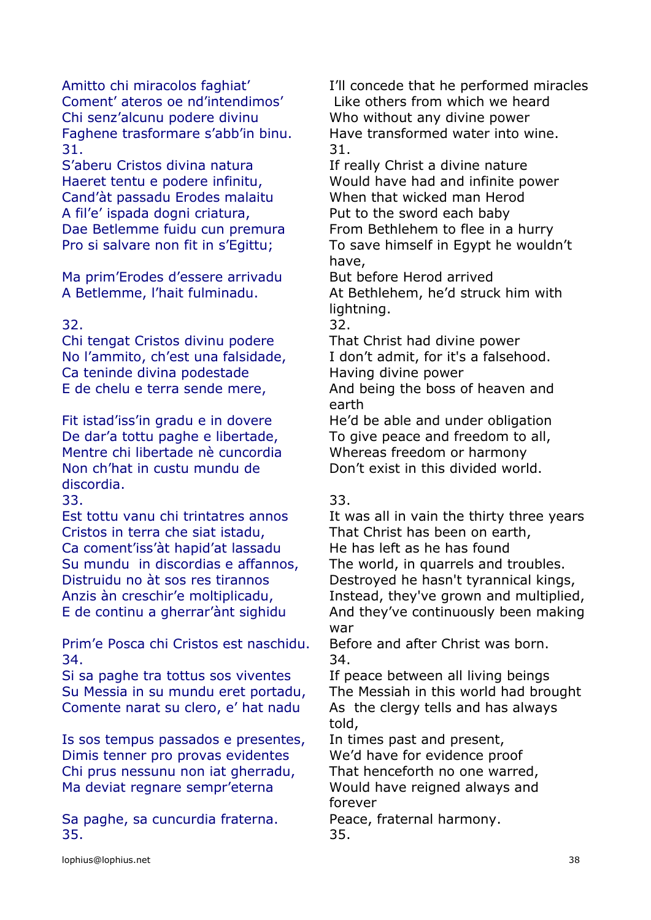Coment' ateros oe nd'intendimos' Like others from which we heard Chi senz'alcunu podere divinu Who without any divine power Faghene trasformare s'abb'in binu. Have transformed water into wine. 31. 31.

S'aberu Cristos divina natura If really Christ a divine nature Cand'àt passadu Erodes malaitu When that wicked man Herod A fil'e' ispada dogni criatura, Put to the sword each baby

Ma prim'Erodes d'essere arrivadu But before Herod arrived

Chi tengat Cristos divinu podere That Christ had divine power No l'ammito, ch'est una falsidade, I don't admit, for it's a falsehood. Ca teninde divina podestade Having divine power

De dar'a tottu paghe e libertade, To give peace and freedom to all, Mentre chi libertade nè cuncordia Whereas freedom or harmony Non ch'hat in custu mundu de discordia.

33. 33.

Cristos in terra che siat istadu, That Christ has been on earth, Ca coment'iss'àt hapid'at lassadu He has left as he has found

Prim'e Posca chi Cristos est naschidu. Before and after Christ was born. 34. 34.

Si sa paghe tra tottus sos viventes If peace between all living beings Comente narat su clero, e' hat nadu As the clergy tells and has always

Is sos tempus passados e presentes, In times past and present, Dimis tenner pro provas evidentes We'd have for evidence proof Chi prus nessunu non iat gherradu, That henceforth no one warred, Ma deviat regnare sempr'eterna Would have reigned always and

Sa paghe, sa cuncurdia fraterna. Peace, fraternal harmony. 35. 35.

Amitto chi miracolos faghiat' I'll concede that he performed miracles

Haeret tentu e podere infinitu, Would have had and infinite power Dae Betlemme fuidu cun premura From Bethlehem to flee in a hurry Pro si salvare non fit in s'Egittu; To save himself in Egypt he wouldn't have,

A Betlemme, l'hait fulminadu. At Bethlehem, he'd struck him with lightning.

32. 32.

E de chelu e terra sende mere, And being the boss of heaven and earth

Fit istad'iss'in gradu e in dovere He'd be able and under obligation Don't exist in this divided world.

Est tottu vanu chi trintatres annos It was all in vain the thirty three years Su mundu in discordias e affannos, The world, in quarrels and troubles. Distruidu no àt sos res tirannos Destroyed he hasn't tyrannical kings, Anzis àn creschir'e moltiplicadu, Instead, they've grown and multiplied, E de continu a gherrar'ànt sighidu And they've continuously been making war

Su Messia in su mundu eret portadu, The Messiah in this world had brought told,

forever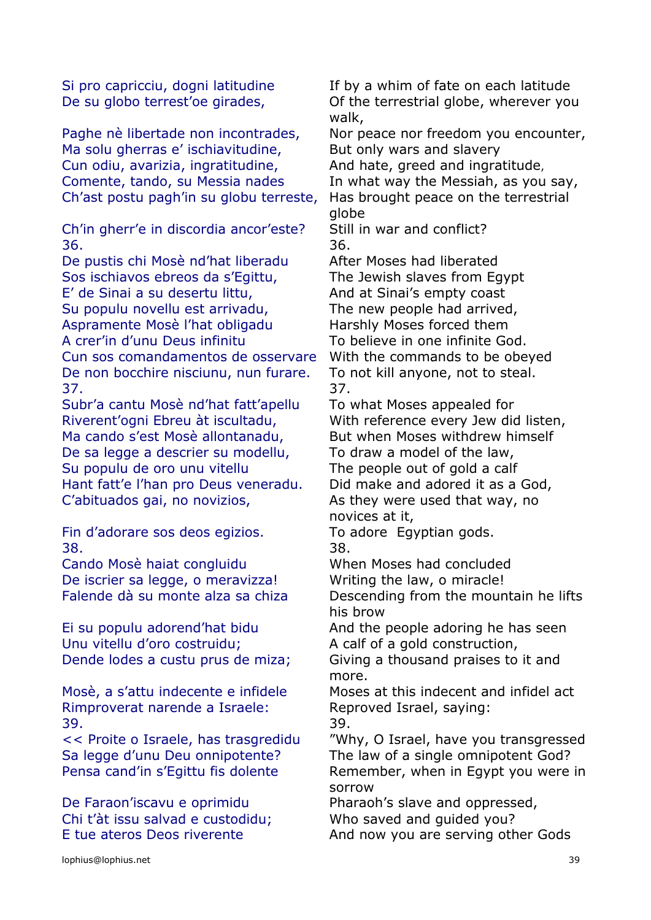Ma solu gherras e' ischiavitudine, But only wars and slavery Cun odiu, avarizia, ingratitudine, And hate, greed and ingratitude, Comente, tando, su Messia nades In what way the Messiah, as you say, Ch'ast postu pagh'in su globu terreste, Has brought peace on the terrestrial

Ch'in gherr'e in discordia ancor'este? Still in war and conflict? 36. 36.

De pustis chi Mosè nd'hat liberadu After Moses had liberated Sos ischiavos ebreos da s'Egittu, The Jewish slaves from Egypt E' de Sinai a su desertu littu, And at Sinai's empty coast Su populu novellu est arrivadu, The new people had arrived, Aspramente Mosè l'hat obligadu Harshly Moses forced them A crer'in d'unu Deus infinitu To believe in one infinite God. Cun sos comandamentos de osservare With the commands to be obeyed De non bocchire nisciunu, nun furare. To not kill anyone, not to steal. 37. 37.

Subr'a cantu Mosè nd'hat fatt'apellu To what Moses appealed for Riverent'ogni Ebreu àt iscultadu, With reference every Jew did listen, Ma cando s'est Mosè allontanadu, But when Moses withdrew himself De sa legge a descrier su modellu, To draw a model of the law, Su populu de oro unu vitellu The people out of gold a calf Hant fatt'e l'han pro Deus veneradu. Did make and adored it as a God, C'abituados gai, no novizios, As they were used that way, no

Fin d'adorare sos deos egizios. To adore Egyptian gods. 38. 38.

Cando Mosè haiat congluidu When Moses had concluded De iscrier sa legge, o meravizza! Writing the law, o miracle!

Unu vitellu d'oro costruidu; A calf of a gold construction,

Rimproverat narende a Israele: Reproved Israel, saying: 39. 39.

De Faraon'iscavu e oprimidu Pharaoh's slave and oppressed, Chi t'àt issu salvad e custodidu; Who saved and guided you? E tue ateros Deos riverente And now you are serving other Gods

Si pro capricciu, dogni latitudine If by a whim of fate on each latitude De su globo terrest'oe girades, Of the terrestrial globe, wherever you walk,

Paghe nè libertade non incontrades, Nor peace nor freedom you encounter,

globe

novices at it,

Falende dà su monte alza sa chiza Descending from the mountain he lifts his brow

Ei su populu adorend'hat bidu And the people adoring he has seen

Dende lodes a custu prus de miza; Giving a thousand praises to it and more.

Mosè, a s'attu indecente e infidele Moses at this indecent and infidel act

<< Proite o Israele, has trasgredidu "Why, O Israel, have you transgressed Sa legge d'unu Deu onnipotente? The law of a single omnipotent God? Pensa cand'in s'Egittu fis dolente Remember, when in Egypt you were in sorrow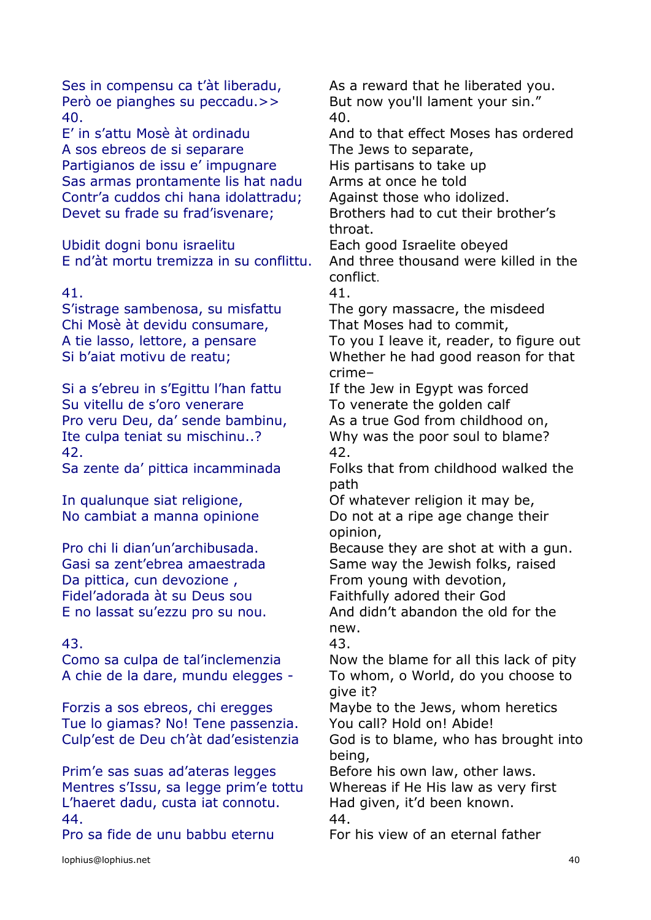Però oe pianghes su peccadu. >> But now you'll lament your sin." 40. 40.

A sos ebreos de si separare The Jews to separate, Partigianos de issu e' impugnare His partisans to take up Sas armas prontamente lis hat nadu Arms at once he told Contr'a cuddos chi hana idolattradu; Against those who idolized. Devet su frade su frad'isvenare; Brothers had to cut their brother's

Ubidit dogni bonu israelitu Each good Israelite obeyed

### 41. 41.

S'istrage sambenosa, su misfattu The gory massacre, the misdeed Chi Mosè àt devidu consumare, That Moses had to commit, Si b'aiat motivu de reatu; Whether he had good reason for that

Si a s'ebreu in s'Egittu l'han fattu If the Jew in Egypt was forced Su vitellu de s'oro venerare To venerate the golden calf Pro veru Deu, da' sende bambinu, As a true God from childhood on, Ite culpa teniat su mischinu..? Why was the poor soul to blame? 42. 42.

Da pittica, cun devozione, From young with devotion, Fidel'adorada àt su Deus sou Faithfully adored their God E no lassat su'ezzu pro su nou. And didn't abandon the old for the

# 43. 43.

Forzis a sos ebreos, chi eregges Maybe to the Jews, whom heretics Tue lo giamas? No! Tene passenzia. You call? Hold on! Abide! Culp'est de Deu ch'àt dad'esistenzia God is to blame, who has brought into

Prim'e sas suas ad'ateras legges Before his own law, other laws. Mentres s'Issu, sa legge prim'e tottu Whereas if He His law as very first L'haeret dadu, custa iat connotu. Had given, it'd been known. 44. 44.

Ses in compensu ca t'àt liberadu, As a reward that he liberated you.

E' in s'attu Mosè àt ordinadu And to that effect Moses has ordered

throat.

E nd'àt mortu tremizza in su conflittu. And three thousand were killed in the conflict.

A tie lasso, lettore, a pensare To you I leave it, reader, to figure out

crime–

Sa zente da' pittica incamminada Folks that from childhood walked the path

In qualunque siat religione, Of whatever religion it may be, No cambiat a manna opinione **Do not at a ripe age change their** opinion,

Pro chi li dian'un'archibusada. Because they are shot at with a gun. Gasi sa zent'ebrea amaestrada Same way the Jewish folks, raised

new.

Como sa culpa de tal'inclemenzia Now the blame for all this lack of pity A chie de la dare, mundu elegges - To whom, o World, do you choose to give it?

being,

Pro sa fide de unu babbu eternu For his view of an eternal father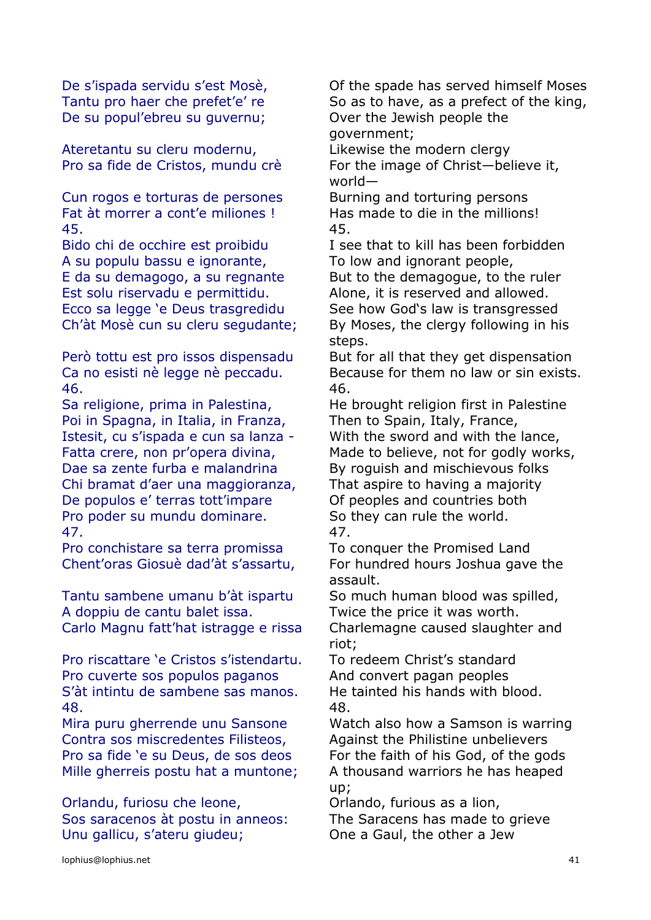De su popul'ebreu su guvernu; Over the Jewish people the

Ateretantu su cleru modernu, The Likewise the modern clergy

Cun rogos e torturas de persones Burning and torturing persons Fat àt morrer a cont'e miliones ! Has made to die in the millions! 45. 45.

A su populu bassu e ignorante, To low and ignorant people, E da su demagogo, a su regnante But to the demagogue, to the ruler Est solu riservadu e permittidu. Alone, it is reserved and allowed. Ecco sa legge 'e Deus trasgredidu See how God's law is transgressed

46. 46.

Poi in Spagna, in Italia, in Franza, Then to Spain, Italy, France, Istesit, cu s'ispada e cun sa lanza - With the sword and with the lance, Dae sa zente furba e malandrina By roquish and mischievous folks Chi bramat d'aer una maggioranza, That aspire to having a majority De populos e' terras tott'impare Of peoples and countries both Pro poder su mundu dominare. So they can rule the world. 47. 47.

Pro conchistare sa terra promissa To conquer the Promised Land

Tantu sambene umanu b'àt ispartu So much human blood was spilled, A doppiu de cantu balet issa. Twice the price it was worth. Carlo Magnu fatt'hat istragge e rissa Charlemagne caused slaughter and

Pro riscattare 'e Cristos s'istendartu. To redeem Christ's standard Pro cuverte sos populos paganos And convert pagan peoples S'àt intintu de sambene sas manos. He tainted his hands with blood. 48. 48.

Contra sos miscredentes Filisteos, Against the Philistine unbelievers Pro sa fide 'e su Deus, de sos deos For the faith of his God, of the gods Mille gherreis postu hat a muntone; A thousand warriors he has heaped

Orlandu, furiosu che leone, Orlando, furious as a lion, Sos saracenos àt postu in anneos: The Saracens has made to grieve Unu gallicu, s'ateru giudeu; One a Gaul, the other a Jew

De s'ispada servidu s'est Mosè, Of the spade has served himself Moses Tantu pro haer che prefet'e' re So as to have, as a prefect of the king, government;

Pro sa fide de Cristos, mundu crè For the image of Christ—believe it, world—

Bido chi de occhire est proibidu I see that to kill has been forbidden

Ch'àt Mosè cun su cleru segudante; By Moses, the clergy following in his steps.

Però tottu est pro issos dispensadu But for all that they get dispensation Ca no esisti nè legge nè peccadu. Because for them no law or sin exists.

Sa religione, prima in Palestina, He brought religion first in Palestine Fatta crere, non pr'opera divina, Made to believe, not for godly works,

Chent'oras Giosuè dad'àt s'assartu, For hundred hours Joshua gave the assault.

riot;

Mira puru gherrende unu Sansone Watch also how a Samson is warring up;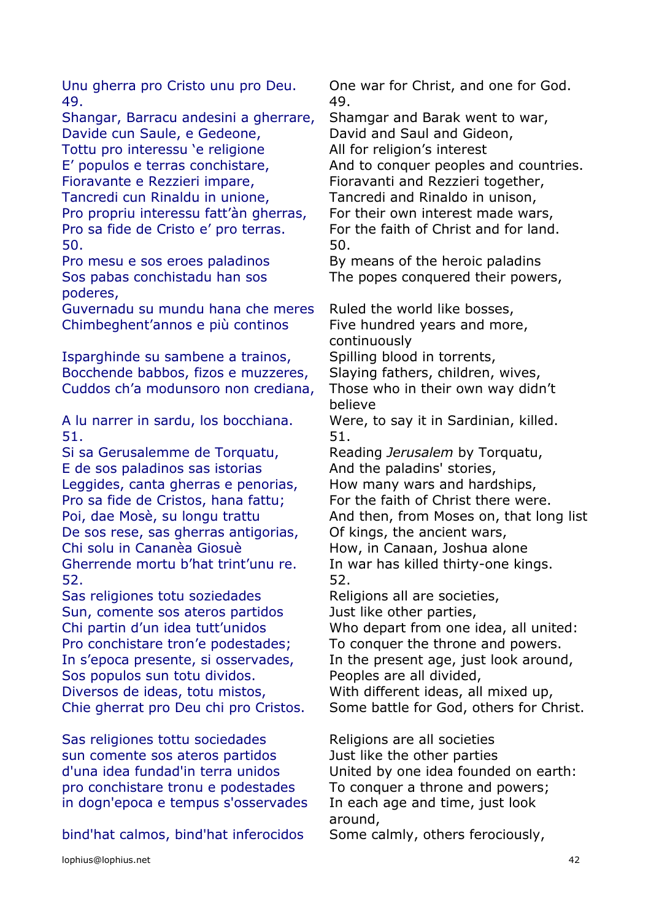49. 49.

Shangar, Barracu andesini a gherrare, Shamgar and Barak went to war, Davide cun Saule, e Gedeone, David and Saul and Gideon, Tottu pro interessu 'e religione All for religion's interest Fioravante e Rezzieri impare, Fioravanti and Rezzieri together, Tancredi cun Rinaldu in unione, Tancredi and Rinaldo in unison, Pro propriu interessu fatt'àn gherras, For their own interest made wars, Pro sa fide de Cristo e' pro terras. For the faith of Christ and for land. 50. 50.

Sos pabas conchistadu han sos poderes,

Guvernadu su mundu hana che meres Ruled the world like bosses, Chimbeghent'annos e più continos Five hundred years and more,

Isparghinde su sambene a trainos, Spilling blood in torrents, Bocchende babbos, fizos e muzzeres, Slaying fathers, children, wives, Cuddos ch'a modunsoro non crediana, Those who in their own way didn't

A lu narrer in sardu, los bocchiana. Were, to say it in Sardinian, killed. 51. 51.

Si sa Gerusalemme de Torquatu, Reading *Jerusalem* by Torquatu, E de sos paladinos sas istorias And the paladins' stories, Leggides, canta gherras e penorias, How many wars and hardships, Pro sa fide de Cristos, hana fattu; For the faith of Christ there were. De sos rese, sas gherras antigorias, Of kings, the ancient wars, Chi solu in Cananèa Giosuè How, in Canaan, Joshua alone Gherrende mortu b'hat trint'unu re. In war has killed thirty-one kings. 52. 52.

Sas religiones totu soziedades Religions all are societies, Sun, comente sos ateros partidos Just like other parties, Pro conchistare tron'e podestades; To conquer the throne and powers. Sos populos sun totu dividos. Peoples are all divided, Diversos de ideas, totu mistos, With different ideas, all mixed up,

Sas religiones tottu sociedades The Religions are all societies sun comente sos ateros partidos Just like the other parties pro conchistare tronu e podestades To conquer a throne and powers; in dogn'epoca e tempus s'osservades In each age and time, just look

bind'hat calmos, bind'hat inferocidos Some calmly, others ferociously,

Unu gherra pro Cristo unu pro Deu. One war for Christ, and one for God.

E' populos e terras conchistare, And to conquer peoples and countries.

Pro mesu e sos eroes paladinos By means of the heroic paladins The popes conquered their powers,

continuously believe Poi, dae Mosè, su longu trattu And then, from Moses on, that long list Chi partin d'un idea tutt'unidos Who depart from one idea, all united: In s'epoca presente, si osservades, In the present age, just look around, Chie gherrat pro Deu chi pro Cristos. Some battle for God, others for Christ.

d'una idea fundad'in terra unidos United by one idea founded on earth: around,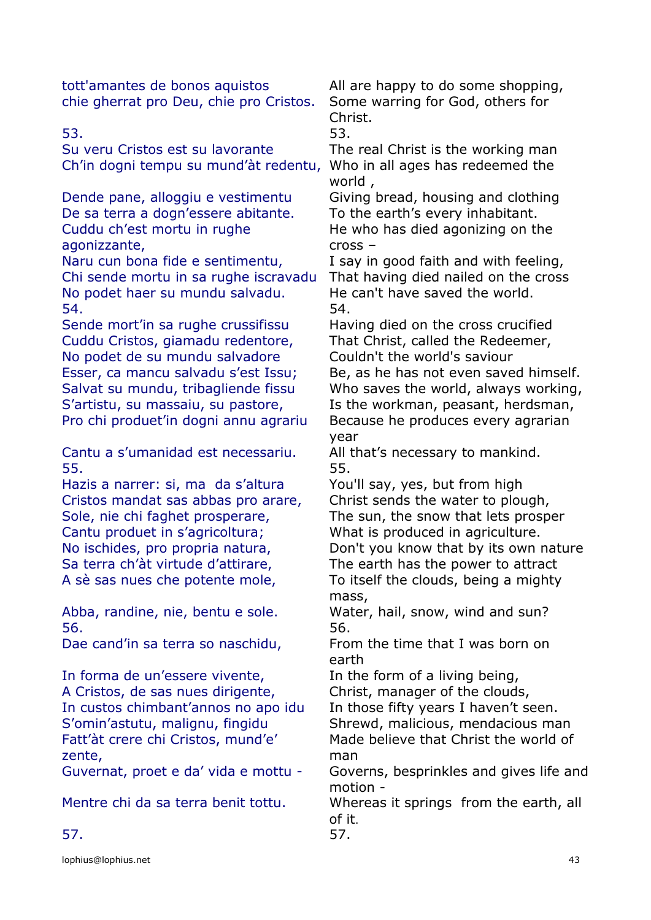tott'amantes de bonos aquistos All are happy to do some shopping, chie gherrat pro Deu, chie pro Cristos. Some warring for God, others for

Su veru Cristos est su lavorante The real Christ is the working man Ch'in dogni tempu su mund'àt redentu, Who in all ages has redeemed the

Dende pane, alloggiu e vestimentu Giving bread, housing and clothing De sa terra a dogn'essere abitante. To the earth's every inhabitant. Cuddu ch'est mortu in rughe agonizzante,

Naru cun bona fide e sentimentu, I say in good faith and with feeling, Chi sende mortu in sa rughe iscravadu That having died nailed on the cross No podet haer su mundu salvadu. He can't have saved the world. 54. 54.

Sende mort'in sa rughe crussifissu Having died on the cross crucified Cuddu Cristos, giamadu redentore, That Christ, called the Redeemer, No podet de su mundu salvadore Couldn't the world's saviour Esser, ca mancu salvadu s'est Issu; Be, as he has not even saved himself. S'artistu, su massaiu, su pastore, Is the workman, peasant, herdsman, Pro chi produet'in dogni annu agrariu Because he produces every agrarian

Cantu a s'umanidad est necessariu. All that's necessary to mankind. 55. 55.

Hazis a narrer: si, ma da s'altura You'll say, yes, but from high Cristos mandat sas abbas pro arare, Christ sends the water to plough, Sole, nie chi faghet prosperare, The sun, the snow that lets prosper Cantu produet in s'agricoltura; What is produced in agriculture. Sa terra ch'àt virtude d'attirare, The earth has the power to attract A sè sas nues che potente mole, To itself the clouds, being a mighty

56. 56.

In forma de un'essere vivente, The the form of a living being, A Cristos, de sas nues dirigente, Christ, manager of the clouds, In custos chimbant'annos no apo idu In those fifty years I haven't seen. Fatt'àt crere chi Cristos, mund'e' zente,

Christ.

53. 53.

world ,

He who has died agonizing on the cross –

Salvat su mundu, tribagliende fissu Who saves the world, always working, year

No ischides, pro propria natura, Don't you know that by its own nature mass,

Abba, randine, nie, bentu e sole. Water, hail, snow, wind and sun?

Dae cand'in sa terra so naschidu, From the time that I was born on earth

S'omin'astutu, malignu, fingidu Shrewd, malicious, mendacious man Made believe that Christ the world of man

Guvernat, proet e da' vida e mottu - Governs, besprinkles and gives life and motion -

Mentre chi da sa terra benit tottu. Whereas it springs from the earth, all of it.

57. 57.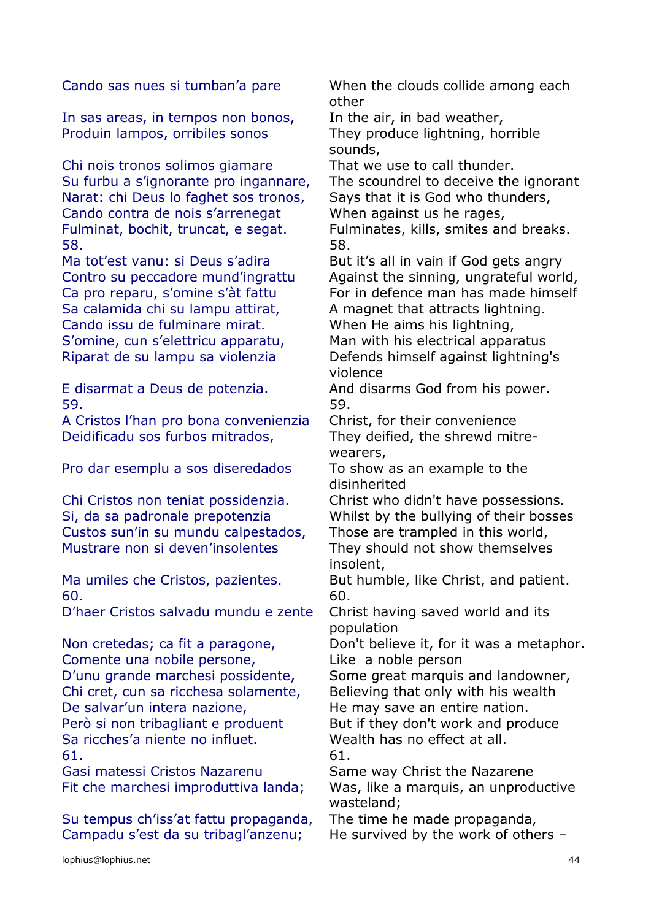In sas areas, in tempos non bonos, In the air, in bad weather, Produin lampos, orribiles sonos They produce lightning, horrible

Chi nois tronos solimos giamare That we use to call thunder. Su furbu a s'ignorante pro ingannare, The scoundrel to deceive the ignorant Narat: chi Deus lo faghet sos tronos, Says that it is God who thunders, Cando contra de nois s'arrenegat When against us he rages, Fulminat, bochit, truncat, e segat. Fulminates, kills, smites and breaks. 58. 58.

Sa calamida chi su lampu attirat, A magnet that attracts lightning. Cando issu de fulminare mirat. When He aims his lightning, S'omine, cun s'elettricu apparatu, Man with his electrical apparatus Riparat de su lampu sa violenzia Defends himself against lightning's

59. 59.

A Cristos l'han pro bona convenienzia Christ, for their convenience Deidificadu sos furbos mitrados, They deified, the shrewd mitre-

Pro dar esemplu a sos diseredados To show as an example to the

Chi Cristos non teniat possidenzia. Christ who didn't have possessions. Custos sun'in su mundu calpestados, Those are trampled in this world, Mustrare non si deven'insolentes They should not show themselves

60. 60.

D'haer Cristos salvadu mundu e zente Christ having saved world and its

Comente una nobile persone, Like a noble person Chi cret, cun sa ricchesa solamente, Believing that only with his wealth De salvar'un intera nazione, The may save an entire nation. Però si non tribagliant e produent But if they don't work and produce Sa ricches'a niente no influet. Wealth has no effect at all. 61. 61.

Gasi matessi Cristos Nazarenu Same way Christ the Nazarene

Su tempus ch'iss'at fattu propaganda, The time he made propaganda, Campadu s'est da su tribagl'anzenu; He survived by the work of others –

Cando sas nues si tumban'a pare When the clouds collide among each other

sounds,

Ma tot'est vanu: si Deus s'adira But it's all in vain if God gets angry Contro su peccadore mund'ingrattu Against the sinning, ungrateful world, Ca pro reparu, s'omine s'àt fattu For in defence man has made himself

violence

E disarmat a Deus de potenzia. And disarms God from his power.

wearers,

disinherited

Si, da sa padronale prepotenzia Whilst by the bullying of their bosses

insolent,

Ma umiles che Cristos, pazientes. But humble, like Christ, and patient.

population

Non cretedas; ca fit a paragone, Don't believe it, for it was a metaphor.

D'unu grande marchesi possidente, Some great marquis and landowner,

Fit che marchesi improduttiva landa; Was, like a marquis, an unproductive wasteland;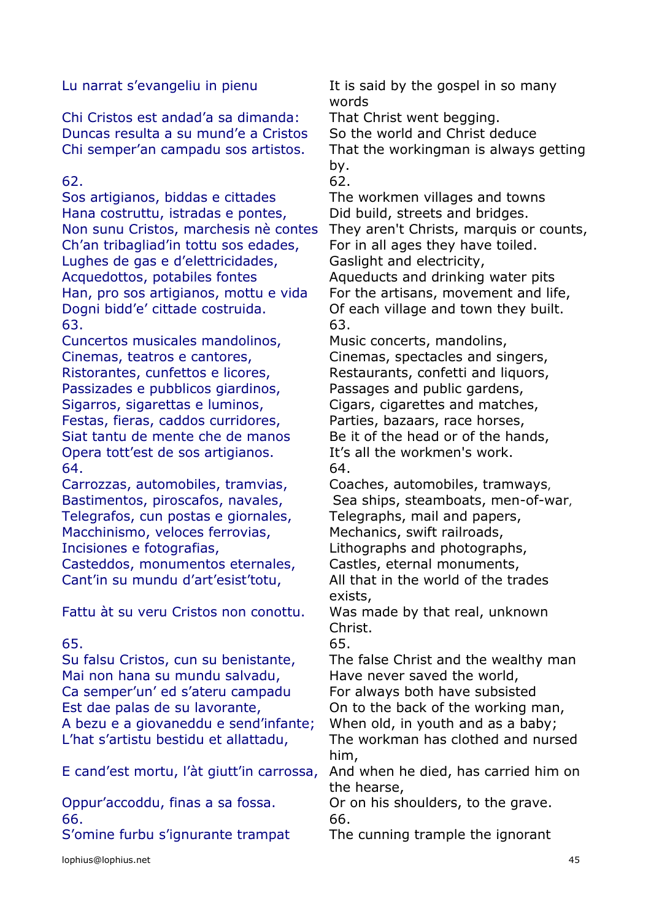Chi Cristos est andad'a sa dimanda: That Christ went begging. Duncas resulta a su mund'e a Cristos So the world and Christ deduce

Sos artigianos, biddas e cittades The workmen villages and towns Hana costruttu, istradas e pontes, Did build, streets and bridges. Ch'an tribagliad'in tottu sos edades, For in all ages they have toiled. Lughes de gas e d'elettricidades, Gaslight and electricity, Acquedottos, potabiles fontes Aqueducts and drinking water pits Han, pro sos artigianos, mottu e vida For the artisans, movement and life, Dogni bidd'e' cittade costruida. Of each village and town they built. 63. 63.

Cuncertos musicales mandolinos, Music concerts, mandolins, Cinemas, teatros e cantores, Cinemas, spectacles and singers, Ristorantes, cunfettos e licores, Restaurants, confetti and liquors, Passizades e pubblicos giardinos, Passages and public gardens, Sigarros, sigarettas e luminos, Cigars, cigarettes and matches, Festas, fieras, caddos curridores, Parties, bazaars, race horses, Siat tantu de mente che de manos Be it of the head or of the hands, Opera tott'est de sos artigianos. It's all the workmen's work. 64. 64.

Carrozzas, automobiles, tramvias, Coaches, automobiles, tramways, Telegrafos, cun postas e giornales, Telegraphs, mail and papers, Macchinismo, veloces ferrovias, Mechanics, swift railroads, Incisiones e fotografias, Lithographs and photographs, Casteddos, monumentos eternales, Castles, eternal monuments,

Fattu àt su veru Cristos non conottu. Was made by that real, unknown

Su falsu Cristos, cun su benistante, The false Christ and the wealthy man Mai non hana su mundu salvadu, Have never saved the world, Ca semper'un' ed s'ateru campadu For always both have subsisted Est dae palas de su lavorante, **On to the back of the working man**, A bezu e a giovaneddu e send'infante; When old, in youth and as a baby; L'hat s'artistu bestidu et allattadu, The workman has clothed and nursed

E cand'est mortu, l'àt giutt'in carrossa, And when he died, has carried him on

66. 66.

lophius@lophius.net 45

Lu narrat s'evangeliu in pienu It is said by the gospel in so many words

Chi semper'an campadu sos artistos. That the workingman is always getting by.

 $62.$  62.

Non sunu Cristos, marchesis nè contes They aren't Christs, marquis or counts,

Bastimentos, piroscafos, navales, Sea ships, steamboats, men-of-war,

Cant'in su mundu d'art'esist'totu, All that in the world of the trades exists,

Christ.

65. 65.

him,

the hearse,

Oppur'accoddu, finas a sa fossa. Or on his shoulders, to the grave.

S'omine furbu s'ignurante trampat The cunning trample the ignorant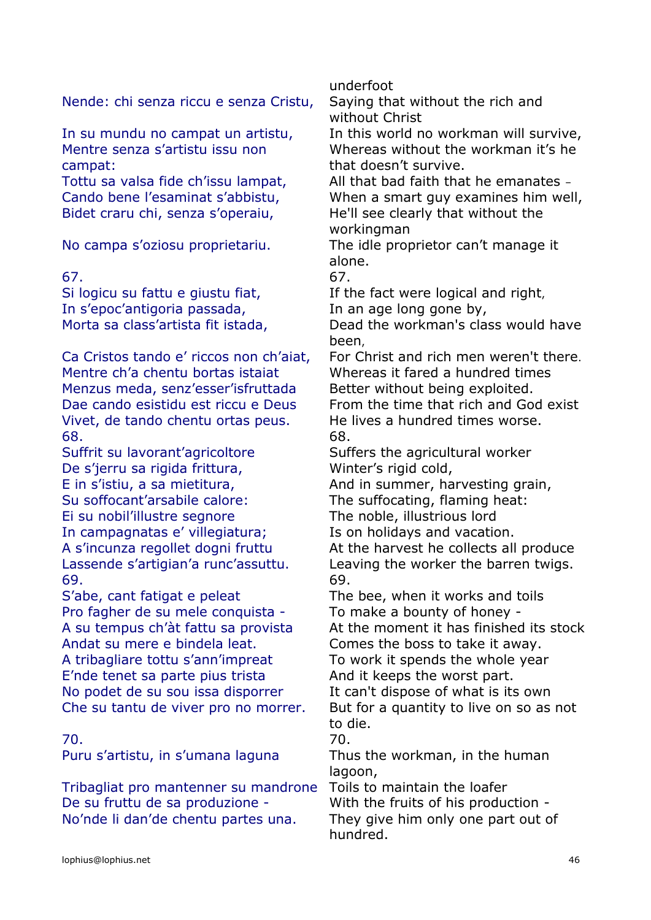Nende: chi senza riccu e senza Cristu, Saying that without the rich and

Mentre senza s'artistu issu non campat:

Bidet craru chi, senza s'operaiu, He'll see clearly that without the

# 67. 67.

In s'epoc'antigoria passada, In an age long gone by,

Mentre ch'a chentu bortas istaiat Whereas it fared a hundred times Menzus meda, senz'esser'isfruttada Better without being exploited. Dae cando esistidu est riccu e Deus From the time that rich and God exist Vivet, de tando chentu ortas peus. He lives a hundred times worse. 68. 68.

Suffrit su lavorant'agricoltore Suffers the agricultural worker De s'jerru sa rigida frittura, Winter's rigid cold, E in s'istiu, a sa mietitura, and in summer, harvesting grain, Su soffocant'arsabile calore: The suffocating, flaming heat: Ei su nobil'illustre segnore The noble, illustrious lord In campagnatas e' villegiatura; Is on holidays and vacation. 69. 69.

S'abe, cant fatigat e peleat The bee, when it works and toils Pro fagher de su mele conquista - To make a bounty of honey -Andat su mere e bindela leat. Comes the boss to take it away. A tribagliare tottu s'ann'impreat To work it spends the whole year E'nde tenet sa parte pius trista And it keeps the worst part. No podet de su sou issa disporrer It can't dispose of what is its own

# 70. 70.

Tribagliat pro mantenner su mandrone Toils to maintain the loafer De su fruttu de sa produzione - With the fruits of his production -No'nde li dan'de chentu partes una. They give him only one part out of

underfoot

without Christ

In su mundu no campat un artistu, In this world no workman will survive, Whereas without the workman it's he that doesn't survive.

Tottu sa valsa fide ch'issu lampat, All that bad faith that he emanates -Cando bene l'esaminat s'abbistu, When a smart guy examines him well, workingman

No campa s'oziosu proprietariu. The idle proprietor can't manage it alone.

Si logicu su fattu e giustu fiat, The fact were logical and right,

Morta sa class'artista fit istada, Bead the workman's class would have been,

Ca Cristos tando e' riccos non ch'aiat, For Christ and rich men weren't there.

A s'incunza regollet dogni fruttu At the harvest he collects all produce Lassende s'artigian'a runc'assuttu. Leaving the worker the barren twigs.

A su tempus ch'àt fattu sa provista At the moment it has finished its stock

Che su tantu de viver pro no morrer. But for a quantity to live on so as not to die.

Puru s'artistu, in s'umana laguna Thus the workman, in the human lagoon,

hundred.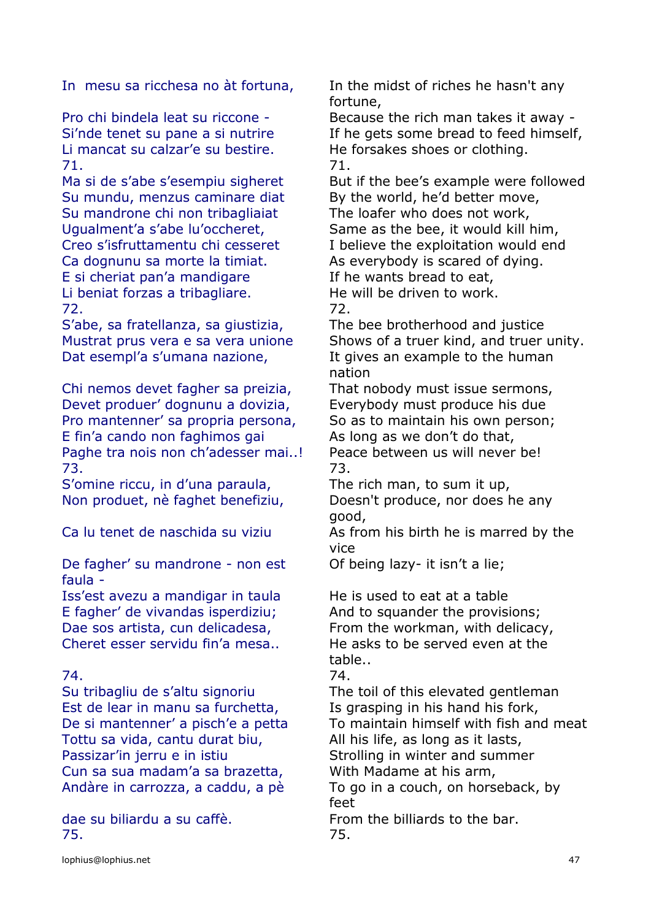Li mancat su calzar'e su bestire. He forsakes shoes or clothing. 71. 71.

Su mundu, menzus caminare diat By the world, he'd better move, Su mandrone chi non tribagliaiat The loafer who does not work, Ca dognunu sa morte la timiat. As everybody is scared of dying. E si cheriat pan'a mandigare If he wants bread to eat, Li beniat forzas a tribagliare. He will be driven to work. 72. 72.

S'abe, sa fratellanza, sa giustizia, The bee brotherhood and justice Dat esempl'a s'umana nazione, It gives an example to the human

Chi nemos devet fagher sa preizia, That nobody must issue sermons, Devet produer' dognunu a dovizia, Everybody must produce his due Pro mantenner' sa propria persona, So as to maintain his own person; E fin'a cando non faghimos gai As long as we don't do that, Paghe tra nois non ch'adesser mai..! Peace between us will never be! 73. 73.

S'omine riccu, in d'una paraula, The rich man, to sum it up, Non produet, nè faghet benefiziu, Doesn't produce, nor does he any

De fagher' su mandrone - non est faula -

Iss'est avezu a mandigar in taula He is used to eat at a table E fagher' de vivandas isperdiziu; And to squander the provisions; Cheret esser servidu fin'a mesa.. He asks to be served even at the

# 74. 74.

Est de lear in manu sa furchetta, Is grasping in his hand his fork, Tottu sa vida, cantu durat biu, All his life, as long as it lasts, Passizar'in jerru e in istiu Strolling in winter and summer Cun sa sua madam'a sa brazetta, With Madame at his arm,

75. 75.

In mesu sa ricchesa no àt fortuna, In the midst of riches he hasn't any fortune,

Pro chi bindela leat su riccone - Because the rich man takes it away -Si'nde tenet su pane a si nutrire If he gets some bread to feed himself,

Ma si de s'abe s'esempiu sigheret But if the bee's example were followed

Ugualment'a s'abe lu'occheret, Same as the bee, it would kill him, Creo s'isfruttamentu chi cesseret I believe the exploitation would end

Mustrat prus vera e sa vera unione Shows of a truer kind, and truer unity. nation

good,

Ca lu tenet de naschida su viziu As from his birth he is marred by the vice

Of being lazy- it isn't a lie;

Dae sos artista, cun delicadesa, From the workman, with delicacy, table..

Su tribagliu de s'altu signoriu The toil of this elevated gentleman De si mantenner' a pisch'e a petta To maintain himself with fish and meat Andàre in carrozza, a caddu, a pè To go in a couch, on horseback, by feet dae su biliardu a su caffè. From the billiards to the bar.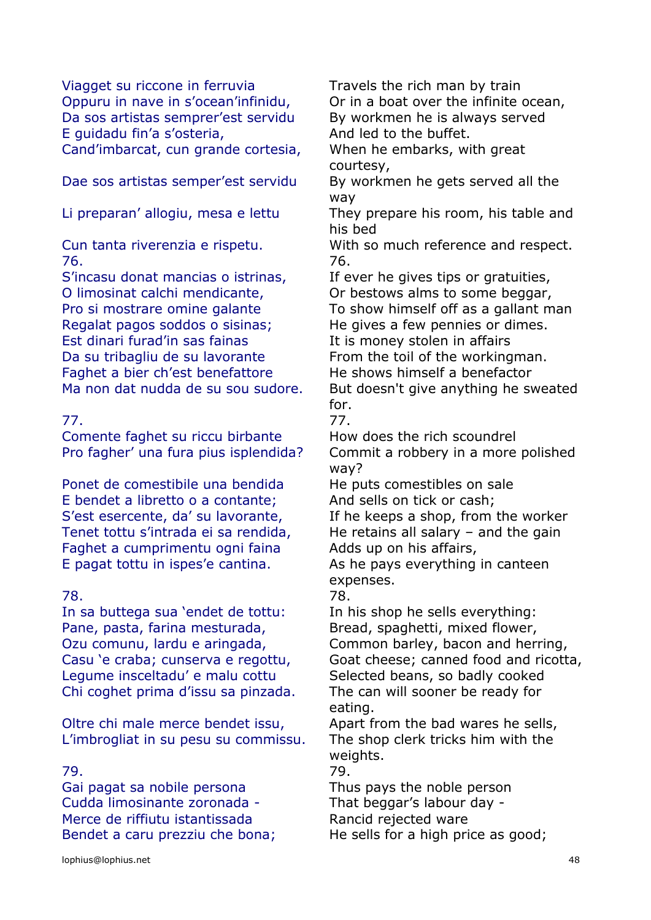Viagget su riccone in ferruvia Travels the rich man by train Oppuru in nave in s'ocean'infinidu, Or in a boat over the infinite ocean, Da sos artistas semprer'est servidu By workmen he is always served E quidadu fin'a s'osteria, and led to the buffet. Cand'imbarcat, cun grande cortesia, When he embarks, with great

Dae sos artistas semper'est servidu By workmen he gets served all the

76. 76.

S'incasu donat mancias o istrinas, The exer he gives tips or gratuities, O limosinat calchi mendicante, Cor bestows alms to some beggar, Regalat pagos soddos o sisinas; He gives a few pennies or dimes. Est dinari furad'in sas fainas The It is money stolen in affairs Da su tribagliu de su lavorante From the toil of the workingman. Faghet a bier ch'est benefattore He shows himself a benefactor

Comente faghet su riccu birbante How does the rich scoundrel

Ponet de comestibile una bendida He puts comestibles on sale E bendet a libretto o a contante; And sells on tick or cash; Faghet a cumprimentu ogni faina Adds up on his affairs, E pagat tottu in ispes'e cantina. As he pays everything in canteen

### 78. 78.

In sa buttega sua 'endet de tottu: In his shop he sells everything: Pane, pasta, farina mesturada, Bread, spaghetti, mixed flower, Legume insceltadu' e malu cottu Selected beans, so badly cooked Chi coghet prima d'issu sa pinzada. The can will sooner be ready for

Oltre chi male merce bendet issu, Apart from the bad wares he sells, L'imbrogliat in su pesu su commissu. The shop clerk tricks him with the

Gai pagat sa nobile persona Thus pays the noble person Cudda limosinante zoronada - That beggar's labour day - Merce de riffiutu istantissada Rancid rejected ware Bendet a caru prezziu che bona; He sells for a high price as good;

courtesy,

way

Li preparan' allogiu, mesa e lettu They prepare his room, his table and his bed

Cun tanta riverenzia e rispetu. With so much reference and respect.

Pro si mostrare omine galante To show himself off as a gallant man

Ma non dat nudda de su sou sudore. But doesn't give anything he sweated for.

77. 77.

Pro fagher' una fura pius isplendida? Commit a robbery in a more polished way?

S'est esercente, da' su lavorante, If he keeps a shop, from the worker Tenet tottu s'intrada ei sa rendida, He retains all salary  $-$  and the gain

expenses.

Ozu comunu, lardu e aringada, Common barley, bacon and herring, Casu 'e craba; cunserva e regottu, Goat cheese; canned food and ricotta, eating.

weights.

79. 79.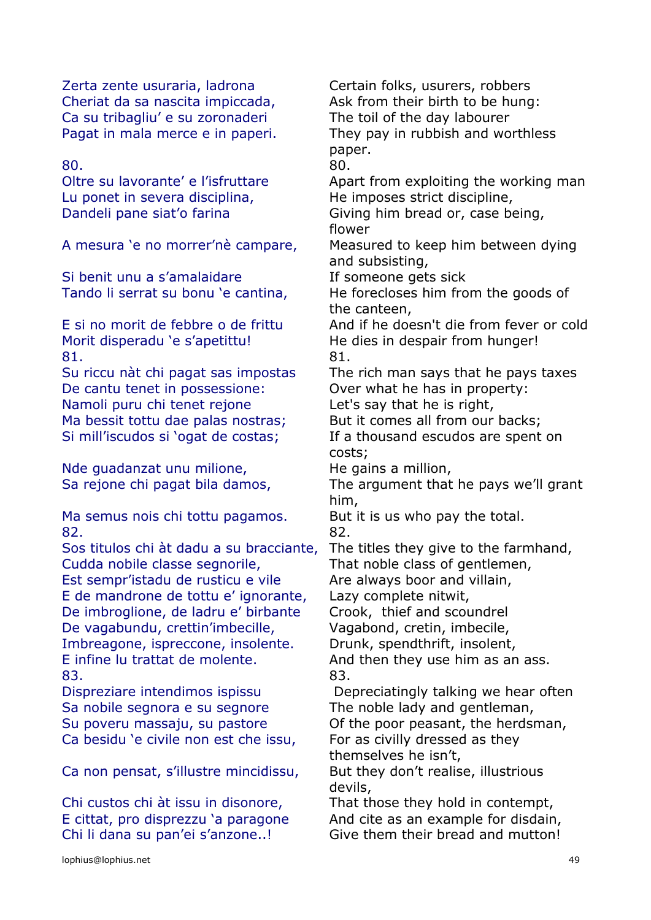Zerta zente usuraria, ladrona Certain folks, usurers, robbers Cheriat da sa nascita impiccada, Ask from their birth to be hung: Ca su tribagliu' e su zoronaderi The toil of the day labourer

80. 80.

Lu ponet in severa disciplina, He imposes strict discipline,

Si benit unu a s'amalaidare If someone gets sick

Morit disperadu 'e s'apetittu! He dies in despair from hunger! 81. 81.

De cantu tenet in possessione: Over what he has in property: Namoli puru chi tenet rejone Let's say that he is right, Ma bessit tottu dae palas nostras; But it comes all from our backs; Si mill'iscudos si 'ogat de costas; If a thousand escudos are spent on

Nde guadanzat unu milione, The gains a million,

Ma semus nois chi tottu pagamos. But it is us who pay the total. 82. 82.

Sos titulos chi àt dadu a su bracciante, The titles they give to the farmhand, Cudda nobile classe segnorile, That noble class of gentlemen, Est sempr'istadu de rusticu e vile Are always boor and villain, E de mandrone de tottu e' ignorante, Lazy complete nitwit, De imbroglione, de ladru e' birbante Crook, thief and scoundrel De vagabundu, crettin'imbecille, Vagabond, cretin, imbecile, Imbreagone, ispreccone, insolente. Drunk, spendthrift, insolent, E infine lu trattat de molente. And then they use him as an ass. 83. 83.

Sa nobile segnora e su segnore The noble lady and gentleman, Ca besidu 'e civile non est che issu, For as civilly dressed as they

Ca non pensat, s'illustre mincidissu, But they don't realise, illustrious

Chi custos chi àt issu in disonore, That those they hold in contempt,

Pagat in mala merce e in paperi. They pay in rubbish and worthless paper. Oltre su lavorante' e l'isfruttare Apart from exploiting the working man Dandeli pane siat'o farina Giving him bread or, case being, flower A mesura 'e no morrer'nè campare, Measured to keep him between dying and subsisting, Tando li serrat su bonu 'e cantina, He forecloses him from the goods of the canteen, E si no morit de febbre o de frittu And if he doesn't die from fever or cold Su riccu nàt chi pagat sas impostas The rich man says that he pays taxes costs; Sa rejone chi pagat bila damos, The argument that he pays we'll grant him, Dispreziare intendimos ispissu Depreciatingly talking we hear often Su poveru massaju, su pastore **Of the poor peasant, the herdsman**, themselves he isn't, devils,

E cittat, pro disprezzu 'a paragone And cite as an example for disdain, Chi li dana su pan'ei s'anzone..! Give them their bread and mutton!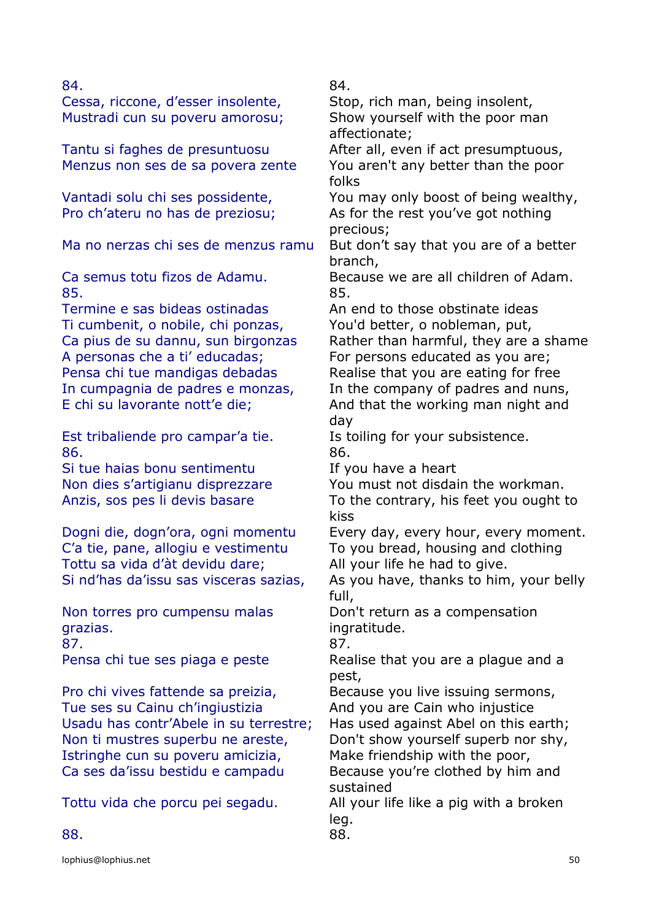Cessa, riccone, d'esser insolente, Stop, rich man, being insolent, Mustradi cun su poveru amorosu; Show yourself with the poor man

Tantu si faghes de presuntuosu After all, even if act presumptuous, Menzus non ses de sa povera zente You aren't any better than the poor

Ma no nerzas chi ses de menzus ramu But don't say that you are of a better

85. 85.

Termine e sas bideas ostinadas An end to those obstinate ideas Ti cumbenit, o nobile, chi ponzas, You'd better, o nobleman, put, A personas che a ti' educadas; For persons educated as you are; Pensa chi tue mandigas debadas Realise that you are eating for free

Est tribaliende pro campar'a tie. Is toiling for your subsistence. 86. 86.

Si tue haias bonu sentimentu If you have a heart

C'a tie, pane, allogiu e vestimentu To you bread, housing and clothing Tottu sa vida d'àt devidu dare; All your life he had to give.

Non torres pro cumpensu malas grazias. 87. 87.

Pro chi vives fattende sa preizia, Because you live issuing sermons, Tue ses su Cainu ch'ingiustizia And you are Cain who injustice Usadu has contr'Abele in su terrestre; Has used against Abel on this earth; Non ti mustres superbu ne areste, Don't show yourself superb nor shy, Istringhe cun su poveru amicizia, Make friendship with the poor, Ca ses da'issu bestidu e campadu Because you're clothed by him and

84. 84.

affectionate;

folks

Vantadi solu chi ses possidente, You may only boost of being wealthy, Pro ch'ateru no has de preziosu; As for the rest you've got nothing precious;

branch,

Ca semus totu fizos de Adamu. Because we are all children of Adam.

Ca pius de su dannu, sun birgonzas Rather than harmful, they are a shame In cumpagnia de padres e monzas, In the company of padres and nuns, E chi su lavorante nott'e die; And that the working man night and day

Non dies s'artigianu disprezzare You must not disdain the workman. Anzis, sos pes li devis basare To the contrary, his feet you ought to kiss

Dogni die, dogn'ora, ogni momentu Every day, every hour, every moment.

Si nd'has da'issu sas visceras sazias, As you have, thanks to him, your belly full,

> Don't return as a compensation ingratitude.

Pensa chi tue ses piaga e peste Realise that you are a plague and a pest,

sustained

Tottu vida che porcu pei segadu. All your life like a pig with a broken leg.

88. 88.